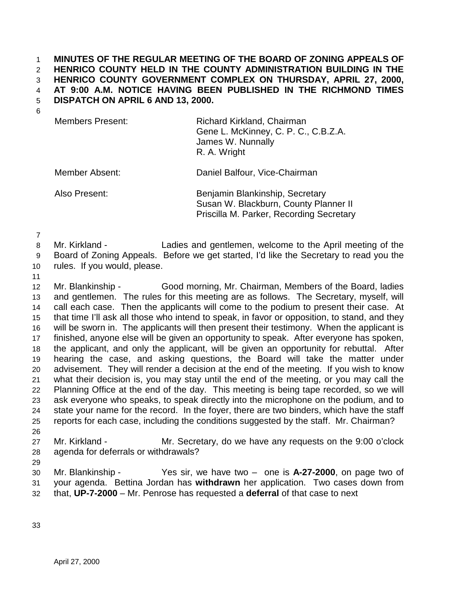## 1 **MINUTES OF THE REGULAR MEETING OF THE BOARD OF ZONING APPEALS OF**  2 **HENRICO COUNTY HELD IN THE COUNTY ADMINISTRATION BUILDING IN THE**  3 **HENRICO COUNTY GOVERNMENT COMPLEX ON THURSDAY, APRIL 27, 2000,**  4 **AT 9:00 A.M. NOTICE HAVING BEEN PUBLISHED IN THE RICHMOND TIMES**  5 **DISPATCH ON APRIL 6 AND 13, 2000.**

6

| <b>Members Present:</b> | Richard Kirkland, Chairman<br>Gene L. McKinney, C. P. C., C.B.Z.A.<br>James W. Nunnally<br>R. A. Wright |
|-------------------------|---------------------------------------------------------------------------------------------------------|
| Member Absent:          | Daniel Balfour, Vice-Chairman                                                                           |

Also Present: Benjamin Blankinship, Secretary Susan W. Blackburn, County Planner II Priscilla M. Parker, Recording Secretary

7

- 8 Mr. Kirkland Ladies and gentlemen, welcome to the April meeting of the 9 Board of Zoning Appeals. Before we get started, I'd like the Secretary to read you the
- 10 rules. If you would, please.
- 11

12 Mr. Blankinship - Good morning, Mr. Chairman, Members of the Board, ladies 13 and gentlemen. The rules for this meeting are as follows. The Secretary, myself, will 14 call each case. Then the applicants will come to the podium to present their case. At 15 that time I'll ask all those who intend to speak, in favor or opposition, to stand, and they 16 will be sworn in. The applicants will then present their testimony. When the applicant is 17 finished, anyone else will be given an opportunity to speak. After everyone has spoken, 18 the applicant, and only the applicant, will be given an opportunity for rebuttal. After 19 hearing the case, and asking questions, the Board will take the matter under 20 advisement. They will render a decision at the end of the meeting. If you wish to know 21 what their decision is, you may stay until the end of the meeting, or you may call the 22 Planning Office at the end of the day. This meeting is being tape recorded, so we will 23 ask everyone who speaks, to speak directly into the microphone on the podium, and to 24 state your name for the record. In the foyer, there are two binders, which have the staff 25 reports for each case, including the conditions suggested by the staff. Mr. Chairman? 26

- 27 Mr. Kirkland Mr. Secretary, do we have any requests on the 9:00 o'clock 28 agenda for deferrals or withdrawals?
- 29

30 Mr. Blankinship - Yes sir, we have two – one is **A-27-2000**, on page two of 31 your agenda. Bettina Jordan has **withdrawn** her application. Two cases down from

32 that, **UP-7-2000** – Mr. Penrose has requested a **deferral** of that case to next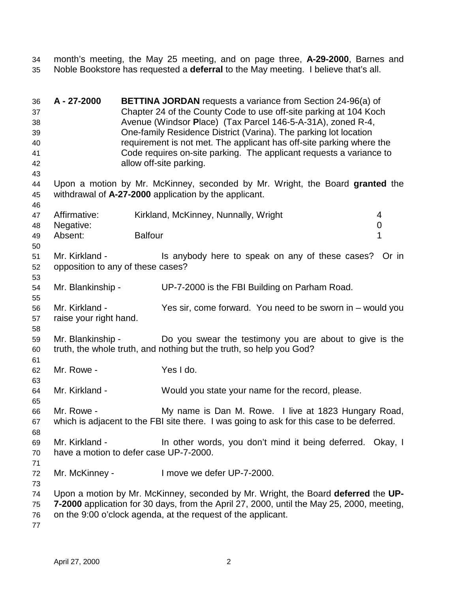34 month's meeting, the May 25 meeting, and on page three, **A-29-2000**, Barnes and 35 Noble Bookstore has requested a **deferral** to the May meeting. I believe that's all.

| 36<br>37<br>38<br>39<br>40<br>41<br>42<br>43 | A - 27-2000                                              |                | <b>BETTINA JORDAN</b> requests a variance from Section 24-96(a) of<br>Chapter 24 of the County Code to use off-site parking at 104 Koch<br>Avenue (Windsor Place) (Tax Parcel 146-5-A-31A), zoned R-4,<br>One-family Residence District (Varina). The parking lot location<br>requirement is not met. The applicant has off-site parking where the<br>Code requires on-site parking. The applicant requests a variance to<br>allow off-site parking. |             |
|----------------------------------------------|----------------------------------------------------------|----------------|------------------------------------------------------------------------------------------------------------------------------------------------------------------------------------------------------------------------------------------------------------------------------------------------------------------------------------------------------------------------------------------------------------------------------------------------------|-------------|
| 44<br>45                                     |                                                          |                | Upon a motion by Mr. McKinney, seconded by Mr. Wright, the Board granted the<br>withdrawal of A-27-2000 application by the applicant.                                                                                                                                                                                                                                                                                                                |             |
| 46<br>47<br>48<br>49                         | Affirmative:<br>Negative:<br>Absent:                     | <b>Balfour</b> | Kirkland, McKinney, Nunnally, Wright                                                                                                                                                                                                                                                                                                                                                                                                                 | 4<br>0<br>1 |
| 50<br>51<br>52<br>53                         | Mr. Kirkland -<br>opposition to any of these cases?      |                | Is anybody here to speak on any of these cases?                                                                                                                                                                                                                                                                                                                                                                                                      | Or in       |
| 54<br>55                                     | Mr. Blankinship -                                        |                | UP-7-2000 is the FBI Building on Parham Road.                                                                                                                                                                                                                                                                                                                                                                                                        |             |
| 56<br>57<br>58                               | Mr. Kirkland -<br>raise your right hand.                 |                | Yes sir, come forward. You need to be sworn in – would you                                                                                                                                                                                                                                                                                                                                                                                           |             |
| 59<br>60                                     | Mr. Blankinship -                                        |                | Do you swear the testimony you are about to give is the<br>truth, the whole truth, and nothing but the truth, so help you God?                                                                                                                                                                                                                                                                                                                       |             |
| 61<br>62<br>63                               | Mr. Rowe -                                               |                | Yes I do.                                                                                                                                                                                                                                                                                                                                                                                                                                            |             |
| 64<br>65                                     | Mr. Kirkland -                                           |                | Would you state your name for the record, please.                                                                                                                                                                                                                                                                                                                                                                                                    |             |
| 66<br>67<br>68                               | Mr. Rowe -                                               |                | My name is Dan M. Rowe. I live at 1823 Hungary Road,<br>which is adjacent to the FBI site there. I was going to ask for this case to be deferred.                                                                                                                                                                                                                                                                                                    |             |
| 69<br>70<br>71                               | Mr. Kirkland -<br>have a motion to defer case UP-7-2000. |                | In other words, you don't mind it being deferred. Okay, I                                                                                                                                                                                                                                                                                                                                                                                            |             |
| 72<br>73                                     | Mr. McKinney -                                           |                | I move we defer UP-7-2000.                                                                                                                                                                                                                                                                                                                                                                                                                           |             |
| 74<br>75<br>76<br>77                         |                                                          |                | Upon a motion by Mr. McKinney, seconded by Mr. Wright, the Board deferred the UP-<br>7-2000 application for 30 days, from the April 27, 2000, until the May 25, 2000, meeting,<br>on the 9:00 o'clock agenda, at the request of the applicant.                                                                                                                                                                                                       |             |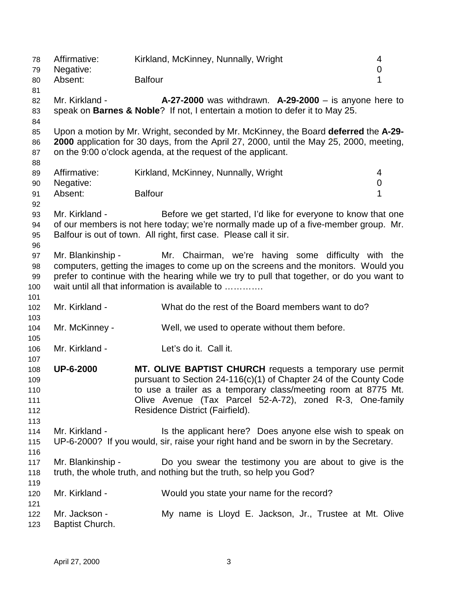78 Affirmative: Kirkland, McKinney, Nunnally, Wright 4 79 Negative: 0 80 Absent: Balfour **1** 81 82 Mr. Kirkland - **A-27-2000** was withdrawn. **A-29-2000** – is anyone here to 83 speak on **Barnes & Noble**? If not, I entertain a motion to defer it to May 25. 84 85 Upon a motion by Mr. Wright, seconded by Mr. McKinney, the Board **deferred** the **A-29-** 86 **2000** application for 30 days, from the April 27, 2000, until the May 25, 2000, meeting, 87 on the 9:00 o'clock agenda, at the request of the applicant. 88 89 Affirmative: Kirkland, McKinney, Nunnally, Wright 4 90 Negative: 0 example. The Balfour Contract of the Balfour Contract of the Second Lands of the Second Lands of the Second La 92 93 Mr. Kirkland - Before we get started, I'd like for everyone to know that one 94 of our members is not here today; we're normally made up of a five-member group. Mr. 95 Balfour is out of town. All right, first case. Please call it sir. 96 97 Mr. Blankinship - Mr. Chairman, we're having some difficulty with the 98 computers, getting the images to come up on the screens and the monitors. Would you 99 prefer to continue with the hearing while we try to pull that together, or do you want to 100 wait until all that information is available to ………… 101 102 Mr. Kirkland - What do the rest of the Board members want to do? 103 104 Mr. McKinney - Well, we used to operate without them before. 105 106 Mr. Kirkland - Let's do it. Call it. 107 108 **UP-6-2000 MT. OLIVE BAPTIST CHURCH** requests a temporary use permit 109 pursuant to Section 24-116(c)(1) of Chapter 24 of the County Code 110 to use a trailer as a temporary class/meeting room at 8775 Mt. 111 Olive Avenue (Tax Parcel 52-A-72), zoned R-3, One-family 112 Residence District (Fairfield). 113 114 Mr. Kirkland - Is the applicant here? Does anyone else wish to speak on 115 UP-6-2000? If you would, sir, raise your right hand and be sworn in by the Secretary. 116 117 Mr. Blankinship - Do you swear the testimony you are about to give is the 118 truth, the whole truth, and nothing but the truth, so help you God? 119 120 Mr. Kirkland - Would you state your name for the record? 121 122 Mr. Jackson - My name is Lloyd E. Jackson, Jr., Trustee at Mt. Olive 123 Baptist Church.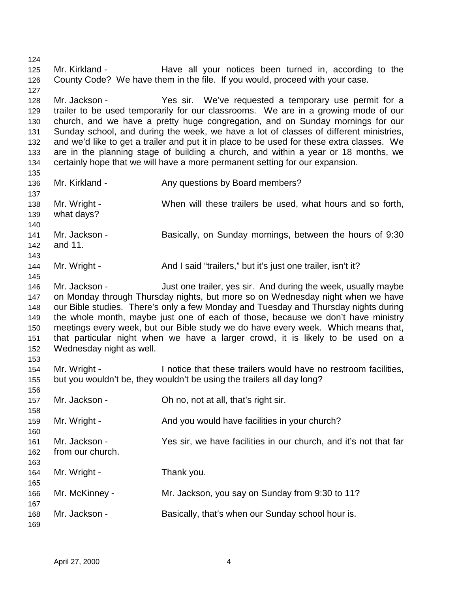124 125 Mr. Kirkland - Have all your notices been turned in, according to the 126 County Code? We have them in the file. If you would, proceed with your case. 127 128 Mr. Jackson - Yes sir. We've requested a temporary use permit for a 129 trailer to be used temporarily for our classrooms. We are in a growing mode of our 130 church, and we have a pretty huge congregation, and on Sunday mornings for our 131 Sunday school, and during the week, we have a lot of classes of different ministries, 132 and we'd like to get a trailer and put it in place to be used for these extra classes. We 133 are in the planning stage of building a church, and within a year or 18 months, we 134 certainly hope that we will have a more permanent setting for our expansion. 135 136 Mr. Kirkland - Any questions by Board members? 137 138 Mr. Wright - When will these trailers be used, what hours and so forth, 139 what days? 140 141 Mr. Jackson - Basically, on Sunday mornings, between the hours of 9:30 142 and 11. 143 144 Mr. Wright - And I said "trailers," but it's just one trailer, isn't it? 145 146 Mr. Jackson - Just one trailer, yes sir. And during the week, usually maybe 147 on Monday through Thursday nights, but more so on Wednesday night when we have 148 our Bible studies. There's only a few Monday and Tuesday and Thursday nights during 149 the whole month, maybe just one of each of those, because we don't have ministry 150 meetings every week, but our Bible study we do have every week. Which means that, 151 that particular night when we have a larger crowd, it is likely to be used on a 152 Wednesday night as well. 153 154 Mr. Wright - I notice that these trailers would have no restroom facilities, 155 but you wouldn't be, they wouldn't be using the trailers all day long? 156 157 Mr. Jackson - Oh no, not at all, that's right sir. 158 159 Mr. Wright - And you would have facilities in your church? 160 161 Mr. Jackson - Yes sir, we have facilities in our church, and it's not that far 162 from our church. 163 164 Mr. Wright - Thank you. 165 166 Mr. McKinney - Mr. Jackson, you say on Sunday from 9:30 to 11? 167 168 Mr. Jackson - Basically, that's when our Sunday school hour is. 169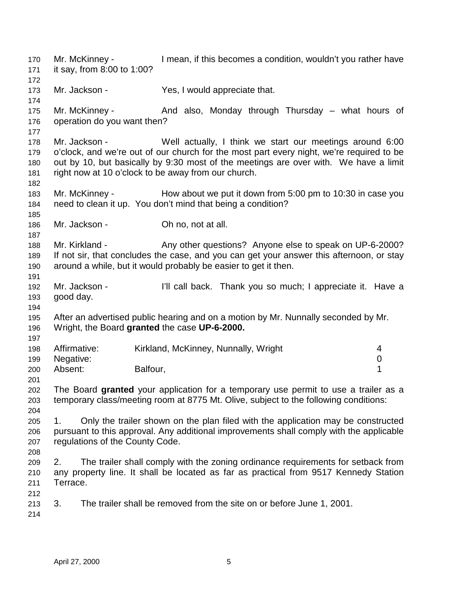170 Mr. McKinney - I mean, if this becomes a condition, wouldn't you rather have 171 it say, from 8:00 to 1:00? 172 173 Mr. Jackson - Yes, I would appreciate that. 174 175 Mr. McKinney - And also, Monday through Thursday – what hours of 176 operation do you want then? 177 178 Mr. Jackson - Well actually, I think we start our meetings around 6:00 179 o'clock, and we're out of our church for the most part every night, we're required to be 180 out by 10, but basically by 9:30 most of the meetings are over with. We have a limit 181 right now at 10 o'clock to be away from our church. 182 183 Mr. McKinney - How about we put it down from 5:00 pm to 10:30 in case you 184 need to clean it up. You don't mind that being a condition? 185 186 Mr. Jackson - **Oh no, not at all.** 187 188 Mr. Kirkland - Any other questions? Anyone else to speak on UP-6-2000? 189 If not sir, that concludes the case, and you can get your answer this afternoon, or stay 190 around a while, but it would probably be easier to get it then. 191 192 Mr. Jackson - I'll call back. Thank you so much; I appreciate it. Have a 193 good day. 194 195 After an advertised public hearing and on a motion by Mr. Nunnally seconded by Mr. 196 Wright, the Board **granted** the case **UP-6-2000.** 197 198 Affirmative: Kirkland, McKinney, Nunnally, Wright 4 199 Negative: 0 200 Absent: Balfour, 1 201 202 The Board **granted** your application for a temporary use permit to use a trailer as a 203 temporary class/meeting room at 8775 Mt. Olive, subject to the following conditions: 204 205 1. Only the trailer shown on the plan filed with the application may be constructed 206 pursuant to this approval. Any additional improvements shall comply with the applicable 207 regulations of the County Code. 208 209 2. The trailer shall comply with the zoning ordinance requirements for setback from 210 any property line. It shall be located as far as practical from 9517 Kennedy Station 211 Terrace. 212 213 3. The trailer shall be removed from the site on or before June 1, 2001. 214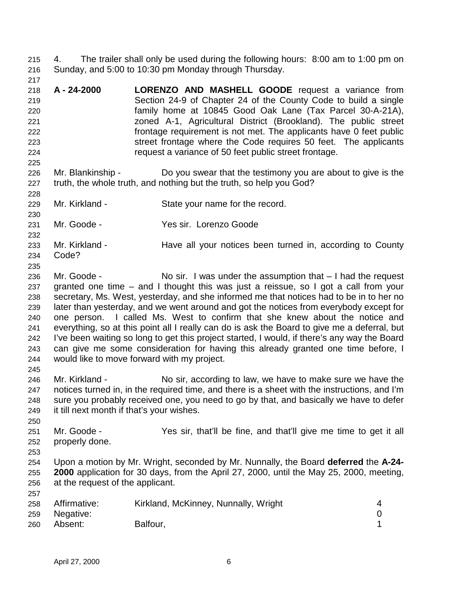215 4. The trailer shall only be used during the following hours: 8:00 am to 1:00 pm on 216 Sunday, and 5:00 to 10:30 pm Monday through Thursday.

- 217
- 218 **A 24-2000 LORENZO AND MASHELL GOODE** request a variance from 219 Section 24-9 of Chapter 24 of the County Code to build a single 220 family home at 10845 Good Oak Lane (Tax Parcel 30-A-21A), 221 zoned A-1, Agricultural District (Brookland). The public street 222 frontage requirement is not met. The applicants have 0 feet public 223 street frontage where the Code requires 50 feet. The applicants 224 request a variance of 50 feet public street frontage.
- 225 226 Mr. Blankinship - Do you swear that the testimony you are about to give is the 227 truth, the whole truth, and nothing but the truth, so help you God?
- 229 Mr. Kirkland State your name for the record.
- 230 231 Mr. Goode - Yes sir. Lorenzo Goode
- 232 233 Mr. Kirkland - Have all your notices been turned in, according to County 234 Code?
- 235

- 236 Mr. Goode No sir. I was under the assumption that I had the request 237 granted one time – and I thought this was just a reissue, so I got a call from your 238 secretary, Ms. West, yesterday, and she informed me that notices had to be in to her no 239 later than yesterday, and we went around and got the notices from everybody except for 240 one person. I called Ms. West to confirm that she knew about the notice and 241 everything, so at this point all I really can do is ask the Board to give me a deferral, but 242 I've been waiting so long to get this project started, I would, if there's any way the Board 243 can give me some consideration for having this already granted one time before, I 244 would like to move forward with my project. 245
- 246 Mr. Kirkland No sir, according to law, we have to make sure we have the 247 notices turned in, in the required time, and there is a sheet with the instructions, and I'm 248 sure you probably received one, you need to go by that, and basically we have to defer 249 it till next month if that's your wishes.
- 250 251 Mr. Goode - Yes sir, that'll be fine, and that'll give me time to get it all 252 properly done.
- 253
- 254 Upon a motion by Mr. Wright, seconded by Mr. Nunnally, the Board **deferred** the **A-24-** 255 **2000** application for 30 days, from the April 27, 2000, until the May 25, 2000, meeting, 256 at the request of the applicant. 257

| 258 | Affirmative: | Kirkland, McKinney, Nunnally, Wright |  |
|-----|--------------|--------------------------------------|--|
| 259 | Negative:    |                                      |  |
| 260 | Absent:      | Balfour,                             |  |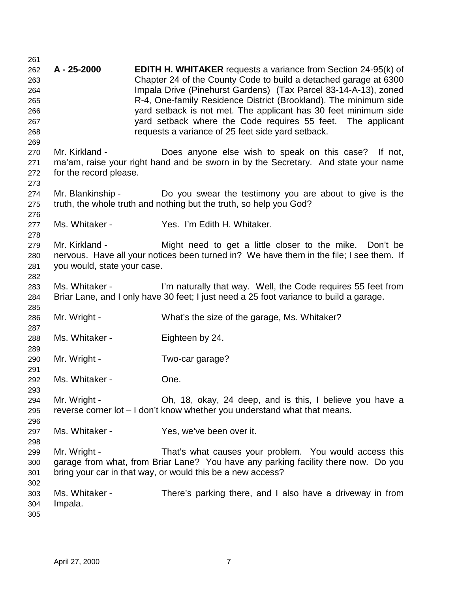261 262 **A - 25-2000 EDITH H. WHITAKER** requests a variance from Section 24-95(k) of 263 Chapter 24 of the County Code to build a detached garage at 6300 264 Impala Drive (Pinehurst Gardens) (Tax Parcel 83-14-A-13), zoned 265 R-4, One-family Residence District (Brookland). The minimum side 266 yard setback is not met. The applicant has 30 feet minimum side 267 yard setback where the Code requires 55 feet. The applicant 268 requests a variance of 25 feet side yard setback. 269 270 Mr. Kirkland - Does anyone else wish to speak on this case? If not, 271 ma'am, raise your right hand and be sworn in by the Secretary. And state your name 272 for the record please. 273 274 Mr. Blankinship - Do you swear the testimony you are about to give is the 275 truth, the whole truth and nothing but the truth, so help you God? 276 277 Ms. Whitaker - Yes. I'm Edith H. Whitaker. 278 279 Mr. Kirkland - Might need to get a little closer to the mike. Don't be 280 nervous. Have all your notices been turned in? We have them in the file; I see them. If 281 you would, state your case. 282 283 Ms. Whitaker - I'm naturally that way. Well, the Code requires 55 feet from 284 Briar Lane, and I only have 30 feet; I just need a 25 foot variance to build a garage. 285 286 Mr. Wright - What's the size of the garage, Ms. Whitaker? 287 288 Ms. Whitaker - Eighteen by 24. 289 290 Mr. Wright - Two-car garage? 291 292 Ms. Whitaker - One. 293 294 Mr. Wright - Oh, 18, okay, 24 deep, and is this, I believe you have a 295 reverse corner lot – I don't know whether you understand what that means. 296 297 Ms. Whitaker - Yes, we've been over it. 298 299 Mr. Wright - That's what causes your problem. You would access this 300 garage from what, from Briar Lane? You have any parking facility there now. Do you 301 bring your car in that way, or would this be a new access? 302 303 Ms. Whitaker - There's parking there, and I also have a driveway in from 304 Impala. 305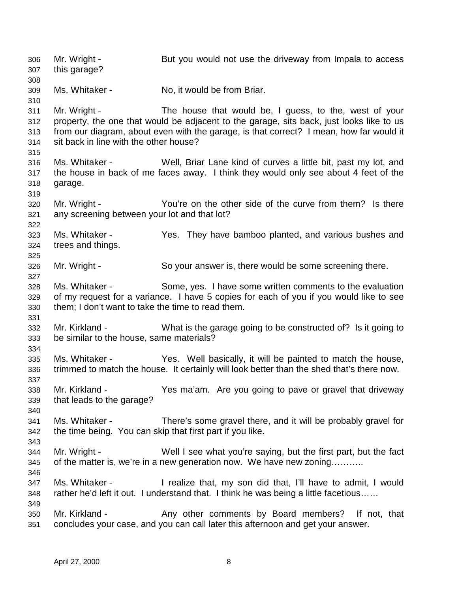306 Mr. Wright - But you would not use the driveway from Impala to access 307 this garage? 308 309 Ms. Whitaker - No, it would be from Briar. 310 311 Mr. Wright - The house that would be, I guess, to the, west of your 312 property, the one that would be adjacent to the garage, sits back, just looks like to us 313 from our diagram, about even with the garage, is that correct? I mean, how far would it 314 sit back in line with the other house? 315 316 Ms. Whitaker - Well, Briar Lane kind of curves a little bit, past my lot, and 317 the house in back of me faces away. I think they would only see about 4 feet of the 318 garage. 319 320 Mr. Wright - You're on the other side of the curve from them? Is there 321 any screening between your lot and that lot? 322 323 Ms. Whitaker - Yes. They have bamboo planted, and various bushes and 324 trees and things. 325 326 Mr. Wright - So your answer is, there would be some screening there. 327 328 Ms. Whitaker - Some, yes. I have some written comments to the evaluation 329 of my request for a variance. I have 5 copies for each of you if you would like to see 330 them; I don't want to take the time to read them. 331 332 Mr. Kirkland - What is the garage going to be constructed of? Is it going to 333 be similar to the house, same materials? 334 335 Ms. Whitaker - Yes. Well basically, it will be painted to match the house, 336 trimmed to match the house. It certainly will look better than the shed that's there now. 337 338 Mr. Kirkland - Yes ma'am. Are you going to pave or gravel that driveway 339 that leads to the garage? 340 341 Ms. Whitaker - There's some gravel there, and it will be probably gravel for 342 the time being. You can skip that first part if you like. 343 344 Mr. Wright - Well I see what you're saying, but the first part, but the fact 345 of the matter is, we're in a new generation now. We have new zoning……….. 346 347 Ms. Whitaker - I realize that, my son did that, I'll have to admit, I would 348 rather he'd left it out. I understand that. I think he was being a little facetious…… 349 350 Mr. Kirkland - Any other comments by Board members? If not, that 351 concludes your case, and you can call later this afternoon and get your answer.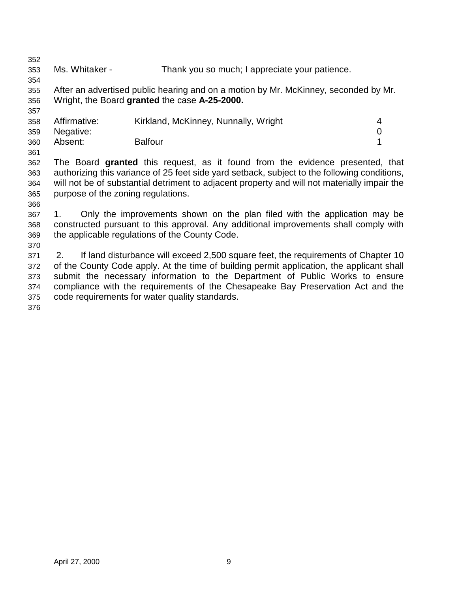352

354

357

361

353 Ms. Whitaker - Thank you so much; I appreciate your patience.

355 After an advertised public hearing and on a motion by Mr. McKinney, seconded by Mr. 356 Wright, the Board **granted** the case **A-25-2000.**

| 358 | Affirmative: | Kirkland, McKinney, Nunnally, Wright |  |
|-----|--------------|--------------------------------------|--|
| 359 | Negative:    |                                      |  |
| 360 | Absent:      | <b>Balfour</b>                       |  |

362 The Board **granted** this request, as it found from the evidence presented, that 363 authorizing this variance of 25 feet side yard setback, subject to the following conditions, 364 will not be of substantial detriment to adjacent property and will not materially impair the 365 purpose of the zoning regulations.

366

370

367 1. Only the improvements shown on the plan filed with the application may be 368 constructed pursuant to this approval. Any additional improvements shall comply with 369 the applicable regulations of the County Code.

371 2. If land disturbance will exceed 2,500 square feet, the requirements of Chapter 10 372 of the County Code apply. At the time of building permit application, the applicant shall 373 submit the necessary information to the Department of Public Works to ensure 374 compliance with the requirements of the Chesapeake Bay Preservation Act and the 375 code requirements for water quality standards.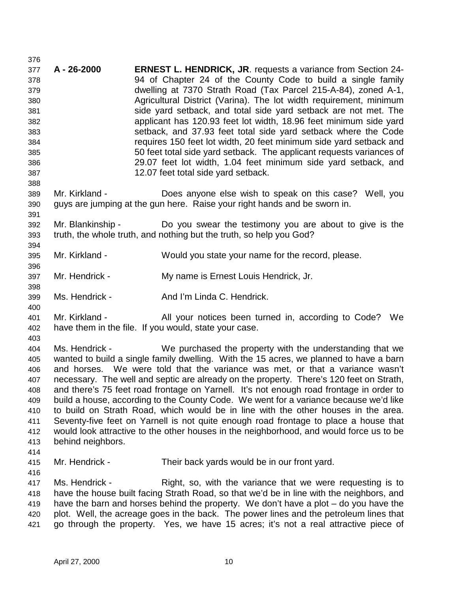377 **A - 26-2000 ERNEST L. HENDRICK, JR**. requests a variance from Section 24- 378 94 of Chapter 24 of the County Code to build a single family 379 dwelling at 7370 Strath Road (Tax Parcel 215-A-84), zoned A-1, 380 Agricultural District (Varina). The lot width requirement, minimum 381 side yard setback, and total side yard setback are not met. The 382 applicant has 120.93 feet lot width, 18.96 feet minimum side yard 383 setback, and 37.93 feet total side yard setback where the Code 384 requires 150 feet lot width, 20 feet minimum side yard setback and 385 50 feet total side yard setback. The applicant requests variances of 386 29.07 feet lot width, 1.04 feet minimum side yard setback, and 387 12.07 feet total side yard setback. 388 389 Mr. Kirkland - Does anyone else wish to speak on this case? Well, you 390 guys are jumping at the gun here. Raise your right hands and be sworn in. 391 392 Mr. Blankinship - Do you swear the testimony you are about to give is the 393 truth, the whole truth, and nothing but the truth, so help you God? 394 395 Mr. Kirkland - Would you state your name for the record, please. 396 397 Mr. Hendrick - My name is Ernest Louis Hendrick, Jr. 398 399 Ms. Hendrick - And I'm Linda C. Hendrick. 400 401 Mr. Kirkland - All your notices been turned in, according to Code? We 402 have them in the file. If you would, state your case. 403 404 Ms. Hendrick - We purchased the property with the understanding that we 405 wanted to build a single family dwelling. With the 15 acres, we planned to have a barn 406 and horses. We were told that the variance was met, or that a variance wasn't 407 necessary. The well and septic are already on the property. There's 120 feet on Strath, 408 and there's 75 feet road frontage on Yarnell. It's not enough road frontage in order to 409 build a house, according to the County Code. We went for a variance because we'd like 410 to build on Strath Road, which would be in line with the other houses in the area. 411 Seventy-five feet on Yarnell is not quite enough road frontage to place a house that 412 would look attractive to the other houses in the neighborhood, and would force us to be 413 behind neighbors. 414 415 Mr. Hendrick - Their back yards would be in our front yard. 416 417 Ms. Hendrick - Right, so, with the variance that we were requesting is to 418 have the house built facing Strath Road, so that we'd be in line with the neighbors, and 419 have the barn and horses behind the property. We don't have a plot – do you have the 420 plot. Well, the acreage goes in the back. The power lines and the petroleum lines that 421 go through the property. Yes, we have 15 acres; it's not a real attractive piece of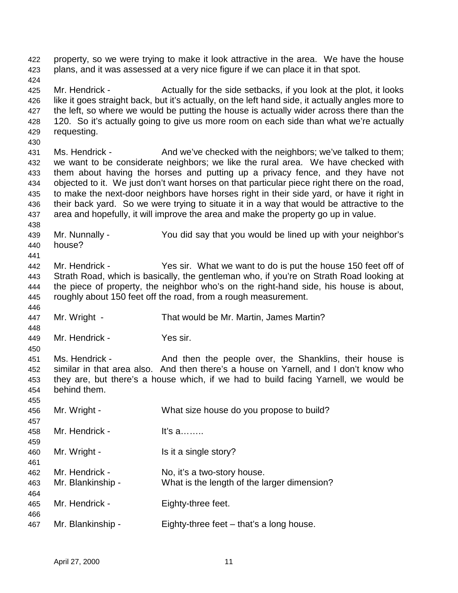424 425 Mr. Hendrick - Actually for the side setbacks, if you look at the plot, it looks 426 like it goes straight back, but it's actually, on the left hand side, it actually angles more to 427 the left, so where we would be putting the house is actually wider across there than the 428 120. So it's actually going to give us more room on each side than what we're actually 429 requesting. 430 431 Ms. Hendrick - And we've checked with the neighbors; we've talked to them; 432 we want to be considerate neighbors; we like the rural area. We have checked with 433 them about having the horses and putting up a privacy fence, and they have not 434 objected to it. We just don't want horses on that particular piece right there on the road, 435 to make the next-door neighbors have horses right in their side yard, or have it right in 436 their back yard. So we were trying to situate it in a way that would be attractive to the 437 area and hopefully, it will improve the area and make the property go up in value. 438 439 Mr. Nunnally - You did say that you would be lined up with your neighbor's 440 house? 441 442 Mr. Hendrick - Yes sir. What we want to do is put the house 150 feet off of 443 Strath Road, which is basically, the gentleman who, if you're on Strath Road looking at 444 the piece of property, the neighbor who's on the right-hand side, his house is about, 445 roughly about 150 feet off the road, from a rough measurement. 446 447 Mr. Wright - That would be Mr. Martin, James Martin? 448 449 Mr. Hendrick - Yes sir. 450 451 Ms. Hendrick - And then the people over, the Shanklins, their house is 452 similar in that area also. And then there's a house on Yarnell, and I don't know who 453 they are, but there's a house which, if we had to build facing Yarnell, we would be 454 behind them. 455 456 Mr. Wright - What size house do you propose to build? 457 458 Mr. Hendrick - It's a…….. 459 460 Mr. Wright - Is it a single story? 461 462 Mr. Hendrick - No, it's a two-story house. 463 Mr. Blankinship - What is the length of the larger dimension? 464 465 Mr. Hendrick - Eighty-three feet. 466 467 Mr. Blankinship - Eighty-three feet – that's a long house.

422 property, so we were trying to make it look attractive in the area. We have the house

423 plans, and it was assessed at a very nice figure if we can place it in that spot.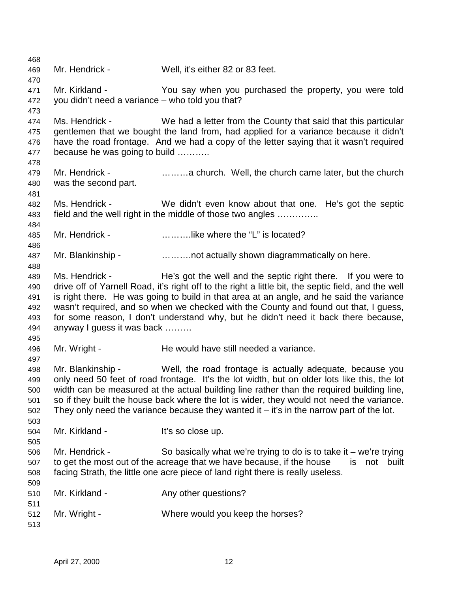468 469 Mr. Hendrick - Well, it's either 82 or 83 feet. 470 471 Mr. Kirkland - You say when you purchased the property, you were told 472 you didn't need a variance – who told you that? 473 474 Ms. Hendrick - We had a letter from the County that said that this particular 475 gentlemen that we bought the land from, had applied for a variance because it didn't 476 have the road frontage. And we had a copy of the letter saying that it wasn't required 477 because he was going to build ……….. 478 479 Mr. Hendrick - ………a church. Well, the church came later, but the church 480 was the second part. 481 482 Ms. Hendrick - We didn't even know about that one. He's got the septic 483 field and the well right in the middle of those two angles ………….. 484 485 Mr. Hendrick - ……….like where the "L" is located? 486 487 Mr. Blankinship - ……….not actually shown diagrammatically on here. 488 489 Ms. Hendrick - He's got the well and the septic right there. If you were to 490 drive off of Yarnell Road, it's right off to the right a little bit, the septic field, and the well 491 is right there. He was going to build in that area at an angle, and he said the variance 492 wasn't required, and so when we checked with the County and found out that, I guess, 493 for some reason, I don't understand why, but he didn't need it back there because, 494 anyway I guess it was back ……… 495 496 Mr. Wright - He would have still needed a variance. 497 498 Mr. Blankinship - Well, the road frontage is actually adequate, because you 499 only need 50 feet of road frontage. It's the lot width, but on older lots like this, the lot 500 width can be measured at the actual building line rather than the required building line, 501 so if they built the house back where the lot is wider, they would not need the variance. 502 They only need the variance because they wanted it  $-$  it's in the narrow part of the lot. 503 504 Mr. Kirkland - It's so close up. 505 506 Mr. Hendrick - So basically what we're trying to do is to take it – we're trying 507 to get the most out of the acreage that we have because, if the house is not built 508 facing Strath, the little one acre piece of land right there is really useless. 509 510 Mr. Kirkland - Any other questions? 511 512 Mr. Wright - Where would you keep the horses? 513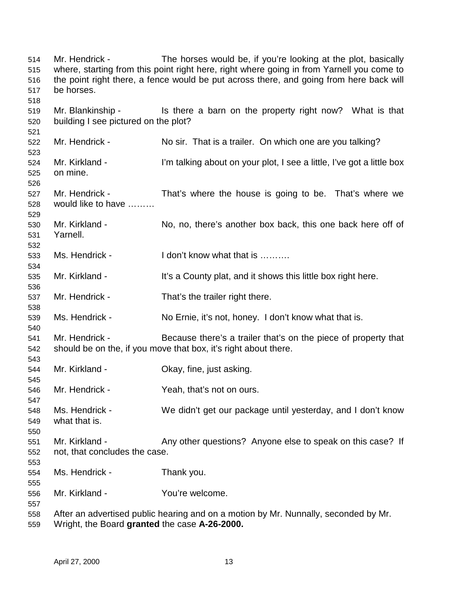514 Mr. Hendrick - The horses would be, if you're looking at the plot, basically 515 where, starting from this point right here, right where going in from Yarnell you come to 516 the point right there, a fence would be put across there, and going from here back will 517 be horses. 518 519 Mr. Blankinship - Is there a barn on the property right now? What is that 520 building I see pictured on the plot? 521 522 Mr. Hendrick - No sir. That is a trailer. On which one are you talking? 523 524 Mr. Kirkland - I'm talking about on your plot, I see a little, I've got a little box 525 on mine. 526 527 Mr. Hendrick - That's where the house is going to be. That's where we 528 would like to have ……… 529 530 Mr. Kirkland - No, no, there's another box back, this one back here off of 531 Yarnell. 532 533 Ms. Hendrick - I don't know what that is ………. 534 535 Mr. Kirkland - It's a County plat, and it shows this little box right here. 536 537 Mr. Hendrick - That's the trailer right there. 538 539 Ms. Hendrick - No Ernie, it's not, honey. I don't know what that is. 540 541 Mr. Hendrick - Because there's a trailer that's on the piece of property that 542 should be on the, if you move that box, it's right about there. 543 544 Mr. Kirkland - Okay, fine, just asking. 545 546 Mr. Hendrick - Yeah, that's not on ours. 547 548 Ms. Hendrick - We didn't get our package until yesterday, and I don't know 549 what that is. 550 551 Mr. Kirkland - Any other questions? Anyone else to speak on this case? If 552 not, that concludes the case. 553 554 Ms. Hendrick - Thank you. 555 556 Mr. Kirkland - You're welcome. 557 558 After an advertised public hearing and on a motion by Mr. Nunnally, seconded by Mr. 559 Wright, the Board **granted** the case **A-26-2000.**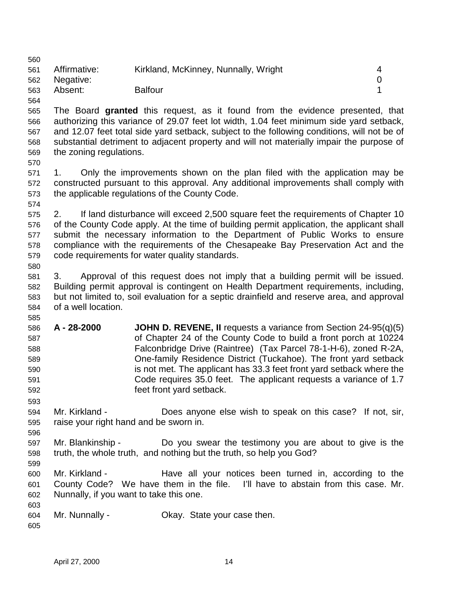| 560        |                                                                                            |                                                                                             |                  |
|------------|--------------------------------------------------------------------------------------------|---------------------------------------------------------------------------------------------|------------------|
| 561        | Affirmative:                                                                               | Kirkland, McKinney, Nunnally, Wright                                                        | 4                |
| 562        | Negative:                                                                                  |                                                                                             | $\boldsymbol{0}$ |
| 563        | Absent:                                                                                    | <b>Balfour</b>                                                                              | 1                |
| 564        |                                                                                            |                                                                                             |                  |
| 565        |                                                                                            | The Board granted this request, as it found from the evidence presented, that               |                  |
| 566        |                                                                                            | authorizing this variance of 29.07 feet lot width, 1.04 feet minimum side yard setback,     |                  |
| 567        |                                                                                            | and 12.07 feet total side yard setback, subject to the following conditions, will not be of |                  |
| 568        |                                                                                            | substantial detriment to adjacent property and will not materially impair the purpose of    |                  |
| 569        | the zoning regulations.                                                                    |                                                                                             |                  |
| 570        |                                                                                            |                                                                                             |                  |
| 571        | 1.                                                                                         | Only the improvements shown on the plan filed with the application may be                   |                  |
| 572        |                                                                                            | constructed pursuant to this approval. Any additional improvements shall comply with        |                  |
| 573        |                                                                                            | the applicable regulations of the County Code.                                              |                  |
| 574        |                                                                                            |                                                                                             |                  |
| 575        | 2.                                                                                         | If land disturbance will exceed 2,500 square feet the requirements of Chapter 10            |                  |
| 576        |                                                                                            | of the County Code apply. At the time of building permit application, the applicant shall   |                  |
| 577        |                                                                                            | submit the necessary information to the Department of Public Works to ensure                |                  |
|            |                                                                                            | compliance with the requirements of the Chesapeake Bay Preservation Act and the             |                  |
| 578        |                                                                                            | code requirements for water quality standards.                                              |                  |
| 579<br>580 |                                                                                            |                                                                                             |                  |
| 581        | 3.                                                                                         | Approval of this request does not imply that a building permit will be issued.              |                  |
|            |                                                                                            | Building permit approval is contingent on Health Department requirements, including,        |                  |
| 582        |                                                                                            |                                                                                             |                  |
| 583        | but not limited to, soil evaluation for a septic drainfield and reserve area, and approval |                                                                                             |                  |
| 584        | of a well location.                                                                        |                                                                                             |                  |
| 585        | A - 28-2000                                                                                | <b>JOHN D. REVENE, II</b> requests a variance from Section $24-95(q)(5)$                    |                  |
| 586        |                                                                                            | of Chapter 24 of the County Code to build a front porch at 10224                            |                  |
| 587        |                                                                                            | Falconbridge Drive (Raintree) (Tax Parcel 78-1-H-6), zoned R-2A,                            |                  |
| 588        |                                                                                            | One-family Residence District (Tuckahoe). The front yard setback                            |                  |
| 589        |                                                                                            | is not met. The applicant has 33.3 feet front yard setback where the                        |                  |
| 590        |                                                                                            | Code requires 35.0 feet. The applicant requests a variance of 1.7                           |                  |
| 591        |                                                                                            |                                                                                             |                  |
| 592        |                                                                                            | feet front yard setback.                                                                    |                  |
| 593        |                                                                                            |                                                                                             |                  |
| 594        | Mr. Kirkland -                                                                             | Does anyone else wish to speak on this case? If not, sir,                                   |                  |
| 595        | raise your right hand and be sworn in.                                                     |                                                                                             |                  |
| 596        |                                                                                            |                                                                                             |                  |
| 597        | Mr. Blankinship -                                                                          | Do you swear the testimony you are about to give is the                                     |                  |
| 598        |                                                                                            | truth, the whole truth, and nothing but the truth, so help you God?                         |                  |
| 599        |                                                                                            |                                                                                             |                  |
| 600        | Mr. Kirkland -                                                                             | Have all your notices been turned in, according to the                                      |                  |
| 601        |                                                                                            | County Code? We have them in the file. I'll have to abstain from this case. Mr.             |                  |
| 602        | Nunnally, if you want to take this one.                                                    |                                                                                             |                  |
| 603        |                                                                                            |                                                                                             |                  |
| 604        | Mr. Nunnally -                                                                             | Okay. State your case then.                                                                 |                  |
| 605        |                                                                                            |                                                                                             |                  |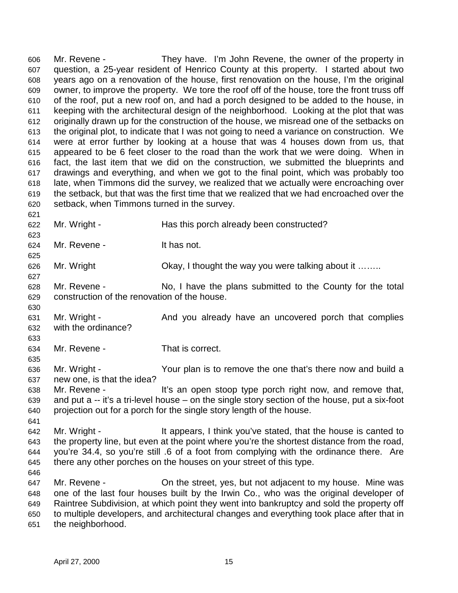606 Mr. Revene - They have. I'm John Revene, the owner of the property in 607 question, a 25-year resident of Henrico County at this property. I started about two 608 years ago on a renovation of the house, first renovation on the house, I'm the original 609 owner, to improve the property. We tore the roof off of the house, tore the front truss off 610 of the roof, put a new roof on, and had a porch designed to be added to the house, in 611 keeping with the architectural design of the neighborhood. Looking at the plot that was 612 originally drawn up for the construction of the house, we misread one of the setbacks on 613 the original plot, to indicate that I was not going to need a variance on construction. We 614 were at error further by looking at a house that was 4 houses down from us, that 615 appeared to be 6 feet closer to the road than the work that we were doing. When in 616 fact, the last item that we did on the construction, we submitted the blueprints and 617 drawings and everything, and when we got to the final point, which was probably too 618 late, when Timmons did the survey, we realized that we actually were encroaching over 619 the setback, but that was the first time that we realized that we had encroached over the 620 setback, when Timmons turned in the survey. 621

622 Mr. Wright - Has this porch already been constructed? 623

625

627

630

624 Mr. Revene - It has not.

626 Mr. Wright **Chay, I thought the way you were talking about it …….** 

628 Mr. Revene - No, I have the plans submitted to the County for the total 629 construction of the renovation of the house.

631 Mr. Wright - And you already have an uncovered porch that complies 632 with the ordinance?

633

635

641

646

634 Mr. Revene - That is correct.

636 Mr. Wright - Your plan is to remove the one that's there now and build a 637 new one, is that the idea?

638 Mr. Revene - It's an open stoop type porch right now, and remove that, 639 and put a -- it's a tri-level house – on the single story section of the house, put a six-foot 640 projection out for a porch for the single story length of the house.

642 Mr. Wright - It appears, I think you've stated, that the house is canted to 643 the property line, but even at the point where you're the shortest distance from the road, 644 you're 34.4, so you're still .6 of a foot from complying with the ordinance there. Are 645 there any other porches on the houses on your street of this type.

647 Mr. Revene - Christe at reet, yes, but not adjacent to my house. Mine was 648 one of the last four houses built by the Irwin Co., who was the original developer of 649 Raintree Subdivision, at which point they went into bankruptcy and sold the property off 650 to multiple developers, and architectural changes and everything took place after that in 651 the neighborhood.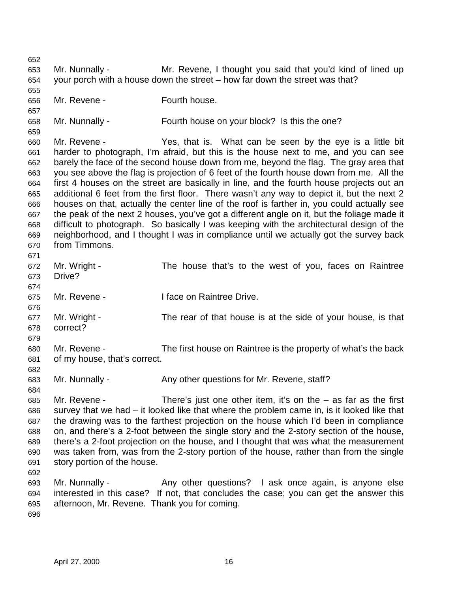652 653 Mr. Nunnally - Mr. Revene, I thought you said that you'd kind of lined up 654 your porch with a house down the street – how far down the street was that? 655 656 Mr. Revene - Fourth house. 657 658 Mr. Nunnally - Fourth house on your block? Is this the one? 659 660 Mr. Revene - Yes, that is. What can be seen by the eye is a little bit 661 harder to photograph, I'm afraid, but this is the house next to me, and you can see 662 barely the face of the second house down from me, beyond the flag. The gray area that 663 you see above the flag is projection of 6 feet of the fourth house down from me. All the 664 first 4 houses on the street are basically in line, and the fourth house projects out an 665 additional 6 feet from the first floor. There wasn't any way to depict it, but the next 2 666 houses on that, actually the center line of the roof is farther in, you could actually see 667 the peak of the next 2 houses, you've got a different angle on it, but the foliage made it 668 difficult to photograph. So basically I was keeping with the architectural design of the 669 neighborhood, and I thought I was in compliance until we actually got the survey back 670 from Timmons. 671 672 Mr. Wright - The house that's to the west of you, faces on Raintree 673 Drive? 674 675 Mr. Revene - I face on Raintree Drive. 676 677 Mr. Wright - The rear of that house is at the side of your house, is that 678 correct? 679 680 Mr. Revene - The first house on Raintree is the property of what's the back 681 of my house, that's correct. 682 683 Mr. Nunnally - Any other questions for Mr. Revene, staff? 684 685 Mr. Revene - There's just one other item, it's on the – as far as the first 686 survey that we had – it looked like that where the problem came in, is it looked like that 687 the drawing was to the farthest projection on the house which I'd been in compliance 688 on, and there's a 2-foot between the single story and the 2-story section of the house, 689 there's a 2-foot projection on the house, and I thought that was what the measurement 690 was taken from, was from the 2-story portion of the house, rather than from the single 691 story portion of the house. 692 693 Mr. Nunnally - Any other questions? I ask once again, is anyone else 694 interested in this case? If not, that concludes the case; you can get the answer this 695 afternoon, Mr. Revene. Thank you for coming. 696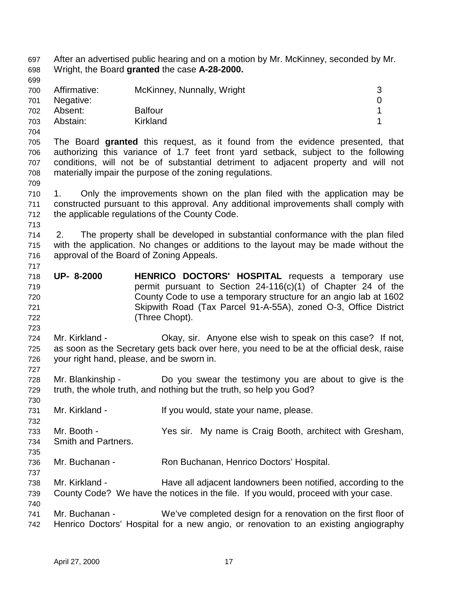697 After an advertised public hearing and on a motion by Mr. McKinney, seconded by Mr. 698 Wright, the Board **granted** the case **A-28-2000.** 699 700 Affirmative: McKinney, Nunnally, Wright 3 701 Negative: 0 702 Absent: Balfour 1 703 Abstain: Kirkland 1 704 705 The Board **granted** this request, as it found from the evidence presented, that 706 authorizing this variance of 1.7 feet front yard setback, subject to the following 707 conditions, will not be of substantial detriment to adjacent property and will not 708 materially impair the purpose of the zoning regulations. 709 710 1. Only the improvements shown on the plan filed with the application may be 711 constructed pursuant to this approval. Any additional improvements shall comply with 712 the applicable regulations of the County Code. 713 714 2. The property shall be developed in substantial conformance with the plan filed 715 with the application. No changes or additions to the layout may be made without the 716 approval of the Board of Zoning Appeals. 717 718 **UP- 8-2000 HENRICO DOCTORS' HOSPITAL** requests a temporary use 719 permit pursuant to Section 24-116(c)(1) of Chapter 24 of the 720 County Code to use a temporary structure for an angio lab at 1602 721 Skipwith Road (Tax Parcel 91-A-55A), zoned O-3, Office District 722 (Three Chopt). 723 724 Mr. Kirkland - Okay, sir. Anyone else wish to speak on this case? If not, 725 as soon as the Secretary gets back over here, you need to be at the official desk, raise 726 your right hand, please, and be sworn in. 727 728 Mr. Blankinship - Do you swear the testimony you are about to give is the 729 truth, the whole truth, and nothing but the truth, so help you God? 730 731 Mr. Kirkland - If you would, state your name, please. 732 733 Mr. Booth - Yes sir. My name is Craig Booth, architect with Gresham, 734 Smith and Partners. 735 736 Mr. Buchanan - Ron Buchanan, Henrico Doctors' Hospital. 737 738 Mr. Kirkland - Have all adjacent landowners been notified, according to the 739 County Code? We have the notices in the file. If you would, proceed with your case. 740 741 Mr. Buchanan - We've completed design for a renovation on the first floor of 742 Henrico Doctors' Hospital for a new angio, or renovation to an existing angiography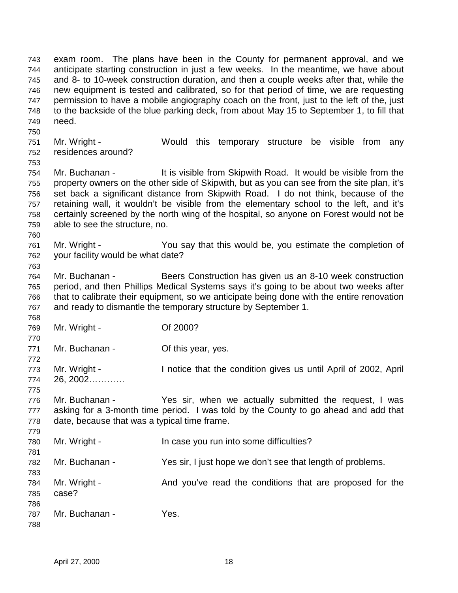743 exam room. The plans have been in the County for permanent approval, and we 744 anticipate starting construction in just a few weeks. In the meantime, we have about 745 and 8- to 10-week construction duration, and then a couple weeks after that, while the 746 new equipment is tested and calibrated, so for that period of time, we are requesting 747 permission to have a mobile angiography coach on the front, just to the left of the, just 748 to the backside of the blue parking deck, from about May 15 to September 1, to fill that 749 need. 750

- 751 Mr. Wright Would this temporary structure be visible from any 752 residences around?
- 753 754 Mr. Buchanan - It is visible from Skipwith Road. It would be visible from the 755 property owners on the other side of Skipwith, but as you can see from the site plan, it's 756 set back a significant distance from Skipwith Road. I do not think, because of the 757 retaining wall, it wouldn't be visible from the elementary school to the left, and it's 758 certainly screened by the north wing of the hospital, so anyone on Forest would not be 759 able to see the structure, no.
- 760 761 Mr. Wright - You say that this would be, you estimate the completion of 762 your facility would be what date?
- 764 Mr. Buchanan Beers Construction has given us an 8-10 week construction 765 period, and then Phillips Medical Systems says it's going to be about two weeks after 766 that to calibrate their equipment, so we anticipate being done with the entire renovation 767 and ready to dismantle the temporary structure by September 1.
- 768 769 Mr. Wright - Of 2000?
- 770 771 Mr. Buchanan - **Of this year, yes.**
- 772 773 Mr. Wright - I notice that the condition gives us until April of 2002, April 774 26, 2002…………
- 775

779

788

- 776 Mr. Buchanan Yes sir, when we actually submitted the request, I was 777 asking for a 3-month time period. I was told by the County to go ahead and add that 778 date, because that was a typical time frame.
- 780 Mr. Wright In case you run into some difficulties? 781
- 782 Mr. Buchanan Yes sir, I just hope we don't see that length of problems.
- 783 784 Mr. Wright - And you've read the conditions that are proposed for the 785 case?
- 786 787 Mr. Buchanan - Yes.
	- April 27, 2000 18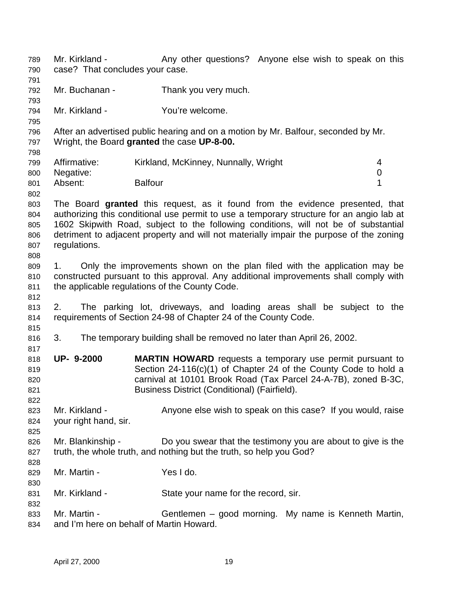789 Mr. Kirkland - Any other questions? Anyone else wish to speak on this 790 case? That concludes your case. 791 792 Mr. Buchanan - Thank you very much. 793 794 Mr. Kirkland - You're welcome. 795 796 After an advertised public hearing and on a motion by Mr. Balfour, seconded by Mr. 797 Wright, the Board **granted** the case **UP-8-00.** 798 799 Affirmative: Kirkland, McKinney, Nunnally, Wright 4 800 Negative: 0 801 Absent: Balfour Balfour 1 802 803 The Board **granted** this request, as it found from the evidence presented, that 804 authorizing this conditional use permit to use a temporary structure for an angio lab at 805 1602 Skipwith Road, subject to the following conditions, will not be of substantial 806 detriment to adjacent property and will not materially impair the purpose of the zoning 807 regulations. 808 809 1. Only the improvements shown on the plan filed with the application may be 810 constructed pursuant to this approval. Any additional improvements shall comply with 811 the applicable regulations of the County Code. 812 813 2. The parking lot, driveways, and loading areas shall be subject to the 814 requirements of Section 24-98 of Chapter 24 of the County Code. 815 816 3. The temporary building shall be removed no later than April 26, 2002. 817 818 **UP- 9-2000 MARTIN HOWARD** requests a temporary use permit pursuant to 819 Section 24-116(c)(1) of Chapter 24 of the County Code to hold a 820 carnival at 10101 Brook Road (Tax Parcel 24-A-7B), zoned B-3C, 821 Business District (Conditional) (Fairfield). 822 823 Mr. Kirkland - Anyone else wish to speak on this case? If you would, raise 824 your right hand, sir. 825 826 Mr. Blankinship - Do you swear that the testimony you are about to give is the 827 truth, the whole truth, and nothing but the truth, so help you God? 828 829 Mr. Martin - Yes I do. 830 831 Mr. Kirkland - State your name for the record, sir. 832 833 Mr. Martin - Gentlemen – good morning. My name is Kenneth Martin, 834 and I'm here on behalf of Martin Howard.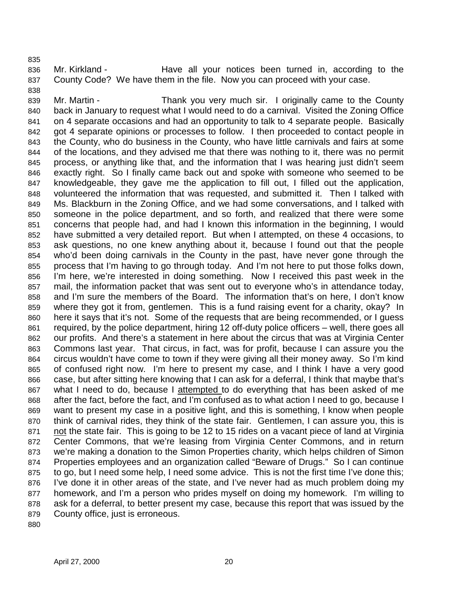835

838

836 Mr. Kirkland - Have all your notices been turned in, according to the 837 County Code? We have them in the file. Now you can proceed with your case.

839 Mr. Martin - Thank you very much sir. I originally came to the County 840 back in January to request what I would need to do a carnival. Visited the Zoning Office 841 on 4 separate occasions and had an opportunity to talk to 4 separate people. Basically 842 got 4 separate opinions or processes to follow. I then proceeded to contact people in 843 the County, who do business in the County, who have little carnivals and fairs at some 844 of the locations, and they advised me that there was nothing to it, there was no permit 845 process, or anything like that, and the information that I was hearing just didn't seem 846 exactly right. So I finally came back out and spoke with someone who seemed to be 847 knowledgeable, they gave me the application to fill out, I filled out the application, 848 volunteered the information that was requested, and submitted it. Then I talked with 849 Ms. Blackburn in the Zoning Office, and we had some conversations, and I talked with 850 someone in the police department, and so forth, and realized that there were some 851 concerns that people had, and had I known this information in the beginning, I would 852 have submitted a very detailed report. But when I attempted, on these 4 occasions, to 853 ask questions, no one knew anything about it, because I found out that the people 854 who'd been doing carnivals in the County in the past, have never gone through the 855 process that I'm having to go through today. And I'm not here to put those folks down, 856 I'm here, we're interested in doing something. Now I received this past week in the 857 mail, the information packet that was sent out to everyone who's in attendance today, 858 and I'm sure the members of the Board. The information that's on here, I don't know 859 where they got it from, gentlemen. This is a fund raising event for a charity, okay? In 860 here it says that it's not. Some of the requests that are being recommended, or I guess 861 required, by the police department, hiring 12 off-duty police officers – well, there goes all 862 our profits. And there's a statement in here about the circus that was at Virginia Center 863 Commons last year. That circus, in fact, was for profit, because I can assure you the 864 circus wouldn't have come to town if they were giving all their money away. So I'm kind 865 of confused right now. I'm here to present my case, and I think I have a very good 866 case, but after sitting here knowing that I can ask for a deferral, I think that maybe that's 867 what I need to do, because I attempted to do everything that has been asked of me 868 after the fact, before the fact, and I'm confused as to what action I need to go, because I 869 want to present my case in a positive light, and this is something, I know when people 870 think of carnival rides, they think of the state fair. Gentlemen, I can assure you, this is 871 not the state fair. This is going to be 12 to 15 rides on a vacant piece of land at Virginia 872 Center Commons, that we're leasing from Virginia Center Commons, and in return 873 we're making a donation to the Simon Properties charity, which helps children of Simon 874 Properties employees and an organization called "Beware of Drugs." So I can continue 875 to go, but I need some help, I need some advice. This is not the first time I've done this; 876 I've done it in other areas of the state, and I've never had as much problem doing my 877 homework, and I'm a person who prides myself on doing my homework. I'm willing to 878 ask for a deferral, to better present my case, because this report that was issued by the 879 County office, just is erroneous.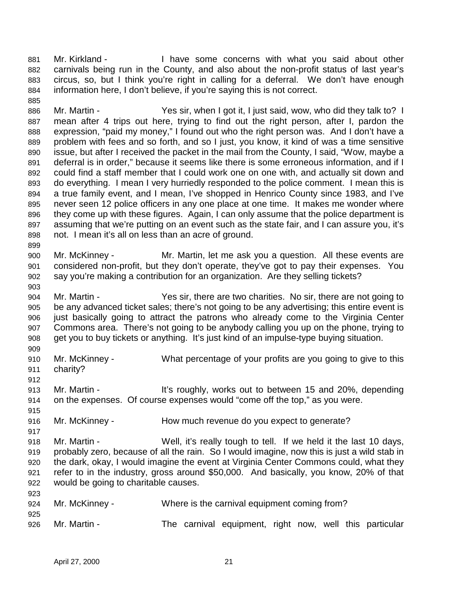881 Mr. Kirkland - I have some concerns with what you said about other 882 carnivals being run in the County, and also about the non-profit status of last year's 883 circus, so, but I think you're right in calling for a deferral. We don't have enough 884 information here, I don't believe, if you're saying this is not correct.

886 Mr. Martin - Yes sir, when I got it, I just said, wow, who did they talk to? I 887 mean after 4 trips out here, trying to find out the right person, after I, pardon the 888 expression, "paid my money," I found out who the right person was. And I don't have a 889 problem with fees and so forth, and so I just, you know, it kind of was a time sensitive 890 issue, but after I received the packet in the mail from the County, I said, "Wow, maybe a 891 deferral is in order," because it seems like there is some erroneous information, and if I 892 could find a staff member that I could work one on one with, and actually sit down and 893 do everything. I mean I very hurriedly responded to the police comment. I mean this is 894 a true family event, and I mean, I've shopped in Henrico County since 1983, and I've 895 never seen 12 police officers in any one place at one time. It makes me wonder where 896 they come up with these figures. Again, I can only assume that the police department is 897 assuming that we're putting on an event such as the state fair, and I can assure you, it's 898 not. I mean it's all on less than an acre of ground.

- 900 Mr. McKinney Mr. Martin, let me ask you a question. All these events are 901 considered non-profit, but they don't operate, they've got to pay their expenses. You 902 say you're making a contribution for an organization. Are they selling tickets?
- 904 Mr. Martin Yes sir, there are two charities. No sir, there are not going to 905 be any advanced ticket sales; there's not going to be any advertising; this entire event is 906 just basically going to attract the patrons who already come to the Virginia Center 907 Commons area. There's not going to be anybody calling you up on the phone, trying to 908 get you to buy tickets or anything. It's just kind of an impulse-type buying situation.
- 909 910 Mr. McKinney - What percentage of your profits are you going to give to this 911 charity? 912
- 913 Mr. Martin It's roughly, works out to between 15 and 20%, depending 914 on the expenses. Of course expenses would "come off the top," as you were.
- 916 Mr. McKinney How much revenue do you expect to generate?
- 918 Mr. Martin Well, it's really tough to tell. If we held it the last 10 days, 919 probably zero, because of all the rain. So I would imagine, now this is just a wild stab in 920 the dark, okay, I would imagine the event at Virginia Center Commons could, what they 921 refer to in the industry, gross around \$50,000. And basically, you know, 20% of that 922 would be going to charitable causes.

| --- |                |  |                                                         |  |  |  |
|-----|----------------|--|---------------------------------------------------------|--|--|--|
| 924 | Mr. McKinney - |  | Where is the carnival equipment coming from?            |  |  |  |
| 925 |                |  |                                                         |  |  |  |
| 926 | Mr. Martin -   |  | The carnival equipment, right now, well this particular |  |  |  |

885

899

903

915

917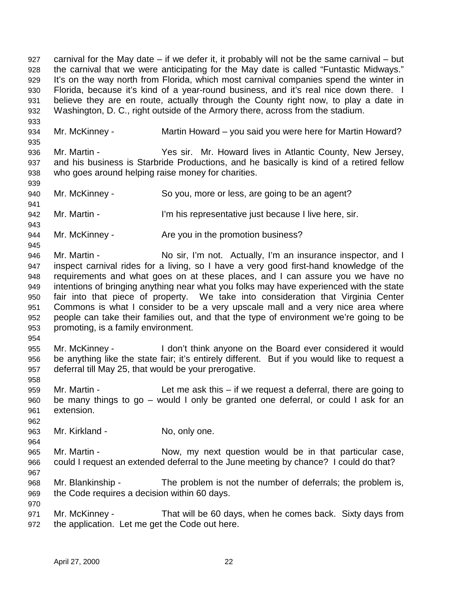927 carnival for the May date – if we defer it, it probably will not be the same carnival – but 928 the carnival that we were anticipating for the May date is called "Funtastic Midways." 929 It's on the way north from Florida, which most carnival companies spend the winter in 930 Florida, because it's kind of a year-round business, and it's real nice down there. I 931 believe they are en route, actually through the County right now, to play a date in 932 Washington, D. C., right outside of the Armory there, across from the stadium. 933 934 Mr. McKinney - Martin Howard – you said you were here for Martin Howard? 935 936 Mr. Martin - Yes sir. Mr. Howard lives in Atlantic County, New Jersey, 937 and his business is Starbride Productions, and he basically is kind of a retired fellow 938 who goes around helping raise money for charities. 939 940 Mr. McKinney - So you, more or less, are going to be an agent? 941 942 Mr. Martin - I'm his representative just because I live here, sir. 943 944 Mr. McKinney - Are you in the promotion business? 945 946 Mr. Martin - No sir, I'm not. Actually, I'm an insurance inspector, and I 947 inspect carnival rides for a living, so I have a very good first-hand knowledge of the 948 requirements and what goes on at these places, and I can assure you we have no 949 intentions of bringing anything near what you folks may have experienced with the state 950 fair into that piece of property. We take into consideration that Virginia Center 951 Commons is what I consider to be a very upscale mall and a very nice area where 952 people can take their families out, and that the type of environment we're going to be 953 promoting, is a family environment. 954 955 Mr. McKinney - I don't think anyone on the Board ever considered it would 956 be anything like the state fair; it's entirely different. But if you would like to request a 957 deferral till May 25, that would be your prerogative. 958 959 Mr. Martin - Let me ask this – if we request a deferral, there are going to 960 be many things to go – would I only be granted one deferral, or could I ask for an 961 extension. 962 963 Mr. Kirkland - No, only one. 964 965 Mr. Martin - Now, my next question would be in that particular case, 966 could I request an extended deferral to the June meeting by chance? I could do that? 967 968 Mr. Blankinship - The problem is not the number of deferrals; the problem is, 969 the Code requires a decision within 60 days. 970 971 Mr. McKinney - That will be 60 days, when he comes back. Sixty days from 972 the application. Let me get the Code out here.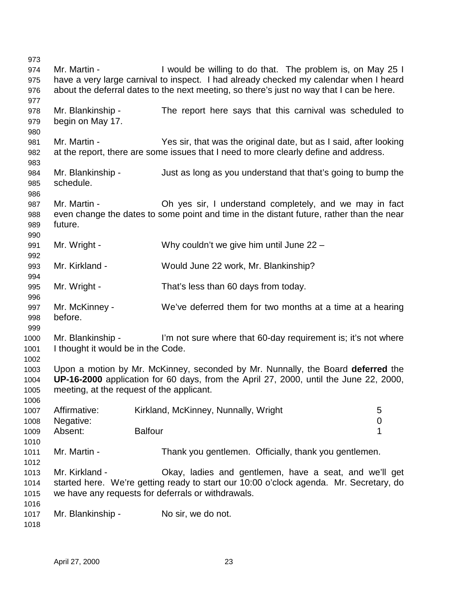973 974 Mr. Martin - I would be willing to do that. The problem is, on May 25 I 975 have a very large carnival to inspect. I had already checked my calendar when I heard 976 about the deferral dates to the next meeting, so there's just no way that I can be here. 977 978 Mr. Blankinship - The report here says that this carnival was scheduled to 979 begin on May 17. 980 981 Mr. Martin - Yes sir, that was the original date, but as I said, after looking 982 at the report, there are some issues that I need to more clearly define and address. 983 984 Mr. Blankinship - Just as long as you understand that that's going to bump the 985 schedule. 986 987 Mr. Martin - Oh yes sir, I understand completely, and we may in fact 988 even change the dates to some point and time in the distant future, rather than the near 989 future. 990 991 Mr. Wright - Why couldn't we give him until June 22 – 992 993 Mr. Kirkland - Would June 22 work, Mr. Blankinship? 994 995 Mr. Wright - That's less than 60 days from today. 996 997 Mr. McKinney - We've deferred them for two months at a time at a hearing 998 before. 999 1000 Mr. Blankinship - I'm not sure where that 60-day requirement is; it's not where 1001 I thought it would be in the Code. 1002 1003 Upon a motion by Mr. McKinney, seconded by Mr. Nunnally, the Board **deferred** the 1004 **UP-16-2000** application for 60 days, from the April 27, 2000, until the June 22, 2000, 1005 meeting, at the request of the applicant. 1006 1007 Affirmative: Kirkland, McKinney, Nunnally, Wright 5 1008 Negative: 0 1009 Absent: Balfour **1** 1010 1011 Mr. Martin - Thank you gentlemen. Officially, thank you gentlemen. 1012 1013 Mr. Kirkland - Okay, ladies and gentlemen, have a seat, and we'll get 1014 started here. We're getting ready to start our 10:00 o'clock agenda. Mr. Secretary, do 1015 we have any requests for deferrals or withdrawals. 1016 1017 Mr. Blankinship - No sir, we do not. 1018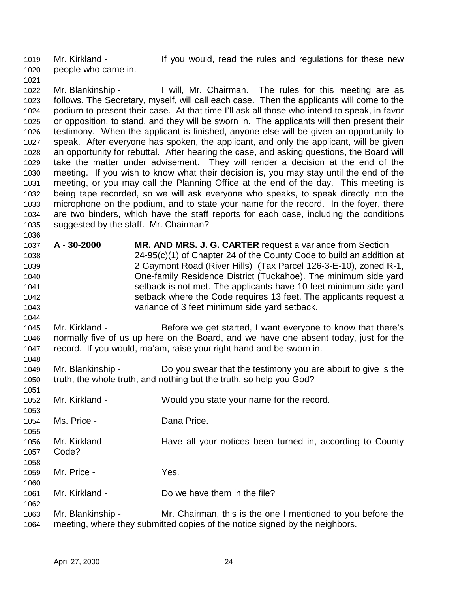1019 Mr. Kirkland - If you would, read the rules and regulations for these new 1020 people who came in.

1021

1036

1044

1051

1055

1060

1062

1022 Mr. Blankinship - I will, Mr. Chairman. The rules for this meeting are as 1023 follows. The Secretary, myself, will call each case. Then the applicants will come to the 1024 podium to present their case. At that time I'll ask all those who intend to speak, in favor 1025 or opposition, to stand, and they will be sworn in. The applicants will then present their 1026 testimony. When the applicant is finished, anyone else will be given an opportunity to 1027 speak. After everyone has spoken, the applicant, and only the applicant, will be given 1028 an opportunity for rebuttal. After hearing the case, and asking questions, the Board will 1029 take the matter under advisement. They will render a decision at the end of the 1030 meeting. If you wish to know what their decision is, you may stay until the end of the 1031 meeting, or you may call the Planning Office at the end of the day. This meeting is 1032 being tape recorded, so we will ask everyone who speaks, to speak directly into the 1033 microphone on the podium, and to state your name for the record. In the foyer, there 1034 are two binders, which have the staff reports for each case, including the conditions 1035 suggested by the staff. Mr. Chairman?

1037 **A - 30-2000 MR. AND MRS. J. G. CARTER** request a variance from Section 1038 24-95(c)(1) of Chapter 24 of the County Code to build an addition at 1039 2 Gaymont Road (River Hills) (Tax Parcel 126-3-E-10), zoned R-1, 1040 One-family Residence District (Tuckahoe). The minimum side yard 1041 setback is not met. The applicants have 10 feet minimum side yard 1042 setback where the Code requires 13 feet. The applicants request a 1043 variance of 3 feet minimum side yard setback.

1045 Mr. Kirkland - Before we get started, I want everyone to know that there's 1046 normally five of us up here on the Board, and we have one absent today, just for the 1047 record. If you would, ma'am, raise your right hand and be sworn in. 1048

1049 Mr. Blankinship - Do you swear that the testimony you are about to give is the 1050 truth, the whole truth, and nothing but the truth, so help you God?

1052 Mr. Kirkland - Would you state your name for the record. 1053

1054 Ms. Price - Dana Price.

- 1056 Mr. Kirkland Have all your notices been turned in, according to County 1057 Code?
- 1058 1059 Mr. Price - Yes.
- 1061 Mr. Kirkland Do we have them in the file?
- 1063 Mr. Blankinship Mr. Chairman, this is the one I mentioned to you before the 1064 meeting, where they submitted copies of the notice signed by the neighbors.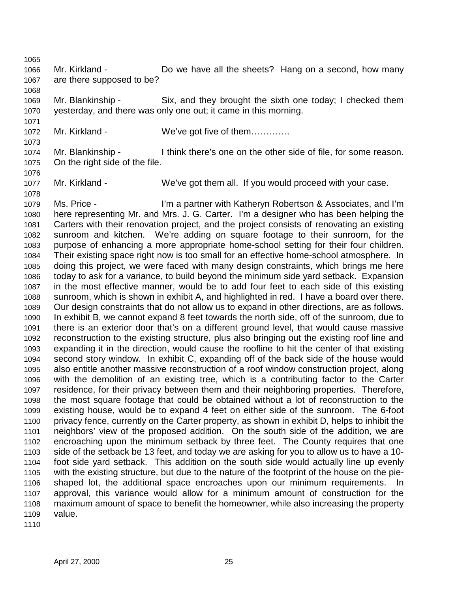1066 Mr. Kirkland - Do we have all the sheets? Hang on a second, how many 1067 are there supposed to be?

1069 Mr. Blankinship - Six, and they brought the sixth one today; I checked them 1070 yesterday, and there was only one out; it came in this morning.

1072 Mr. Kirkland - We've got five of them.............

1074 Mr. Blankinship - I think there's one on the other side of file, for some reason. 1075 On the right side of the file.

1077 Mr. Kirkland - We've got them all. If you would proceed with your case.

1079 Ms. Price - I'm a partner with Katheryn Robertson & Associates, and I'm 1080 here representing Mr. and Mrs. J. G. Carter. I'm a designer who has been helping the 1081 Carters with their renovation project, and the project consists of renovating an existing 1082 sunroom and kitchen. We're adding on square footage to their sunroom, for the 1083 purpose of enhancing a more appropriate home-school setting for their four children. 1084 Their existing space right now is too small for an effective home-school atmosphere. In 1085 doing this project, we were faced with many design constraints, which brings me here 1086 today to ask for a variance, to build beyond the minimum side yard setback. Expansion 1087 in the most effective manner, would be to add four feet to each side of this existing 1088 sunroom, which is shown in exhibit A, and highlighted in red. I have a board over there. 1089 Our design constraints that do not allow us to expand in other directions, are as follows. 1090 In exhibit B, we cannot expand 8 feet towards the north side, off of the sunroom, due to 1091 there is an exterior door that's on a different ground level, that would cause massive 1092 reconstruction to the existing structure, plus also bringing out the existing roof line and 1093 expanding it in the direction, would cause the roofline to hit the center of that existing 1094 second story window. In exhibit C, expanding off of the back side of the house would 1095 also entitle another massive reconstruction of a roof window construction project, along 1096 with the demolition of an existing tree, which is a contributing factor to the Carter 1097 residence, for their privacy between them and their neighboring properties. Therefore, 1098 the most square footage that could be obtained without a lot of reconstruction to the 1099 existing house, would be to expand 4 feet on either side of the sunroom. The 6-foot 1100 privacy fence, currently on the Carter property, as shown in exhibit D, helps to inhibit the 1101 neighbors' view of the proposed addition. On the south side of the addition, we are 1102 encroaching upon the minimum setback by three feet. The County requires that one 1103 side of the setback be 13 feet, and today we are asking for you to allow us to have a 10- 1104 foot side yard setback. This addition on the south side would actually line up evenly 1105 with the existing structure, but due to the nature of the footprint of the house on the pie-1106 shaped lot, the additional space encroaches upon our minimum requirements. In 1107 approval, this variance would allow for a minimum amount of construction for the 1108 maximum amount of space to benefit the homeowner, while also increasing the property 1109 value.

1110

1065

1068

1071

1073

1076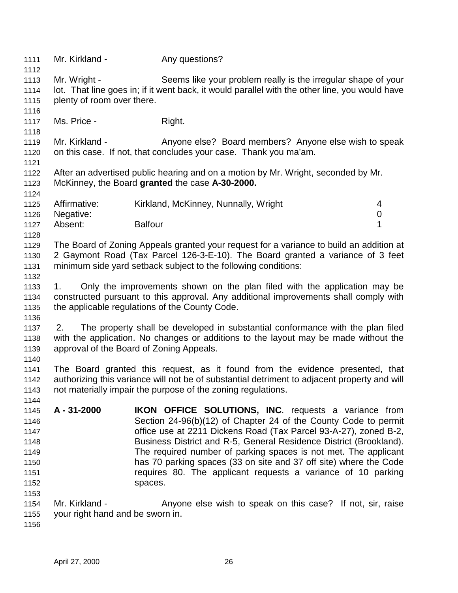| 1111         | Mr. Kirkland -                   | Any questions?                                                                                 |   |
|--------------|----------------------------------|------------------------------------------------------------------------------------------------|---|
| 1112<br>1113 |                                  | Seems like your problem really is the irregular shape of your                                  |   |
|              | Mr. Wright -                     |                                                                                                |   |
| 1114         |                                  | lot. That line goes in; if it went back, it would parallel with the other line, you would have |   |
| 1115<br>1116 | plenty of room over there.       |                                                                                                |   |
| 1117         | Ms. Price -                      | Right.                                                                                         |   |
| 1118         |                                  |                                                                                                |   |
| 1119         | Mr. Kirkland -                   | Anyone else? Board members? Anyone else wish to speak                                          |   |
| 1120         |                                  | on this case. If not, that concludes your case. Thank you ma'am.                               |   |
| 1121         |                                  |                                                                                                |   |
| 1122         |                                  | After an advertised public hearing and on a motion by Mr. Wright, seconded by Mr.              |   |
| 1123         |                                  | McKinney, the Board granted the case A-30-2000.                                                |   |
| 1124         |                                  |                                                                                                |   |
| 1125         | Affirmative:                     | Kirkland, McKinney, Nunnally, Wright                                                           | 4 |
| 1126         | Negative:                        |                                                                                                | 0 |
| 1127         | Absent:                          | <b>Balfour</b>                                                                                 | 1 |
| 1128         |                                  |                                                                                                |   |
| 1129         |                                  | The Board of Zoning Appeals granted your request for a variance to build an addition at        |   |
| 1130         |                                  | 2 Gaymont Road (Tax Parcel 126-3-E-10). The Board granted a variance of 3 feet                 |   |
| 1131         |                                  | minimum side yard setback subject to the following conditions:                                 |   |
| 1132         |                                  |                                                                                                |   |
| 1133         | 1.                               | Only the improvements shown on the plan filed with the application may be                      |   |
| 1134         |                                  | constructed pursuant to this approval. Any additional improvements shall comply with           |   |
| 1135         |                                  | the applicable regulations of the County Code.                                                 |   |
| 1136         |                                  |                                                                                                |   |
| 1137         | 2.                               | The property shall be developed in substantial conformance with the plan filed                 |   |
|              |                                  | with the application. No changes or additions to the layout may be made without the            |   |
| 1138         |                                  |                                                                                                |   |
| 1139         |                                  | approval of the Board of Zoning Appeals.                                                       |   |
| 1140         |                                  |                                                                                                |   |
| 1141         |                                  | The Board granted this request, as it found from the evidence presented, that                  |   |
| 1142         |                                  | authorizing this variance will not be of substantial detriment to adjacent property and will   |   |
| 1143         |                                  | not materially impair the purpose of the zoning regulations.                                   |   |
| 1144         |                                  |                                                                                                |   |
| 1145         | A - 31-2000                      | <b>IKON OFFICE SOLUTIONS, INC.</b> requests a variance from                                    |   |
| 1146         |                                  | Section 24-96(b)(12) of Chapter 24 of the County Code to permit                                |   |
| 1147         |                                  | office use at 2211 Dickens Road (Tax Parcel 93-A-27), zoned B-2,                               |   |
| 1148         |                                  | Business District and R-5, General Residence District (Brookland).                             |   |
| 1149         |                                  | The required number of parking spaces is not met. The applicant                                |   |
| 1150         |                                  | has 70 parking spaces (33 on site and 37 off site) where the Code                              |   |
| 1151         |                                  | requires 80. The applicant requests a variance of 10 parking                                   |   |
| 1152         |                                  | spaces.                                                                                        |   |
| 1153         |                                  |                                                                                                |   |
| 1154         | Mr. Kirkland -                   | Anyone else wish to speak on this case? If not, sir, raise                                     |   |
| 1155         | your right hand and be sworn in. |                                                                                                |   |
| 1156         |                                  |                                                                                                |   |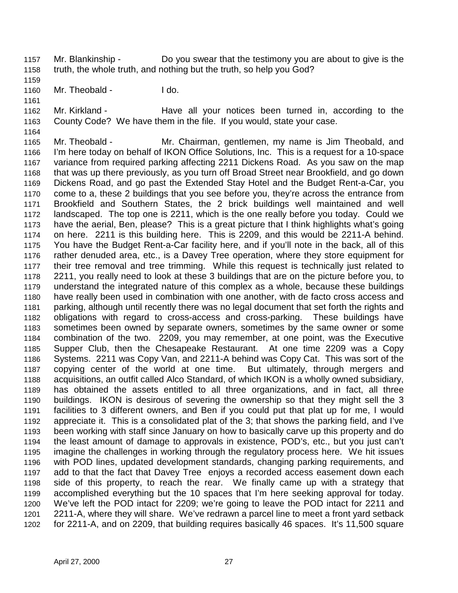1157 Mr. Blankinship - Do you swear that the testimony you are about to give is the 1158 truth, the whole truth, and nothing but the truth, so help you God?

1159

1160 Mr. Theobald - I do.

1161

1164

1162 Mr. Kirkland - Have all your notices been turned in, according to the 1163 County Code? We have them in the file. If you would, state your case.

1165 Mr. Theobald - Mr. Chairman, gentlemen, my name is Jim Theobald, and 1166 I'm here today on behalf of IKON Office Solutions, Inc. This is a request for a 10-space 1167 variance from required parking affecting 2211 Dickens Road. As you saw on the map 1168 that was up there previously, as you turn off Broad Street near Brookfield, and go down 1169 Dickens Road, and go past the Extended Stay Hotel and the Budget Rent-a-Car, you 1170 come to a, these 2 buildings that you see before you, they're across the entrance from 1171 Brookfield and Southern States, the 2 brick buildings well maintained and well 1172 landscaped. The top one is 2211, which is the one really before you today. Could we 1173 have the aerial, Ben, please? This is a great picture that I think highlights what's going 1174 on here. 2211 is this building here. This is 2209, and this would be 2211-A behind. 1175 You have the Budget Rent-a-Car facility here, and if you'll note in the back, all of this 1176 rather denuded area, etc., is a Davey Tree operation, where they store equipment for 1177 their tree removal and tree trimming. While this request is technically just related to 1178 2211, you really need to look at these 3 buildings that are on the picture before you, to 1179 understand the integrated nature of this complex as a whole, because these buildings 1180 have really been used in combination with one another, with de facto cross access and 1181 parking, although until recently there was no legal document that set forth the rights and 1182 obligations with regard to cross-access and cross-parking. These buildings have 1183 sometimes been owned by separate owners, sometimes by the same owner or some 1184 combination of the two. 2209, you may remember, at one point, was the Executive 1185 Supper Club, then the Chesapeake Restaurant. At one time 2209 was a Copy 1186 Systems. 2211 was Copy Van, and 2211-A behind was Copy Cat. This was sort of the 1187 copying center of the world at one time. But ultimately, through mergers and 1188 acquisitions, an outfit called Alco Standard, of which IKON is a wholly owned subsidiary, 1189 has obtained the assets entitled to all three organizations, and in fact, all three 1190 buildings. IKON is desirous of severing the ownership so that they might sell the 3 1191 facilities to 3 different owners, and Ben if you could put that plat up for me, I would 1192 appreciate it. This is a consolidated plat of the 3; that shows the parking field, and I've 1193 been working with staff since January on how to basically carve up this property and do 1194 the least amount of damage to approvals in existence, POD's, etc., but you just can't 1195 imagine the challenges in working through the regulatory process here. We hit issues 1196 with POD lines, updated development standards, changing parking requirements, and 1197 add to that the fact that Davey Tree enjoys a recorded access easement down each 1198 side of this property, to reach the rear. We finally came up with a strategy that 1199 accomplished everything but the 10 spaces that I'm here seeking approval for today. 1200 We've left the POD intact for 2209; we're going to leave the POD intact for 2211 and 1201 2211-A, where they will share. We've redrawn a parcel line to meet a front yard setback 1202 for 2211-A, and on 2209, that building requires basically 46 spaces. It's 11,500 square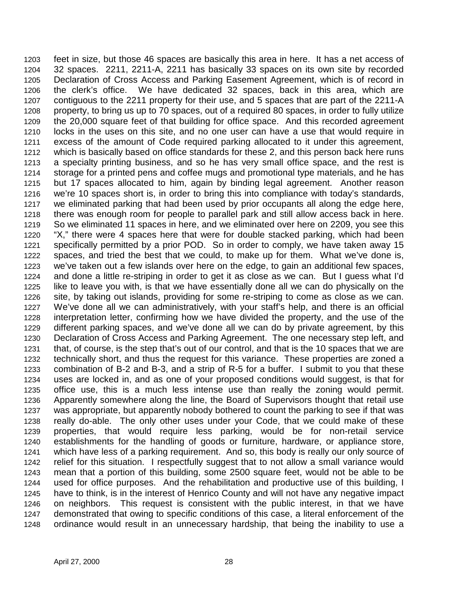1203 feet in size, but those 46 spaces are basically this area in here. It has a net access of 1204 32 spaces. 2211, 2211-A, 2211 has basically 33 spaces on its own site by recorded 1205 Declaration of Cross Access and Parking Easement Agreement, which is of record in 1206 the clerk's office. We have dedicated 32 spaces, back in this area, which are 1207 contiguous to the 2211 property for their use, and 5 spaces that are part of the 2211-A 1208 property, to bring us up to 70 spaces, out of a required 80 spaces, in order to fully utilize 1209 the 20,000 square feet of that building for office space. And this recorded agreement 1210 locks in the uses on this site, and no one user can have a use that would require in 1211 excess of the amount of Code required parking allocated to it under this agreement, 1212 which is basically based on office standards for these 2, and this person back here runs 1213 a specialty printing business, and so he has very small office space, and the rest is 1214 storage for a printed pens and coffee mugs and promotional type materials, and he has 1215 but 17 spaces allocated to him, again by binding legal agreement. Another reason 1216 we're 10 spaces short is, in order to bring this into compliance with today's standards, 1217 we eliminated parking that had been used by prior occupants all along the edge here, 1218 there was enough room for people to parallel park and still allow access back in here. 1219 So we eliminated 11 spaces in here, and we eliminated over here on 2209, you see this 1220 "X," there were 4 spaces here that were for double stacked parking, which had been 1221 specifically permitted by a prior POD. So in order to comply, we have taken away 15 1222 spaces, and tried the best that we could, to make up for them. What we've done is, 1223 we've taken out a few islands over here on the edge, to gain an additional few spaces, 1224 and done a little re-striping in order to get it as close as we can. But I guess what I'd 1225 like to leave you with, is that we have essentially done all we can do physically on the 1226 site, by taking out islands, providing for some re-striping to come as close as we can. 1227 We've done all we can administratively, with your staff's help, and there is an official 1228 interpretation letter, confirming how we have divided the property, and the use of the 1229 different parking spaces, and we've done all we can do by private agreement, by this 1230 Declaration of Cross Access and Parking Agreement. The one necessary step left, and 1231 that, of course, is the step that's out of our control, and that is the 10 spaces that we are 1232 technically short, and thus the request for this variance. These properties are zoned a 1233 combination of B-2 and B-3, and a strip of R-5 for a buffer. I submit to you that these 1234 uses are locked in, and as one of your proposed conditions would suggest, is that for 1235 office use, this is a much less intense use than really the zoning would permit. 1236 Apparently somewhere along the line, the Board of Supervisors thought that retail use 1237 was appropriate, but apparently nobody bothered to count the parking to see if that was 1238 really do-able. The only other uses under your Code, that we could make of these 1239 properties, that would require less parking, would be for non-retail service 1240 establishments for the handling of goods or furniture, hardware, or appliance store, 1241 which have less of a parking requirement. And so, this body is really our only source of 1242 relief for this situation. I respectfully suggest that to not allow a small variance would 1243 mean that a portion of this building, some 2500 square feet, would not be able to be 1244 used for office purposes. And the rehabilitation and productive use of this building, I 1245 have to think, is in the interest of Henrico County and will not have any negative impact 1246 on neighbors. This request is consistent with the public interest, in that we have 1247 demonstrated that owing to specific conditions of this case, a literal enforcement of the 1248 ordinance would result in an unnecessary hardship, that being the inability to use a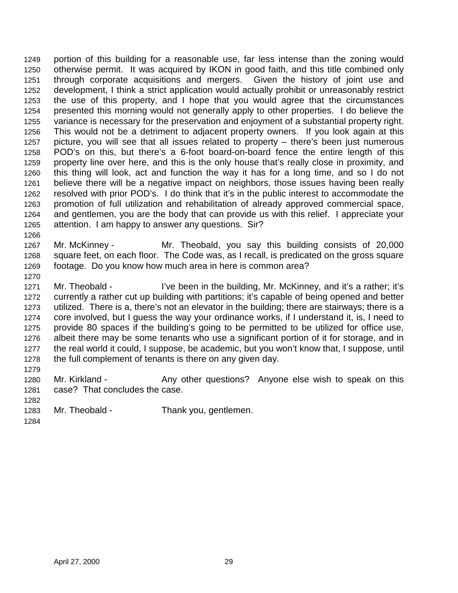1249 portion of this building for a reasonable use, far less intense than the zoning would 1250 otherwise permit. It was acquired by IKON in good faith, and this title combined only 1251 through corporate acquisitions and mergers. Given the history of joint use and 1252 development, I think a strict application would actually prohibit or unreasonably restrict 1253 the use of this property, and I hope that you would agree that the circumstances 1254 presented this morning would not generally apply to other properties. I do believe the 1255 variance is necessary for the preservation and enjoyment of a substantial property right. 1256 This would not be a detriment to adjacent property owners. If you look again at this 1257 picture, you will see that all issues related to property – there's been just numerous 1258 POD's on this, but there's a 6-foot board-on-board fence the entire length of this 1259 property line over here, and this is the only house that's really close in proximity, and 1260 this thing will look, act and function the way it has for a long time, and so I do not 1261 believe there will be a negative impact on neighbors, those issues having been really 1262 resolved with prior POD's. I do think that it's in the public interest to accommodate the 1263 promotion of full utilization and rehabilitation of already approved commercial space, 1264 and gentlemen, you are the body that can provide us with this relief. I appreciate your 1265 attention. I am happy to answer any questions. Sir?

- 1267 Mr. McKinney Mr. Theobald, you say this building consists of 20,000 1268 square feet, on each floor. The Code was, as I recall, is predicated on the gross square 1269 footage. Do you know how much area in here is common area?
- 1271 Mr. Theobald I've been in the building, Mr. McKinney, and it's a rather; it's 1272 currently a rather cut up building with partitions; it's capable of being opened and better 1273 utilized. There is a, there's not an elevator in the building; there are stairways; there is a 1274 core involved, but I guess the way your ordinance works, if I understand it, is, I need to 1275 provide 80 spaces if the building's going to be permitted to be utilized for office use, 1276 albeit there may be some tenants who use a significant portion of it for storage, and in 1277 the real world it could, I suppose, be academic, but you won't know that, I suppose, until 1278 the full complement of tenants is there on any given day.
- 1280 Mr. Kirkland Any other questions? Anyone else wish to speak on this 1281 case? That concludes the case.
- 1282

1279

1266

- 1283 Mr. Theobald Thank you, gentlemen.
- 1284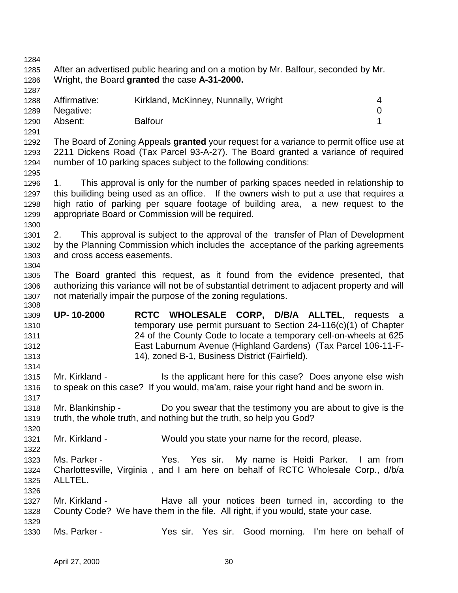1284 1285 After an advertised public hearing and on a motion by Mr. Balfour, seconded by Mr. 1286 Wright, the Board **granted** the case **A-31-2000.** 1287 1288 Affirmative: Kirkland, McKinney, Nunnally, Wright 4 1289 Negative: 0 1290 Absent: Balfour 1 1291 1292 The Board of Zoning Appeals **granted** your request for a variance to permit office use at 1293 2211 Dickens Road (Tax Parcel 93-A-27). The Board granted a variance of required 1294 number of 10 parking spaces subject to the following conditions: 1295 1296 1. This approval is only for the number of parking spaces needed in relationship to 1297 this builiding being used as an office. If the owners wish to put a use that requires a 1298 high ratio of parking per square footage of building area, a new request to the 1299 appropriate Board or Commission will be required. 1300 1301 2. This approval is subject to the approval of the transfer of Plan of Development 1302 by the Planning Commission which includes the acceptance of the parking agreements 1303 and cross access easements. 1304 1305 The Board granted this request, as it found from the evidence presented, that 1306 authorizing this variance will not be of substantial detriment to adjacent property and will 1307 not materially impair the purpose of the zoning regulations. 1308 1309 **UP- 10-2000 RCTC WHOLESALE CORP, D/B/A ALLTEL**, requests a 1310 temporary use permit pursuant to Section 24-116(c)(1) of Chapter 1311 24 of the County Code to locate a temporary cell-on-wheels at 625 1312 East Laburnum Avenue (Highland Gardens) (Tax Parcel 106-11-F-1313 14), zoned B-1, Business District (Fairfield). 1314 1315 Mr. Kirkland - Is the applicant here for this case? Does anyone else wish 1316 to speak on this case? If you would, ma'am, raise your right hand and be sworn in. 1317 1318 Mr. Blankinship - Do you swear that the testimony you are about to give is the 1319 truth, the whole truth, and nothing but the truth, so help you God? 1320 1321 Mr. Kirkland - Would you state your name for the record, please. 1322 1323 Ms. Parker - Yes. Yes sir. My name is Heidi Parker. I am from 1324 Charlottesville, Virginia , and I am here on behalf of RCTC Wholesale Corp., d/b/a 1325 ALLTEL. 1326 1327 Mr. Kirkland - Have all your notices been turned in, according to the 1328 County Code? We have them in the file. All right, if you would, state your case. 1329 1330 Ms. Parker - Yes sir. Yes sir. Good morning. I'm here on behalf of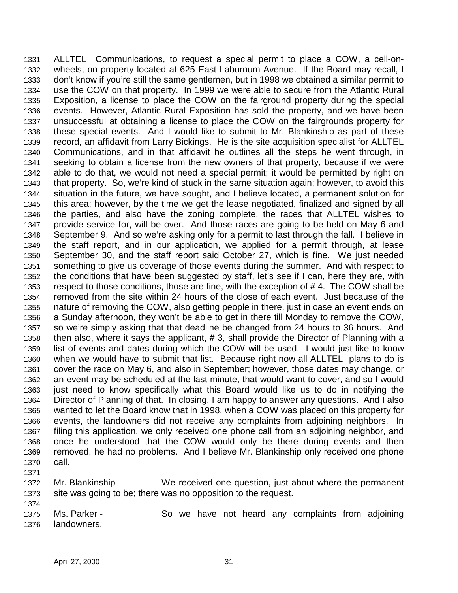1331 ALLTEL Communications, to request a special permit to place a COW, a cell-on-1332 wheels, on property located at 625 East Laburnum Avenue. If the Board may recall, I 1333 don't know if you're still the same gentlemen, but in 1998 we obtained a similar permit to 1334 use the COW on that property. In 1999 we were able to secure from the Atlantic Rural 1335 Exposition, a license to place the COW on the fairground property during the special 1336 events. However, Atlantic Rural Exposition has sold the property, and we have been 1337 unsuccessful at obtaining a license to place the COW on the fairgrounds property for 1338 these special events. And I would like to submit to Mr. Blankinship as part of these 1339 record, an affidavit from Larry Bickings. He is the site acquisition specialist for ALLTEL 1340 Communications, and in that affidavit he outlines all the steps he went through, in 1341 seeking to obtain a license from the new owners of that property, because if we were 1342 able to do that, we would not need a special permit; it would be permitted by right on 1343 that property. So, we're kind of stuck in the same situation again; however, to avoid this 1344 situation in the future, we have sought, and I believe located, a permanent solution for 1345 this area; however, by the time we get the lease negotiated, finalized and signed by all 1346 the parties, and also have the zoning complete, the races that ALLTEL wishes to 1347 provide service for, will be over. And those races are going to be held on May 6 and 1348 September 9. And so we're asking only for a permit to last through the fall. I believe in 1349 the staff report, and in our application, we applied for a permit through, at lease 1350 September 30, and the staff report said October 27, which is fine. We just needed 1351 something to give us coverage of those events during the summer. And with respect to 1352 the conditions that have been suggested by staff, let's see if I can, here they are, with 1353 respect to those conditions, those are fine, with the exception of #4. The COW shall be 1354 removed from the site within 24 hours of the close of each event. Just because of the 1355 nature of removing the COW, also getting people in there, just in case an event ends on 1356 a Sunday afternoon, they won't be able to get in there till Monday to remove the COW, 1357 so we're simply asking that that deadline be changed from 24 hours to 36 hours. And 1358 then also, where it says the applicant, # 3, shall provide the Director of Planning with a 1359 list of events and dates during which the COW will be used. I would just like to know 1360 when we would have to submit that list. Because right now all ALLTEL plans to do is 1361 cover the race on May 6, and also in September; however, those dates may change, or 1362 an event may be scheduled at the last minute, that would want to cover, and so I would 1363 just need to know specifically what this Board would like us to do in notifying the 1364 Director of Planning of that. In closing, I am happy to answer any questions. And I also 1365 wanted to let the Board know that in 1998, when a COW was placed on this property for 1366 events, the landowners did not receive any complaints from adjoining neighbors. In 1367 filing this application, we only received one phone call from an adjoining neighbor, and 1368 once he understood that the COW would only be there during events and then 1369 removed, he had no problems. And I believe Mr. Blankinship only received one phone 1370 call. 1371

1372 Mr. Blankinship - We received one question, just about where the permanent 1373 site was going to be; there was no opposition to the request.

1375 Ms. Parker - So we have not heard any complaints from adjoining 1376 landowners.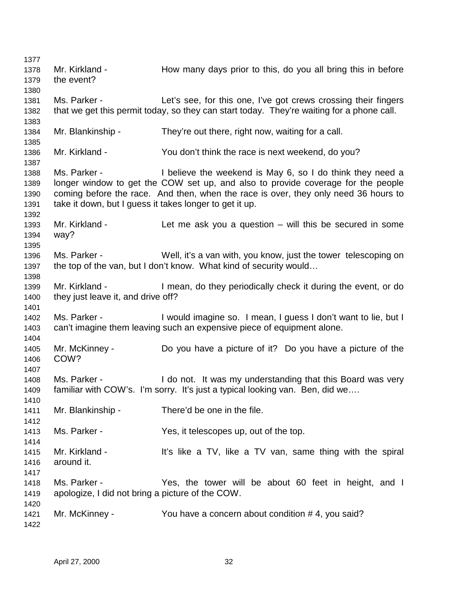1377 1378 Mr. Kirkland - How many days prior to this, do you all bring this in before 1379 the event? 1380 1381 Ms. Parker - Let's see, for this one, I've got crews crossing their fingers 1382 that we get this permit today, so they can start today. They're waiting for a phone call. 1383 1384 Mr. Blankinship - They're out there, right now, waiting for a call. 1385 1386 Mr. Kirkland - You don't think the race is next weekend, do you? 1387 1388 Ms. Parker - I believe the weekend is May 6, so I do think they need a 1389 longer window to get the COW set up, and also to provide coverage for the people 1390 coming before the race. And then, when the race is over, they only need 36 hours to 1391 take it down, but I guess it takes longer to get it up. 1392 1393 Mr. Kirkland - Let me ask you a question – will this be secured in some 1394 way? 1395 1396 Ms. Parker - Well, it's a van with, you know, just the tower telescoping on 1397 the top of the van, but I don't know. What kind of security would… 1398 1399 Mr. Kirkland - I mean, do they periodically check it during the event, or do 1400 they just leave it, and drive off? 1401 1402 Ms. Parker - I would imagine so. I mean, I guess I don't want to lie, but I 1403 can't imagine them leaving such an expensive piece of equipment alone. 1404 1405 Mr. McKinney - Do you have a picture of it? Do you have a picture of the 1406 COW? 1407 1408 Ms. Parker - I do not. It was my understanding that this Board was very 1409 familiar with COW's. I'm sorry. It's just a typical looking van. Ben, did we…. 1410 1411 Mr. Blankinship - There'd be one in the file. 1412 1413 Ms. Parker - Yes, it telescopes up, out of the top. 1414 1415 Mr. Kirkland - It's like a TV, like a TV van, same thing with the spiral 1416 around it. 1417 1418 Ms. Parker - Yes, the tower will be about 60 feet in height, and I 1419 apologize, I did not bring a picture of the COW. 1420 1421 Mr. McKinney - You have a concern about condition # 4, you said? 1422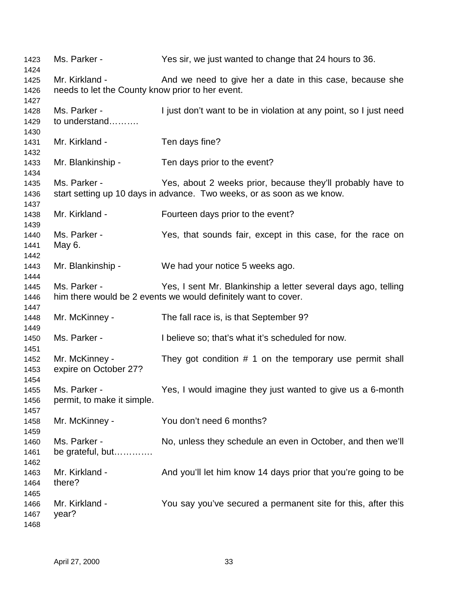| 1423<br>1424 | Ms. Parker -                                     | Yes sir, we just wanted to change that 24 hours to 36.                 |
|--------------|--------------------------------------------------|------------------------------------------------------------------------|
| 1425         | Mr. Kirkland -                                   | And we need to give her a date in this case, because she               |
| 1426         | needs to let the County know prior to her event. |                                                                        |
| 1427         |                                                  |                                                                        |
| 1428         | Ms. Parker -                                     | I just don't want to be in violation at any point, so I just need      |
| 1429         | to understand                                    |                                                                        |
| 1430         |                                                  |                                                                        |
| 1431         | Mr. Kirkland -                                   | Ten days fine?                                                         |
| 1432         |                                                  |                                                                        |
| 1433         | Mr. Blankinship -                                | Ten days prior to the event?                                           |
|              |                                                  |                                                                        |
| 1434         | Ms. Parker -                                     |                                                                        |
| 1435         |                                                  | Yes, about 2 weeks prior, because they'll probably have to             |
| 1436         |                                                  | start setting up 10 days in advance. Two weeks, or as soon as we know. |
| 1437         |                                                  |                                                                        |
| 1438         | Mr. Kirkland -                                   | Fourteen days prior to the event?                                      |
| 1439         |                                                  |                                                                        |
| 1440         | Ms. Parker -                                     | Yes, that sounds fair, except in this case, for the race on            |
| 1441         | May 6.                                           |                                                                        |
| 1442         |                                                  |                                                                        |
| 1443         | Mr. Blankinship -                                | We had your notice 5 weeks ago.                                        |
| 1444         |                                                  |                                                                        |
| 1445         | Ms. Parker -                                     | Yes, I sent Mr. Blankinship a letter several days ago, telling         |
| 1446         |                                                  | him there would be 2 events we would definitely want to cover.         |
| 1447         |                                                  |                                                                        |
| 1448         | Mr. McKinney -                                   | The fall race is, is that September 9?                                 |
| 1449         |                                                  |                                                                        |
| 1450         | Ms. Parker -                                     | I believe so; that's what it's scheduled for now.                      |
| 1451         |                                                  |                                                                        |
| 1452         | Mr. McKinney -                                   | They got condition $# 1$ on the temporary use permit shall             |
| 1453         | expire on October 27?                            |                                                                        |
| 1454         | Ms. Parker -                                     |                                                                        |
| 1455         |                                                  | Yes, I would imagine they just wanted to give us a 6-month             |
| 1456         | permit, to make it simple.                       |                                                                        |
| 1457         |                                                  |                                                                        |
| 1458         | Mr. McKinney -                                   | You don't need 6 months?                                               |
| 1459         |                                                  |                                                                        |
| 1460         | Ms. Parker -                                     | No, unless they schedule an even in October, and then we'll            |
| 1461         | be grateful, but                                 |                                                                        |
| 1462         |                                                  |                                                                        |
| 1463         | Mr. Kirkland -                                   | And you'll let him know 14 days prior that you're going to be          |
| 1464         | there?                                           |                                                                        |
| 1465         |                                                  |                                                                        |
| 1466         | Mr. Kirkland -                                   | You say you've secured a permanent site for this, after this           |
| 1467         | year?                                            |                                                                        |
| 1468         |                                                  |                                                                        |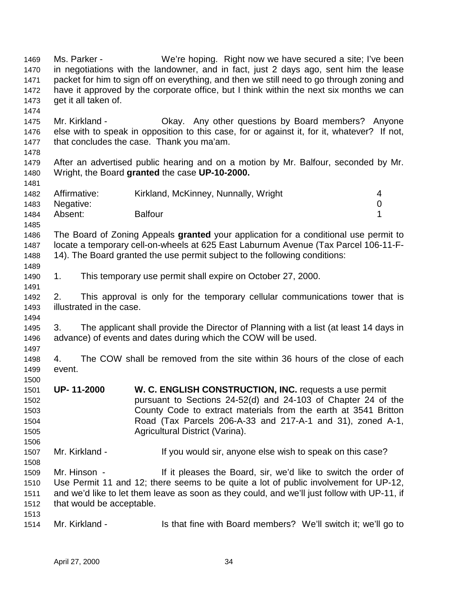1469 Ms. Parker - We're hoping. Right now we have secured a site; I've been 1470 in negotiations with the landowner, and in fact, just 2 days ago, sent him the lease 1471 packet for him to sign off on everything, and then we still need to go through zoning and 1472 have it approved by the corporate office, but I think within the next six months we can 1473 get it all taken of. 1474 1475 Mr. Kirkland - Okay. Any other questions by Board members? Anyone 1476 else with to speak in opposition to this case, for or against it, for it, whatever? If not, 1477 that concludes the case. Thank you ma'am. 1478 1479 After an advertised public hearing and on a motion by Mr. Balfour, seconded by Mr. 1480 Wright, the Board **granted** the case **UP-10-2000.** 1481 1482 Affirmative: Kirkland, McKinney, Nunnally, Wright 4 1483 Negative: 0 1484 Absent: Balfour 1 1485 1486 The Board of Zoning Appeals **granted** your application for a conditional use permit to 1487 locate a temporary cell-on-wheels at 625 East Laburnum Avenue (Tax Parcel 106-11-F-1488 14). The Board granted the use permit subject to the following conditions: 1489 1490 1. This temporary use permit shall expire on October 27, 2000. 1491 1492 2. This approval is only for the temporary cellular communications tower that is 1493 illustrated in the case. 1494 1495 3. The applicant shall provide the Director of Planning with a list (at least 14 days in 1496 advance) of events and dates during which the COW will be used. 1497 1498 4. The COW shall be removed from the site within 36 hours of the close of each 1499 event. 1500 1501 **UP- 11-2000 W. C. ENGLISH CONSTRUCTION, INC.** requests a use permit 1502 pursuant to Sections 24-52(d) and 24-103 of Chapter 24 of the 1503 County Code to extract materials from the earth at 3541 Britton 1504 Road (Tax Parcels 206-A-33 and 217-A-1 and 31), zoned A-1, 1505 Agricultural District (Varina). 1506 1507 Mr. Kirkland - If you would sir, anyone else wish to speak on this case? 1508 1509 Mr. Hinson - If it pleases the Board, sir, we'd like to switch the order of 1510 Use Permit 11 and 12; there seems to be quite a lot of public involvement for UP-12, 1511 and we'd like to let them leave as soon as they could, and we'll just follow with UP-11, if 1512 that would be acceptable. 1513 1514 Mr. Kirkland - Is that fine with Board members? We'll switch it; we'll go to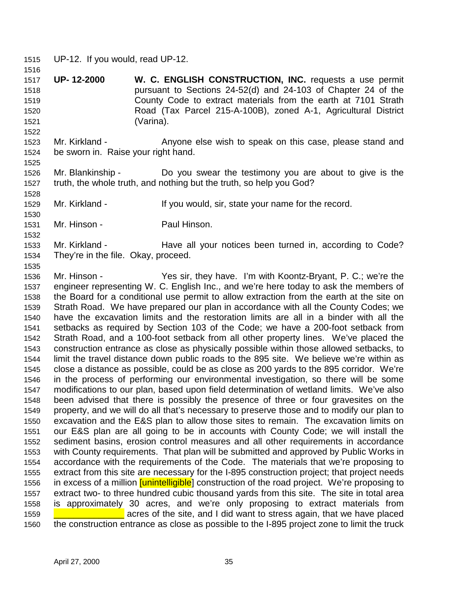1515 UP-12. If you would, read UP-12.

1516

1522

1525

1528

1530

1532

1535

1517 **UP- 12-2000 W. C. ENGLISH CONSTRUCTION, INC.** requests a use permit 1518 pursuant to Sections 24-52(d) and 24-103 of Chapter 24 of the 1519 County Code to extract materials from the earth at 7101 Strath 1520 Road (Tax Parcel 215-A-100B), zoned A-1, Agricultural District 1521 (Varina).

1523 Mr. Kirkland - Anyone else wish to speak on this case, please stand and 1524 be sworn in. Raise your right hand.

1526 Mr. Blankinship - Do you swear the testimony you are about to give is the 1527 truth, the whole truth, and nothing but the truth, so help you God?

1529 Mr. Kirkland - If you would, sir, state your name for the record.

1531 Mr. Hinson - Paul Hinson.

1533 Mr. Kirkland - Have all your notices been turned in, according to Code? 1534 They're in the file. Okay, proceed.

1536 Mr. Hinson - Yes sir, they have. I'm with Koontz-Bryant, P. C.; we're the 1537 engineer representing W. C. English Inc., and we're here today to ask the members of 1538 the Board for a conditional use permit to allow extraction from the earth at the site on 1539 Strath Road. We have prepared our plan in accordance with all the County Codes; we 1540 have the excavation limits and the restoration limits are all in a binder with all the 1541 setbacks as required by Section 103 of the Code; we have a 200-foot setback from 1542 Strath Road, and a 100-foot setback from all other property lines. We've placed the 1543 construction entrance as close as physically possible within those allowed setbacks, to 1544 limit the travel distance down public roads to the 895 site. We believe we're within as 1545 close a distance as possible, could be as close as 200 yards to the 895 corridor. We're 1546 in the process of performing our environmental investigation, so there will be some 1547 modifications to our plan, based upon field determination of wetland limits. We've also 1548 been advised that there is possibly the presence of three or four gravesites on the 1549 property, and we will do all that's necessary to preserve those and to modify our plan to 1550 excavation and the E&S plan to allow those sites to remain. The excavation limits on 1551 our E&S plan are all going to be in accounts with County Code; we will install the 1552 sediment basins, erosion control measures and all other requirements in accordance 1553 with County requirements. That plan will be submitted and approved by Public Works in 1554 accordance with the requirements of the Code. The materials that we're proposing to 1555 extract from this site are necessary for the I-895 construction project; that project needs 1556 in excess of a million *[unintelligible*] construction of the road project. We're proposing to 1557 extract two- to three hundred cubic thousand yards from this site. The site in total area 1558 is approximately 30 acres, and we're only proposing to extract materials from 1559 **Luis 2016** acres of the site, and I did want to stress again, that we have placed 1560 the construction entrance as close as possible to the I-895 project zone to limit the truck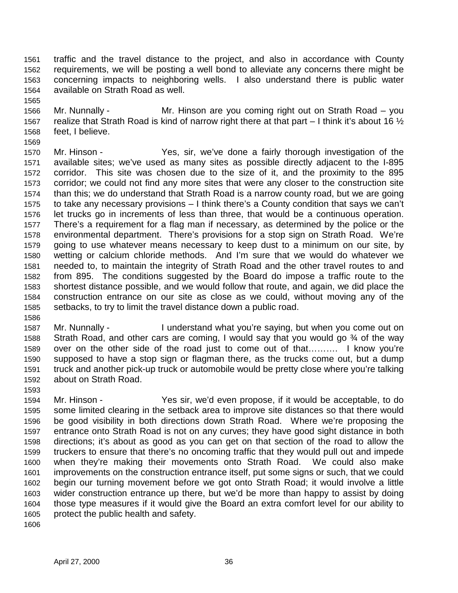1561 traffic and the travel distance to the project, and also in accordance with County 1562 requirements, we will be posting a well bond to alleviate any concerns there might be 1563 concerning impacts to neighboring wells. I also understand there is public water 1564 available on Strath Road as well.

- 1566 Mr. Nunnally Mr. Hinson are you coming right out on Strath Road you 1567 realize that Strath Road is kind of narrow right there at that part  $-1$  think it's about 16  $\frac{1}{2}$ 1568 feet, I believe.
- 1569 1570 Mr. Hinson - Yes, sir, we've done a fairly thorough investigation of the 1571 available sites; we've used as many sites as possible directly adjacent to the I-895 1572 corridor. This site was chosen due to the size of it, and the proximity to the 895 1573 corridor; we could not find any more sites that were any closer to the construction site 1574 than this; we do understand that Strath Road is a narrow county road, but we are going 1575 to take any necessary provisions – I think there's a County condition that says we can't 1576 let trucks go in increments of less than three, that would be a continuous operation. 1577 There's a requirement for a flag man if necessary, as determined by the police or the 1578 environmental department. There's provisions for a stop sign on Strath Road. We're 1579 going to use whatever means necessary to keep dust to a minimum on our site, by 1580 wetting or calcium chloride methods. And I'm sure that we would do whatever we 1581 needed to, to maintain the integrity of Strath Road and the other travel routes to and 1582 from 895. The conditions suggested by the Board do impose a traffic route to the 1583 shortest distance possible, and we would follow that route, and again, we did place the 1584 construction entrance on our site as close as we could, without moving any of the 1585 setbacks, to try to limit the travel distance down a public road.
- 1586

- 1587 Mr. Nunnally I understand what you're saying, but when you come out on 1588 Strath Road, and other cars are coming, I would say that you would go ¾ of the way 1589 over on the other side of the road just to come out of that………. I know you're 1590 supposed to have a stop sign or flagman there, as the trucks come out, but a dump 1591 truck and another pick-up truck or automobile would be pretty close where you're talking 1592 about on Strath Road.
- 1593
- 1594 Mr. Hinson Yes sir, we'd even propose, if it would be acceptable, to do 1595 some limited clearing in the setback area to improve site distances so that there would 1596 be good visibility in both directions down Strath Road. Where we're proposing the 1597 entrance onto Strath Road is not on any curves; they have good sight distance in both 1598 directions; it's about as good as you can get on that section of the road to allow the 1599 truckers to ensure that there's no oncoming traffic that they would pull out and impede 1600 when they're making their movements onto Strath Road. We could also make 1601 improvements on the construction entrance itself, put some signs or such, that we could 1602 begin our turning movement before we got onto Strath Road; it would involve a little 1603 wider construction entrance up there, but we'd be more than happy to assist by doing 1604 those type measures if it would give the Board an extra comfort level for our ability to 1605 protect the public health and safety.
- 1606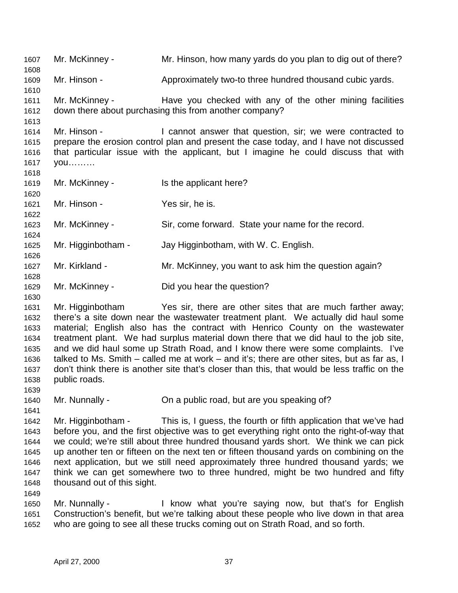1607 Mr. McKinney - Mr. Hinson, how many yards do you plan to dig out of there? 1608 1609 Mr. Hinson - Approximately two-to three hundred thousand cubic yards. 1610 1611 Mr. McKinney - Have you checked with any of the other mining facilities 1612 down there about purchasing this from another company? 1613 1614 Mr. Hinson - I cannot answer that question, sir; we were contracted to 1615 prepare the erosion control plan and present the case today, and I have not discussed 1616 that particular issue with the applicant, but I imagine he could discuss that with 1617 you……… 1618 1619 Mr. McKinney - Is the applicant here? 1620 1621 Mr. Hinson - Yes sir, he is. 1622 1623 Mr. McKinney - Sir, come forward. State your name for the record. 1624 1625 Mr. Higginbotham - Jay Higginbotham, with W. C. English. 1626 1627 Mr. Kirkland - Mr. McKinney, you want to ask him the question again? 1628 1629 Mr. McKinney - Did you hear the question? 1630 1631 Mr. Higginbotham Yes sir, there are other sites that are much farther away; 1632 there's a site down near the wastewater treatment plant. We actually did haul some 1633 material; English also has the contract with Henrico County on the wastewater 1634 treatment plant. We had surplus material down there that we did haul to the job site, 1635 and we did haul some up Strath Road, and I know there were some complaints. I've 1636 talked to Ms. Smith – called me at work – and it's; there are other sites, but as far as, I 1637 don't think there is another site that's closer than this, that would be less traffic on the 1638 public roads. 1639 1640 Mr. Nunnally - On a public road, but are you speaking of? 1641 1642 Mr. Higginbotham - This is, I guess, the fourth or fifth application that we've had 1643 before you, and the first objective was to get everything right onto the right-of-way that 1644 we could; we're still about three hundred thousand yards short. We think we can pick 1645 up another ten or fifteen on the next ten or fifteen thousand yards on combining on the 1646 next application, but we still need approximately three hundred thousand yards; we 1647 think we can get somewhere two to three hundred, might be two hundred and fifty 1648 thousand out of this sight. 1649 1650 Mr. Nunnally - I know what you're saying now, but that's for English 1651 Construction's benefit, but we're talking about these people who live down in that area 1652 who are going to see all these trucks coming out on Strath Road, and so forth.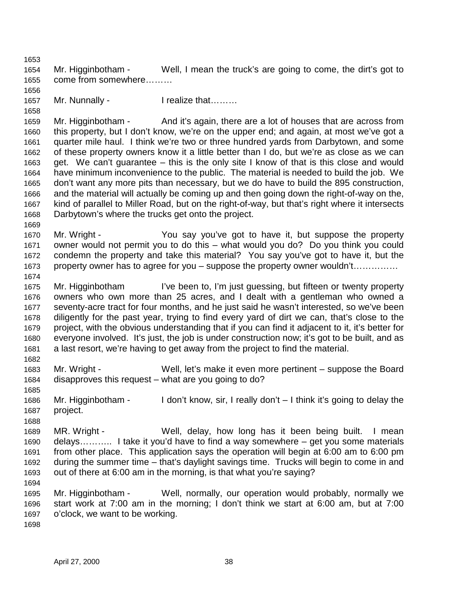1653 1654 Mr. Higginbotham - Well, I mean the truck's are going to come, the dirt's got to 1655 come from somewhere………

1657 Mr. Nunnally - I realize that………

1659 Mr. Higginbotham - And it's again, there are a lot of houses that are across from 1660 this property, but I don't know, we're on the upper end; and again, at most we've got a 1661 quarter mile haul. I think we're two or three hundred yards from Darbytown, and some 1662 of these property owners know it a little better than I do, but we're as close as we can 1663 get. We can't guarantee – this is the only site I know of that is this close and would 1664 have minimum inconvenience to the public. The material is needed to build the job. We 1665 don't want any more pits than necessary, but we do have to build the 895 construction, 1666 and the material will actually be coming up and then going down the right-of-way on the, 1667 kind of parallel to Miller Road, but on the right-of-way, but that's right where it intersects 1668 Darbytown's where the trucks get onto the project.

- 1670 Mr. Wright You say you've got to have it, but suppose the property 1671 owner would not permit you to do this – what would you do? Do you think you could 1672 condemn the property and take this material? You say you've got to have it, but the 1673 property owner has to agree for you – suppose the property owner wouldn't……………
- 1675 Mr. Higginbotham I've been to, I'm just guessing, but fifteen or twenty property 1676 owners who own more than 25 acres, and I dealt with a gentleman who owned a 1677 seventy-acre tract for four months, and he just said he wasn't interested, so we've been 1678 diligently for the past year, trying to find every yard of dirt we can, that's close to the 1679 project, with the obvious understanding that if you can find it adjacent to it, it's better for 1680 everyone involved. It's just, the job is under construction now; it's got to be built, and as 1681 a last resort, we're having to get away from the project to find the material.
- 1683 Mr. Wright Well, let's make it even more pertinent suppose the Board 1684 disapproves this request – what are you going to do?
- 1686 Mr. Higginbotham I don't know, sir, I really don't I think it's going to delay the 1687 project.
- 1689 MR. Wright Well, delay, how long has it been being built. I mean 1690 delays……….. I take it you'd have to find a way somewhere – get you some materials 1691 from other place. This application says the operation will begin at 6:00 am to 6:00 pm 1692 during the summer time – that's daylight savings time. Trucks will begin to come in and 1693 out of there at 6:00 am in the morning, is that what you're saying? 1694
- 1695 Mr. Higginbotham Well, normally, our operation would probably, normally we 1696 start work at 7:00 am in the morning; I don't think we start at 6:00 am, but at 7:00 1697 o'clock, we want to be working.
- 1698

1656

1658

1669

1674

1682

1685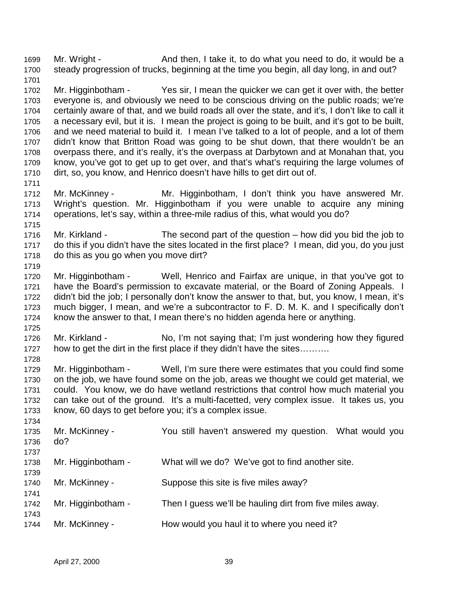1699 Mr. Wright - And then, I take it, to do what you need to do, it would be a 1700 steady progression of trucks, beginning at the time you begin, all day long, in and out? 1701

1702 Mr. Higginbotham - Yes sir, I mean the quicker we can get it over with, the better 1703 everyone is, and obviously we need to be conscious driving on the public roads; we're 1704 certainly aware of that, and we build roads all over the state, and it's, I don't like to call it 1705 a necessary evil, but it is. I mean the project is going to be built, and it's got to be built, 1706 and we need material to build it. I mean I've talked to a lot of people, and a lot of them 1707 didn't know that Britton Road was going to be shut down, that there wouldn't be an 1708 overpass there, and it's really, it's the overpass at Darbytown and at Monahan that, you 1709 know, you've got to get up to get over, and that's what's requiring the large volumes of 1710 dirt, so, you know, and Henrico doesn't have hills to get dirt out of.

1712 Mr. McKinney - Mr. Higginbotham, I don't think you have answered Mr. 1713 Wright's question. Mr. Higginbotham if you were unable to acquire any mining 1714 operations, let's say, within a three-mile radius of this, what would you do?

1716 Mr. Kirkland - The second part of the question – how did you bid the job to 1717 do this if you didn't have the sites located in the first place? I mean, did you, do you just 1718 do this as you go when you move dirt?

1720 Mr. Higginbotham - Well, Henrico and Fairfax are unique, in that you've got to 1721 have the Board's permission to excavate material, or the Board of Zoning Appeals. I 1722 didn't bid the job; I personally don't know the answer to that, but, you know, I mean, it's 1723 much bigger, I mean, and we're a subcontractor to F. D. M. K. and I specifically don't 1724 know the answer to that, I mean there's no hidden agenda here or anything.

1725 1726 Mr. Kirkland - No, I'm not saying that; I'm just wondering how they figured 1727 how to get the dirt in the first place if they didn't have the sites.........

1728 1729 Mr. Higginbotham - Well, I'm sure there were estimates that you could find some 1730 on the job, we have found some on the job, areas we thought we could get material, we 1731 could. You know, we do have wetland restrictions that control how much material you 1732 can take out of the ground. It's a multi-facetted, very complex issue. It takes us, you 1733 know, 60 days to get before you; it's a complex issue.

| 1734 |                    |                                                          |
|------|--------------------|----------------------------------------------------------|
| 1735 | Mr. McKinney -     | You still haven't answered my question. What would you   |
| 1736 | do?                |                                                          |
| 1737 |                    |                                                          |
| 1738 | Mr. Higginbotham - | What will we do? We've got to find another site.         |
| 1739 |                    |                                                          |
| 1740 | Mr. McKinney -     | Suppose this site is five miles away?                    |
| 1741 |                    |                                                          |
| 1742 | Mr. Higginbotham - | Then I guess we'll be hauling dirt from five miles away. |
| 1743 |                    |                                                          |
| 1744 | Mr. McKinney -     | How would you haul it to where you need it?              |
|      |                    |                                                          |

1711

1715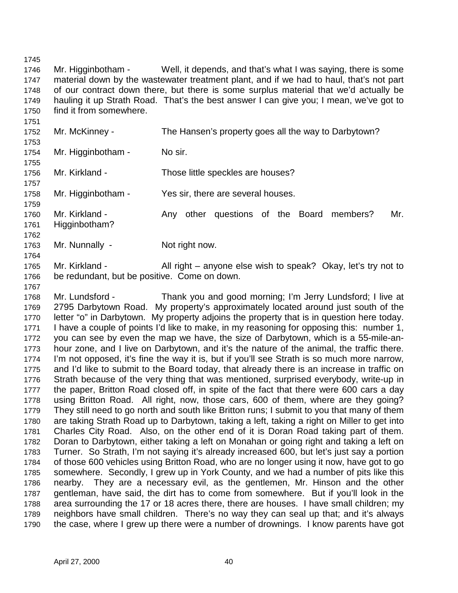1745

1767

1746 Mr. Higginbotham - Well, it depends, and that's what I was saying, there is some 1747 material down by the wastewater treatment plant, and if we had to haul, that's not part 1748 of our contract down there, but there is some surplus material that we'd actually be 1749 hauling it up Strath Road. That's the best answer I can give you; I mean, we've got to 1750 find it from somewhere.

- 1751 1752 Mr. McKinney - The Hansen's property goes all the way to Darbytown? 1753 1754 Mr. Higginbotham - No sir. 1755 1756 Mr. Kirkland - Those little speckles are houses? 1757 1758 Mr. Higginbotham - Yes sir, there are several houses. 1759 1760 Mr. Kirkland - Any other questions of the Board members? Mr. 1761 Higginbotham? 1762 1763 Mr. Nunnally - Not right now. 1764
- 1765 Mr. Kirkland All right anyone else wish to speak? Okay, let's try not to 1766 be redundant, but be positive. Come on down.

1768 Mr. Lundsford - Thank you and good morning; I'm Jerry Lundsford; I live at 1769 2795 Darbytown Road. My property's approximately located around just south of the 1770 letter "o" in Darbytown. My property adjoins the property that is in question here today. 1771 I have a couple of points I'd like to make, in my reasoning for opposing this: number 1, 1772 you can see by even the map we have, the size of Darbytown, which is a 55-mile-an-1773 hour zone, and I live on Darbytown, and it's the nature of the animal, the traffic there. 1774 I'm not opposed, it's fine the way it is, but if you'll see Strath is so much more narrow, 1775 and I'd like to submit to the Board today, that already there is an increase in traffic on 1776 Strath because of the very thing that was mentioned, surprised everybody, write-up in 1777 the paper, Britton Road closed off, in spite of the fact that there were 600 cars a day 1778 using Britton Road. All right, now, those cars, 600 of them, where are they going? 1779 They still need to go north and south like Britton runs; I submit to you that many of them 1780 are taking Strath Road up to Darbytown, taking a left, taking a right on Miller to get into 1781 Charles City Road. Also, on the other end of it is Doran Road taking part of them. 1782 Doran to Darbytown, either taking a left on Monahan or going right and taking a left on 1783 Turner. So Strath, I'm not saying it's already increased 600, but let's just say a portion 1784 of those 600 vehicles using Britton Road, who are no longer using it now, have got to go 1785 somewhere. Secondly, I grew up in York County, and we had a number of pits like this 1786 nearby. They are a necessary evil, as the gentlemen, Mr. Hinson and the other 1787 gentleman, have said, the dirt has to come from somewhere. But if you'll look in the 1788 area surrounding the 17 or 18 acres there, there are houses. I have small children; my 1789 neighbors have small children. There's no way they can seal up that; and it's always 1790 the case, where I grew up there were a number of drownings. I know parents have got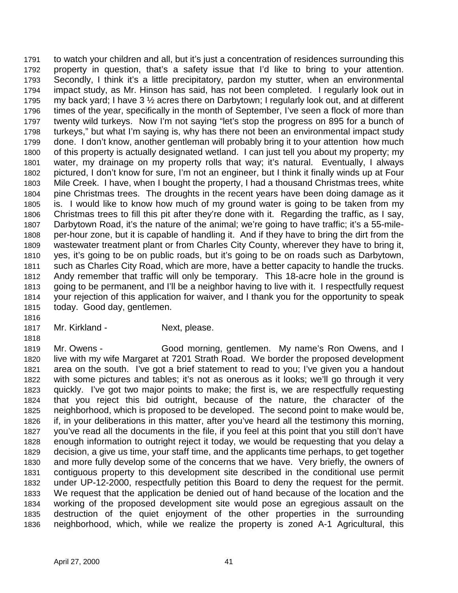1791 to watch your children and all, but it's just a concentration of residences surrounding this 1792 property in question, that's a safety issue that I'd like to bring to your attention. 1793 Secondly, I think it's a little precipitatory, pardon my stutter, when an environmental 1794 impact study, as Mr. Hinson has said, has not been completed. I regularly look out in 1795 my back yard; I have 3  $\frac{1}{2}$  acres there on Darbytown; I regularly look out, and at different 1796 times of the year, specifically in the month of September, I've seen a flock of more than 1797 twenty wild turkeys. Now I'm not saying "let's stop the progress on 895 for a bunch of 1798 turkeys," but what I'm saying is, why has there not been an environmental impact study 1799 done. I don't know, another gentleman will probably bring it to your attention how much 1800 of this property is actually designated wetland. I can just tell you about my property; my 1801 water, my drainage on my property rolls that way; it's natural. Eventually, I always 1802 pictured, I don't know for sure, I'm not an engineer, but I think it finally winds up at Four 1803 Mile Creek. I have, when I bought the property, I had a thousand Christmas trees, white 1804 pine Christmas trees. The droughts in the recent years have been doing damage as it 1805 is. I would like to know how much of my ground water is going to be taken from my 1806 Christmas trees to fill this pit after they're done with it. Regarding the traffic, as I say, 1807 Darbytown Road, it's the nature of the animal; we're going to have traffic; it's a 55-mile-1808 per-hour zone, but it is capable of handling it. And if they have to bring the dirt from the 1809 wastewater treatment plant or from Charles City County, wherever they have to bring it, 1810 yes, it's going to be on public roads, but it's going to be on roads such as Darbytown, 1811 such as Charles City Road, which are more, have a better capacity to handle the trucks. 1812 Andy remember that traffic will only be temporary. This 18-acre hole in the ground is 1813 going to be permanent, and I'll be a neighbor having to live with it. I respectfully request 1814 your rejection of this application for waiver, and I thank you for the opportunity to speak 1815 today. Good day, gentlemen.

- 1816
- 1817 Mr. Kirkland Next, please.

1818

1819 Mr. Owens - Good morning, gentlemen. My name's Ron Owens, and I 1820 live with my wife Margaret at 7201 Strath Road. We border the proposed development 1821 area on the south. I've got a brief statement to read to you; I've given you a handout 1822 with some pictures and tables; it's not as onerous as it looks; we'll go through it very 1823 quickly. I've got two major points to make; the first is, we are respectfully requesting 1824 that you reject this bid outright, because of the nature, the character of the 1825 neighborhood, which is proposed to be developed. The second point to make would be, 1826 if, in your deliberations in this matter, after you've heard all the testimony this morning, 1827 you've read all the documents in the file, if you feel at this point that you still don't have 1828 enough information to outright reject it today, we would be requesting that you delay a 1829 decision, a give us time, your staff time, and the applicants time perhaps, to get together 1830 and more fully develop some of the concerns that we have. Very briefly, the owners of 1831 contiguous property to this development site described in the conditional use permit 1832 under UP-12-2000, respectfully petition this Board to deny the request for the permit. 1833 We request that the application be denied out of hand because of the location and the 1834 working of the proposed development site would pose an egregious assault on the 1835 destruction of the quiet enjoyment of the other properties in the surrounding 1836 neighborhood, which, while we realize the property is zoned A-1 Agricultural, this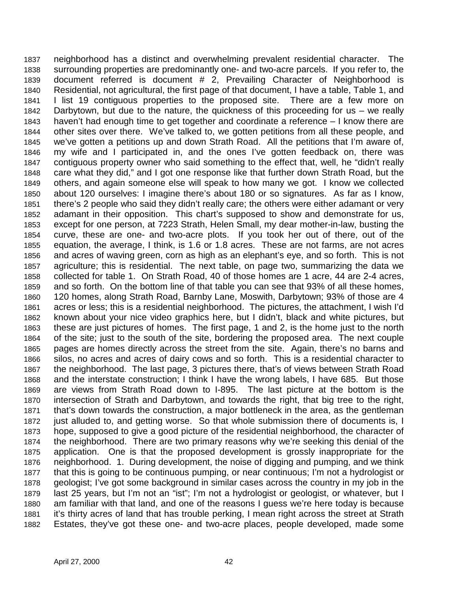1837 neighborhood has a distinct and overwhelming prevalent residential character. The 1838 surrounding properties are predominantly one- and two-acre parcels. If you refer to, the 1839 document referred is document # 2, Prevailing Character of Neighborhood is 1840 Residential, not agricultural, the first page of that document, I have a table, Table 1, and 1841 I list 19 contiguous properties to the proposed site. There are a few more on 1842 Darbytown, but due to the nature, the quickness of this proceeding for us – we really 1843 haven't had enough time to get together and coordinate a reference – I know there are 1844 other sites over there. We've talked to, we gotten petitions from all these people, and 1845 we've gotten a petitions up and down Strath Road. All the petitions that I'm aware of, 1846 my wife and I participated in, and the ones I've gotten feedback on, there was 1847 contiguous property owner who said something to the effect that, well, he "didn't really 1848 care what they did," and I got one response like that further down Strath Road, but the 1849 others, and again someone else will speak to how many we got. I know we collected 1850 about 120 ourselves: I imagine there's about 180 or so signatures. As far as I know, 1851 there's 2 people who said they didn't really care; the others were either adamant or very 1852 adamant in their opposition. This chart's supposed to show and demonstrate for us, 1853 except for one person, at 7223 Strath, Helen Small, my dear mother-in-law, busting the 1854 curve, these are one- and two-acre plots. If you took her out of there, out of the 1855 equation, the average, I think, is 1.6 or 1.8 acres. These are not farms, are not acres 1856 and acres of waving green, corn as high as an elephant's eye, and so forth. This is not 1857 agriculture; this is residential. The next table, on page two, summarizing the data we 1858 collected for table 1. On Strath Road, 40 of those homes are 1 acre, 44 are 2-4 acres, 1859 and so forth. On the bottom line of that table you can see that 93% of all these homes, 1860 120 homes, along Strath Road, Barnby Lane, Moswith, Darbytown; 93% of those are 4 1861 acres or less; this is a residential neighborhood. The pictures, the attachment, I wish I'd 1862 known about your nice video graphics here, but I didn't, black and white pictures, but 1863 these are just pictures of homes. The first page, 1 and 2, is the home just to the north 1864 of the site; just to the south of the site, bordering the proposed area. The next couple 1865 pages are homes directly across the street from the site. Again, there's no barns and 1866 silos, no acres and acres of dairy cows and so forth. This is a residential character to 1867 the neighborhood. The last page, 3 pictures there, that's of views between Strath Road 1868 and the interstate construction; I think I have the wrong labels, I have 685. But those 1869 are views from Strath Road down to I-895. The last picture at the bottom is the 1870 intersection of Strath and Darbytown, and towards the right, that big tree to the right, 1871 that's down towards the construction, a major bottleneck in the area, as the gentleman 1872 just alluded to, and getting worse. So that whole submission there of documents is, I 1873 hope, supposed to give a good picture of the residential neighborhood, the character of 1874 the neighborhood. There are two primary reasons why we're seeking this denial of the 1875 application. One is that the proposed development is grossly inappropriate for the 1876 neighborhood. 1. During development, the noise of digging and pumping, and we think 1877 that this is going to be continuous pumping, or near continuous; I'm not a hydrologist or 1878 geologist; I've got some background in similar cases across the country in my job in the 1879 last 25 years, but I'm not an "ist"; I'm not a hydrologist or geologist, or whatever, but I 1880 am familiar with that land, and one of the reasons I guess we're here today is because 1881 it's thirty acres of land that has trouble perking, I mean right across the street at Strath 1882 Estates, they've got these one- and two-acre places, people developed, made some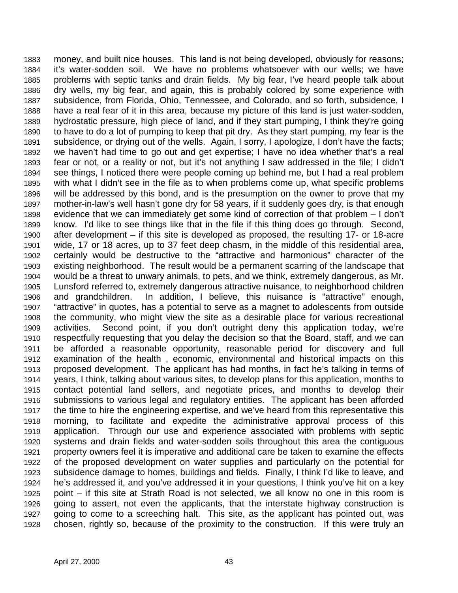1883 money, and built nice houses. This land is not being developed, obviously for reasons; 1884 it's water-sodden soil. We have no problems whatsoever with our wells; we have 1885 problems with septic tanks and drain fields. My big fear, I've heard people talk about 1886 dry wells, my big fear, and again, this is probably colored by some experience with 1887 subsidence, from Florida, Ohio, Tennessee, and Colorado, and so forth, subsidence, I 1888 have a real fear of it in this area, because my picture of this land is just water-sodden, 1889 hydrostatic pressure, high piece of land, and if they start pumping, I think they're going 1890 to have to do a lot of pumping to keep that pit dry. As they start pumping, my fear is the 1891 subsidence, or drying out of the wells. Again, I sorry, I apologize, I don't have the facts; 1892 we haven't had time to go out and get expertise; I have no idea whether that's a real 1893 fear or not, or a reality or not, but it's not anything I saw addressed in the file; I didn't 1894 see things, I noticed there were people coming up behind me, but I had a real problem 1895 with what I didn't see in the file as to when problems come up, what specific problems 1896 will be addressed by this bond, and is the presumption on the owner to prove that my 1897 mother-in-law's well hasn't gone dry for 58 years, if it suddenly goes dry, is that enough 1898 evidence that we can immediately get some kind of correction of that problem – I don't 1899 know. I'd like to see things like that in the file if this thing does go through. Second, 1900 after development – if this site is developed as proposed, the resulting 17- or 18-acre 1901 wide, 17 or 18 acres, up to 37 feet deep chasm, in the middle of this residential area, 1902 certainly would be destructive to the "attractive and harmonious" character of the 1903 existing neighborhood. The result would be a permanent scarring of the landscape that 1904 would be a threat to unwary animals, to pets, and we think, extremely dangerous, as Mr. 1905 Lunsford referred to, extremely dangerous attractive nuisance, to neighborhood children 1906 and grandchildren. In addition, I believe, this nuisance is "attractive" enough, 1907 "attractive" in quotes, has a potential to serve as a magnet to adolescents from outside 1908 the community, who might view the site as a desirable place for various recreational 1909 activities. Second point, if you don't outright deny this application today, we're 1910 respectfully requesting that you delay the decision so that the Board, staff, and we can 1911 be afforded a reasonable opportunity, reasonable period for discovery and full 1912 examination of the health , economic, environmental and historical impacts on this 1913 proposed development. The applicant has had months, in fact he's talking in terms of 1914 years, I think, talking about various sites, to develop plans for this application, months to 1915 contact potential land sellers, and negotiate prices, and months to develop their 1916 submissions to various legal and regulatory entities. The applicant has been afforded 1917 the time to hire the engineering expertise, and we've heard from this representative this 1918 morning, to facilitate and expedite the administrative approval process of this 1919 application. Through our use and experience associated with problems with septic 1920 systems and drain fields and water-sodden soils throughout this area the contiguous 1921 property owners feel it is imperative and additional care be taken to examine the effects 1922 of the proposed development on water supplies and particularly on the potential for 1923 subsidence damage to homes, buildings and fields. Finally, I think I'd like to leave, and 1924 he's addressed it, and you've addressed it in your questions, I think you've hit on a key 1925 point – if this site at Strath Road is not selected, we all know no one in this room is 1926 going to assert, not even the applicants, that the interstate highway construction is 1927 going to come to a screeching halt. This site, as the applicant has pointed out, was 1928 chosen, rightly so, because of the proximity to the construction. If this were truly an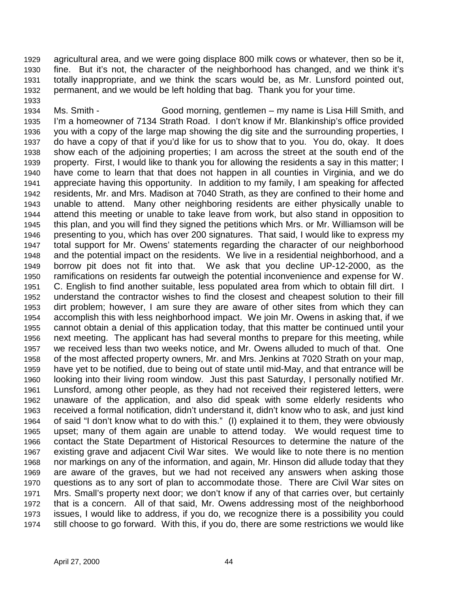1929 agricultural area, and we were going displace 800 milk cows or whatever, then so be it, 1930 fine. But it's not, the character of the neighborhood has changed, and we think it's 1931 totally inappropriate, and we think the scars would be, as Mr. Lunsford pointed out, 1932 permanent, and we would be left holding that bag. Thank you for your time.

1934 Ms. Smith - Good morning, gentlemen – my name is Lisa Hill Smith, and 1935 I'm a homeowner of 7134 Strath Road. I don't know if Mr. Blankinship's office provided 1936 you with a copy of the large map showing the dig site and the surrounding properties, I 1937 do have a copy of that if you'd like for us to show that to you. You do, okay. It does 1938 show each of the adjoining properties; I am across the street at the south end of the 1939 property. First, I would like to thank you for allowing the residents a say in this matter; I 1940 have come to learn that that does not happen in all counties in Virginia, and we do 1941 appreciate having this opportunity. In addition to my family, I am speaking for affected 1942 residents, Mr. and Mrs. Madison at 7040 Strath, as they are confined to their home and 1943 unable to attend. Many other neighboring residents are either physically unable to 1944 attend this meeting or unable to take leave from work, but also stand in opposition to 1945 this plan, and you will find they signed the petitions which Mrs. or Mr. Williamson will be 1946 presenting to you, which has over 200 signatures. That said, I would like to express my 1947 total support for Mr. Owens' statements regarding the character of our neighborhood 1948 and the potential impact on the residents. We live in a residential neighborhood, and a 1949 borrow pit does not fit into that. We ask that you decline UP-12-2000, as the 1950 ramifications on residents far outweigh the potential inconvenience and expense for W. 1951 C. English to find another suitable, less populated area from which to obtain fill dirt. I 1952 understand the contractor wishes to find the closest and cheapest solution to their fill 1953 dirt problem; however, I am sure they are aware of other sites from which they can 1954 accomplish this with less neighborhood impact. We join Mr. Owens in asking that, if we 1955 cannot obtain a denial of this application today, that this matter be continued until your 1956 next meeting. The applicant has had several months to prepare for this meeting, while 1957 we received less than two weeks notice, and Mr. Owens alluded to much of that. One 1958 of the most affected property owners, Mr. and Mrs. Jenkins at 7020 Strath on your map, 1959 have yet to be notified, due to being out of state until mid-May, and that entrance will be 1960 looking into their living room window. Just this past Saturday, I personally notified Mr. 1961 Lunsford, among other people, as they had not received their registered letters, were 1962 unaware of the application, and also did speak with some elderly residents who 1963 received a formal notification, didn't understand it, didn't know who to ask, and just kind 1964 of said "I don't know what to do with this." (I) explained it to them, they were obviously 1965 upset; many of them again are unable to attend today. We would request time to 1966 contact the State Department of Historical Resources to determine the nature of the 1967 existing grave and adjacent Civil War sites. We would like to note there is no mention 1968 nor markings on any of the information, and again, Mr. Hinson did allude today that they 1969 are aware of the graves, but we had not received any answers when asking those 1970 questions as to any sort of plan to accommodate those. There are Civil War sites on 1971 Mrs. Small's property next door; we don't know if any of that carries over, but certainly 1972 that is a concern. All of that said, Mr. Owens addressing most of the neighborhood 1973 issues, I would like to address, if you do, we recognize there is a possibility you could 1974 still choose to go forward. With this, if you do, there are some restrictions we would like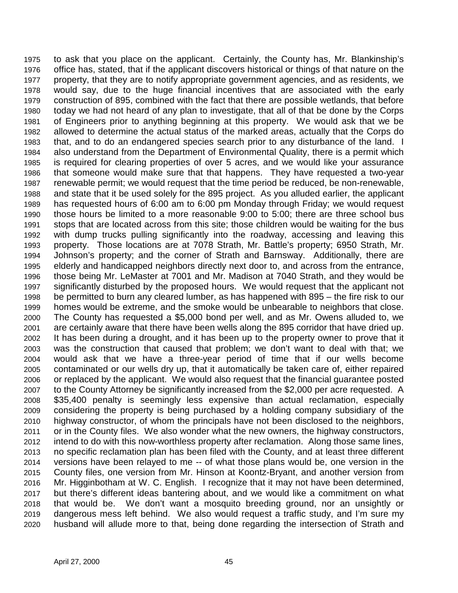1975 to ask that you place on the applicant. Certainly, the County has, Mr. Blankinship's 1976 office has, stated, that if the applicant discovers historical or things of that nature on the 1977 property, that they are to notify appropriate government agencies, and as residents, we 1978 would say, due to the huge financial incentives that are associated with the early 1979 construction of 895, combined with the fact that there are possible wetlands, that before 1980 today we had not heard of any plan to investigate, that all of that be done by the Corps 1981 of Engineers prior to anything beginning at this property. We would ask that we be 1982 allowed to determine the actual status of the marked areas, actually that the Corps do 1983 that, and to do an endangered species search prior to any disturbance of the land. I 1984 also understand from the Department of Environmental Quality, there is a permit which 1985 is required for clearing properties of over 5 acres, and we would like your assurance 1986 that someone would make sure that that happens. They have requested a two-year 1987 renewable permit; we would request that the time period be reduced, be non-renewable, 1988 and state that it be used solely for the 895 project. As you alluded earlier, the applicant 1989 has requested hours of 6:00 am to 6:00 pm Monday through Friday; we would request 1990 those hours be limited to a more reasonable 9:00 to 5:00; there are three school bus 1991 stops that are located across from this site; those children would be waiting for the bus 1992 with dump trucks pulling significantly into the roadway, accessing and leaving this 1993 property. Those locations are at 7078 Strath, Mr. Battle's property; 6950 Strath, Mr. 1994 Johnson's property; and the corner of Strath and Barnsway. Additionally, there are 1995 elderly and handicapped neighbors directly next door to, and across from the entrance, 1996 those being Mr. LeMaster at 7001 and Mr. Madison at 7040 Strath, and they would be 1997 significantly disturbed by the proposed hours. We would request that the applicant not 1998 be permitted to burn any cleared lumber, as has happened with 895 – the fire risk to our 1999 homes would be extreme, and the smoke would be unbearable to neighbors that close. 2000 The County has requested a \$5,000 bond per well, and as Mr. Owens alluded to, we 2001 are certainly aware that there have been wells along the 895 corridor that have dried up. 2002 It has been during a drought, and it has been up to the property owner to prove that it 2003 was the construction that caused that problem; we don't want to deal with that; we 2004 would ask that we have a three-year period of time that if our wells become 2005 contaminated or our wells dry up, that it automatically be taken care of, either repaired 2006 or replaced by the applicant. We would also request that the financial guarantee posted 2007 to the County Attorney be significantly increased from the \$2,000 per acre requested. A 2008 \$35,400 penalty is seemingly less expensive than actual reclamation, especially 2009 considering the property is being purchased by a holding company subsidiary of the 2010 highway constructor, of whom the principals have not been disclosed to the neighbors, 2011 or in the County files. We also wonder what the new owners, the highway constructors, 2012 intend to do with this now-worthless property after reclamation. Along those same lines, 2013 no specific reclamation plan has been filed with the County, and at least three different 2014 versions have been relayed to me -- of what those plans would be, one version in the 2015 County files, one version from Mr. Hinson at Koontz-Bryant, and another version from 2016 Mr. Higginbotham at W. C. English. I recognize that it may not have been determined, 2017 but there's different ideas bantering about, and we would like a commitment on what 2018 that would be. We don't want a mosquito breeding ground, nor an unsightly or 2019 dangerous mess left behind. We also would request a traffic study, and I'm sure my 2020 husband will allude more to that, being done regarding the intersection of Strath and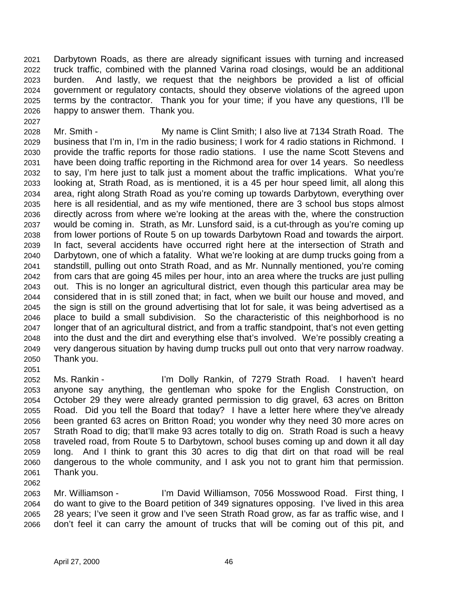2021 Darbytown Roads, as there are already significant issues with turning and increased 2022 truck traffic, combined with the planned Varina road closings, would be an additional 2023 burden. And lastly, we request that the neighbors be provided a list of official 2024 government or regulatory contacts, should they observe violations of the agreed upon 2025 terms by the contractor. Thank you for your time; if you have any questions, I'll be 2026 happy to answer them. Thank you.

2028 Mr. Smith - My name is Clint Smith; I also live at 7134 Strath Road. The 2029 business that I'm in, I'm in the radio business; I work for 4 radio stations in Richmond. I 2030 provide the traffic reports for those radio stations. I use the name Scott Stevens and 2031 have been doing traffic reporting in the Richmond area for over 14 years. So needless 2032 to say, I'm here just to talk just a moment about the traffic implications. What you're 2033 looking at, Strath Road, as is mentioned, it is a 45 per hour speed limit, all along this 2034 area, right along Strath Road as you're coming up towards Darbytown, everything over 2035 here is all residential, and as my wife mentioned, there are 3 school bus stops almost 2036 directly across from where we're looking at the areas with the, where the construction 2037 would be coming in. Strath, as Mr. Lunsford said, is a cut-through as you're coming up 2038 from lower portions of Route 5 on up towards Darbytown Road and towards the airport. 2039 In fact, several accidents have occurred right here at the intersection of Strath and 2040 Darbytown, one of which a fatality. What we're looking at are dump trucks going from a 2041 standstill, pulling out onto Strath Road, and as Mr. Nunnally mentioned, you're coming 2042 from cars that are going 45 miles per hour, into an area where the trucks are just pulling 2043 out. This is no longer an agricultural district, even though this particular area may be 2044 considered that in is still zoned that; in fact, when we built our house and moved, and 2045 the sign is still on the ground advertising that lot for sale, it was being advertised as a 2046 place to build a small subdivision. So the characteristic of this neighborhood is no 2047 longer that of an agricultural district, and from a traffic standpoint, that's not even getting 2048 into the dust and the dirt and everything else that's involved. We're possibly creating a 2049 very dangerous situation by having dump trucks pull out onto that very narrow roadway. 2050 Thank you.

2052 Ms. Rankin - I'm Dolly Rankin, of 7279 Strath Road. I haven't heard 2053 anyone say anything, the gentleman who spoke for the English Construction, on 2054 October 29 they were already granted permission to dig gravel, 63 acres on Britton 2055 Road. Did you tell the Board that today? I have a letter here where they've already 2056 been granted 63 acres on Britton Road; you wonder why they need 30 more acres on 2057 Strath Road to dig; that'll make 93 acres totally to dig on. Strath Road is such a heavy 2058 traveled road, from Route 5 to Darbytown, school buses coming up and down it all day 2059 long. And I think to grant this 30 acres to dig that dirt on that road will be real 2060 dangerous to the whole community, and I ask you not to grant him that permission. 2061 Thank you. 2062

2063 Mr. Williamson - I'm David Williamson, 7056 Mosswood Road. First thing, I 2064 do want to give to the Board petition of 349 signatures opposing. I've lived in this area 2065 28 years; I've seen it grow and I've seen Strath Road grow, as far as traffic wise, and I 2066 don't feel it can carry the amount of trucks that will be coming out of this pit, and

2027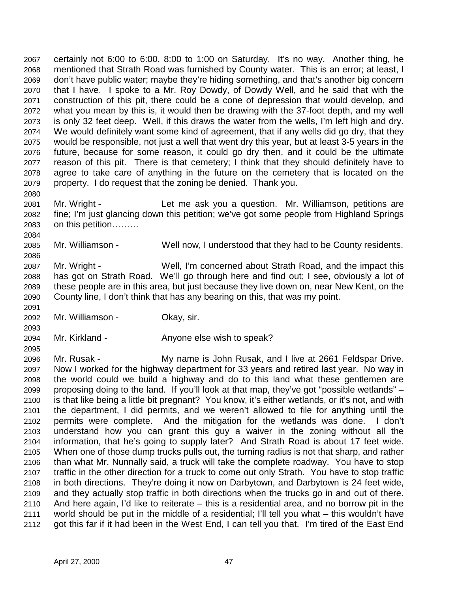2067 certainly not 6:00 to 6:00, 8:00 to 1:00 on Saturday. It's no way. Another thing, he 2068 mentioned that Strath Road was furnished by County water. This is an error; at least, I 2069 don't have public water; maybe they're hiding something, and that's another big concern 2070 that I have. I spoke to a Mr. Roy Dowdy, of Dowdy Well, and he said that with the 2071 construction of this pit, there could be a cone of depression that would develop, and 2072 what you mean by this is, it would then be drawing with the 37-foot depth, and my well 2073 is only 32 feet deep. Well, if this draws the water from the wells, I'm left high and dry. 2074 We would definitely want some kind of agreement, that if any wells did go dry, that they 2075 would be responsible, not just a well that went dry this year, but at least 3-5 years in the 2076 future, because for some reason, it could go dry then, and it could be the ultimate 2077 reason of this pit. There is that cemetery; I think that they should definitely have to 2078 agree to take care of anything in the future on the cemetery that is located on the 2079 property. I do request that the zoning be denied. Thank you.

2081 Mr. Wright - Let me ask you a question. Mr. Williamson, petitions are 2082 fine; I'm just glancing down this petition; we've got some people from Highland Springs 2083 on this petition………

2085 Mr. Williamson - Well now, I understood that they had to be County residents.

2087 Mr. Wright - Well, I'm concerned about Strath Road, and the impact this 2088 has got on Strath Road. We'll go through here and find out; I see, obviously a lot of 2089 these people are in this area, but just because they live down on, near New Kent, on the 2090 County line, I don't think that has any bearing on this, that was my point.

2092 Mr. Williamson - Okay, sir.

2080

2084

2086

2091

2093

2095

2094 Mr. Kirkland - Anyone else wish to speak?

2096 Mr. Rusak - My name is John Rusak, and I live at 2661 Feldspar Drive. 2097 Now I worked for the highway department for 33 years and retired last year. No way in 2098 the world could we build a highway and do to this land what these gentlemen are 2099 proposing doing to the land. If you'll look at that map, they've got "possible wetlands" – 2100 is that like being a little bit pregnant? You know, it's either wetlands, or it's not, and with 2101 the department, I did permits, and we weren't allowed to file for anything until the 2102 permits were complete. And the mitigation for the wetlands was done. I don't 2103 understand how you can grant this guy a waiver in the zoning without all the 2104 information, that he's going to supply later? And Strath Road is about 17 feet wide. 2105 When one of those dump trucks pulls out, the turning radius is not that sharp, and rather 2106 than what Mr. Nunnally said, a truck will take the complete roadway. You have to stop 2107 traffic in the other direction for a truck to come out only Strath. You have to stop traffic 2108 in both directions. They're doing it now on Darbytown, and Darbytown is 24 feet wide, 2109 and they actually stop traffic in both directions when the trucks go in and out of there. 2110 And here again, I'd like to reiterate – this is a residential area, and no borrow pit in the 2111 world should be put in the middle of a residential; I'll tell you what – this wouldn't have 2112 got this far if it had been in the West End, I can tell you that. I'm tired of the East End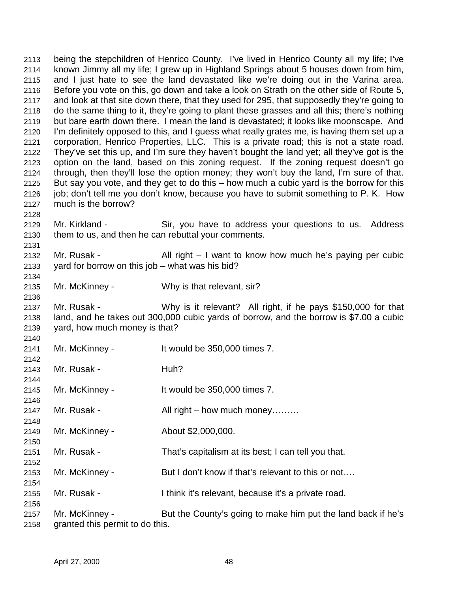2113 being the stepchildren of Henrico County. I've lived in Henrico County all my life; I've 2114 known Jimmy all my life; I grew up in Highland Springs about 5 houses down from him, 2115 and I just hate to see the land devastated like we're doing out in the Varina area. 2116 Before you vote on this, go down and take a look on Strath on the other side of Route 5, 2117 and look at that site down there, that they used for 295, that supposedly they're going to 2118 do the same thing to it, they're going to plant these grasses and all this; there's nothing 2119 but bare earth down there. I mean the land is devastated; it looks like moonscape. And 2120 I'm definitely opposed to this, and I guess what really grates me, is having them set up a 2121 corporation, Henrico Properties, LLC. This is a private road; this is not a state road. 2122 They've set this up, and I'm sure they haven't bought the land yet; all they've got is the 2123 option on the land, based on this zoning request. If the zoning request doesn't go 2124 through, then they'll lose the option money; they won't buy the land, I'm sure of that. 2125 But say you vote, and they get to do this – how much a cubic yard is the borrow for this 2126 job; don't tell me you don't know, because you have to submit something to P. K. How 2127 much is the borrow? 2128 2129 Mr. Kirkland - Sir, you have to address your questions to us. Address 2130 them to us, and then he can rebuttal your comments. 2131 2132 Mr. Rusak - All right – I want to know how much he's paying per cubic 2133 yard for borrow on this job – what was his bid? 2134 2135 Mr. McKinney - Why is that relevant, sir? 2136 2137 Mr. Rusak - Why is it relevant? All right, if he pays \$150,000 for that 2138 land, and he takes out 300,000 cubic yards of borrow, and the borrow is \$7.00 a cubic 2139 yard, how much money is that? 2140 2141 Mr. McKinney - It would be 350,000 times 7. 2142 2143 Mr. Rusak - Huh? 2144 2145 Mr. McKinney - It would be 350,000 times 7. 2146 2147 Mr. Rusak - All right – how much money……… 2148 2149 Mr. McKinney - About \$2,000,000. 2150 2151 Mr. Rusak - That's capitalism at its best; I can tell you that. 2152 2153 Mr. McKinney - But I don't know if that's relevant to this or not.... 2154 2155 Mr. Rusak - I think it's relevant, because it's a private road. 2156 2157 Mr. McKinney - But the County's going to make him put the land back if he's 2158 granted this permit to do this.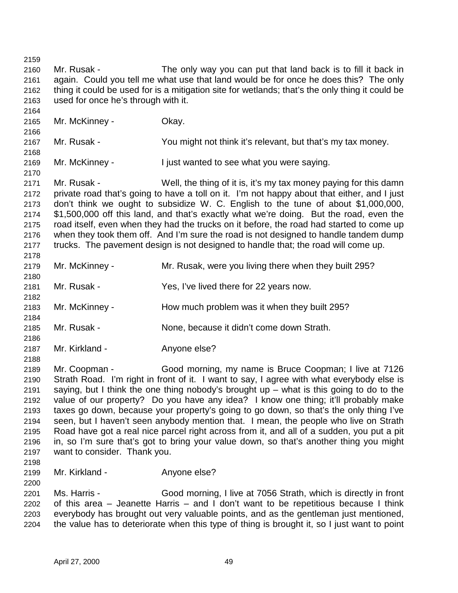2159 2160 Mr. Rusak - The only way you can put that land back is to fill it back in 2161 again. Could you tell me what use that land would be for once he does this? The only 2162 thing it could be used for is a mitigation site for wetlands; that's the only thing it could be 2163 used for once he's through with it. 2164 2165 Mr. McKinney - Okay. 2166 2167 Mr. Rusak - You might not think it's relevant, but that's my tax money. 2168 2169 Mr. McKinney - I just wanted to see what you were saying. 2170 2171 Mr. Rusak - Well, the thing of it is, it's my tax money paying for this damn 2172 private road that's going to have a toll on it. I'm not happy about that either, and I just 2173 don't think we ought to subsidize W. C. English to the tune of about \$1,000,000, 2174 \$1,500,000 off this land, and that's exactly what we're doing. But the road, even the 2175 road itself, even when they had the trucks on it before, the road had started to come up 2176 when they took them off. And I'm sure the road is not designed to handle tandem dump 2177 trucks. The pavement design is not designed to handle that; the road will come up. 2178 2179 Mr. McKinney - Mr. Rusak, were you living there when they built 295? 2180 2181 Mr. Rusak - Yes, I've lived there for 22 years now. 2182 2183 Mr. McKinney - How much problem was it when they built 295? 2184 2185 Mr. Rusak - None, because it didn't come down Strath. 2186 2187 Mr. Kirkland - Anyone else? 2188 2189 Mr. Coopman - Good morning, my name is Bruce Coopman; I live at 7126 2190 Strath Road. I'm right in front of it. I want to say, I agree with what everybody else is 2191 saying, but I think the one thing nobody's brought up – what is this going to do to the 2192 value of our property? Do you have any idea? I know one thing; it'll probably make 2193 taxes go down, because your property's going to go down, so that's the only thing I've 2194 seen, but I haven't seen anybody mention that. I mean, the people who live on Strath 2195 Road have got a real nice parcel right across from it, and all of a sudden, you put a pit 2196 in, so I'm sure that's got to bring your value down, so that's another thing you might 2197 want to consider. Thank you. 2198 2199 Mr. Kirkland - Anyone else? 2200 2201 Ms. Harris - Good morning, I live at 7056 Strath, which is directly in front 2202 of this area – Jeanette Harris – and I don't want to be repetitious because I think 2203 everybody has brought out very valuable points, and as the gentleman just mentioned, 2204 the value has to deteriorate when this type of thing is brought it, so I just want to point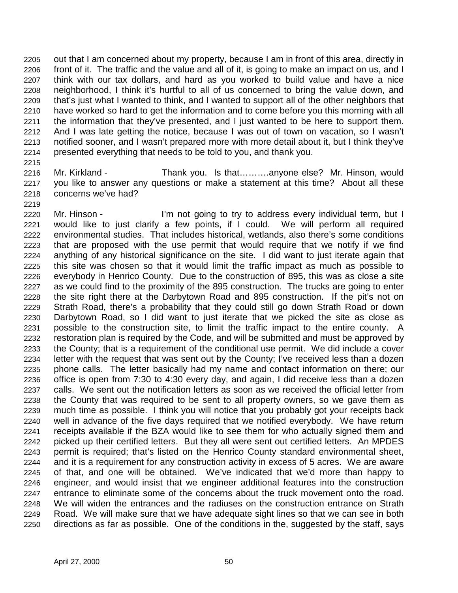2205 out that I am concerned about my property, because I am in front of this area, directly in 2206 front of it. The traffic and the value and all of it, is going to make an impact on us, and I 2207 think with our tax dollars, and hard as you worked to build value and have a nice 2208 neighborhood, I think it's hurtful to all of us concerned to bring the value down, and 2209 that's just what I wanted to think, and I wanted to support all of the other neighbors that 2210 have worked so hard to get the information and to come before you this morning with all 2211 the information that they've presented, and I just wanted to be here to support them. 2212 And I was late getting the notice, because I was out of town on vacation, so I wasn't 2213 notified sooner, and I wasn't prepared more with more detail about it, but I think they've 2214 presented everything that needs to be told to you, and thank you.

2215

2216 Mr. Kirkland - Thank you. Is that……….anyone else? Mr. Hinson, would 2217 you like to answer any questions or make a statement at this time? About all these 2218 concerns we've had?

2219

2220 Mr. Hinson - I'm not going to try to address every individual term, but I 2221 would like to just clarify a few points, if I could. We will perform all required 2222 environmental studies. That includes historical, wetlands, also there's some conditions 2223 that are proposed with the use permit that would require that we notify if we find 2224 anything of any historical significance on the site. I did want to just iterate again that 2225 this site was chosen so that it would limit the traffic impact as much as possible to 2226 everybody in Henrico County. Due to the construction of 895, this was as close a site 2227 as we could find to the proximity of the 895 construction. The trucks are going to enter 2228 the site right there at the Darbytown Road and 895 construction. If the pit's not on 2229 Strath Road, there's a probability that they could still go down Strath Road or down 2230 Darbytown Road, so I did want to just iterate that we picked the site as close as 2231 possible to the construction site, to limit the traffic impact to the entire county. A 2232 restoration plan is required by the Code, and will be submitted and must be approved by 2233 the County; that is a requirement of the conditional use permit. We did include a cover 2234 letter with the request that was sent out by the County; I've received less than a dozen 2235 phone calls. The letter basically had my name and contact information on there; our 2236 office is open from 7:30 to 4:30 every day, and again, I did receive less than a dozen 2237 calls. We sent out the notification letters as soon as we received the official letter from 2238 the County that was required to be sent to all property owners, so we gave them as 2239 much time as possible. I think you will notice that you probably got your receipts back 2240 well in advance of the five days required that we notified everybody. We have return 2241 receipts available if the BZA would like to see them for who actually signed them and 2242 picked up their certified letters. But they all were sent out certified letters. An MPDES 2243 permit is required; that's listed on the Henrico County standard environmental sheet, 2244 and it is a requirement for any construction activity in excess of 5 acres. We are aware 2245 of that, and one will be obtained. We've indicated that we'd more than happy to 2246 engineer, and would insist that we engineer additional features into the construction 2247 entrance to eliminate some of the concerns about the truck movement onto the road. 2248 We will widen the entrances and the radiuses on the construction entrance on Strath 2249 Road. We will make sure that we have adequate sight lines so that we can see in both 2250 directions as far as possible. One of the conditions in the, suggested by the staff, says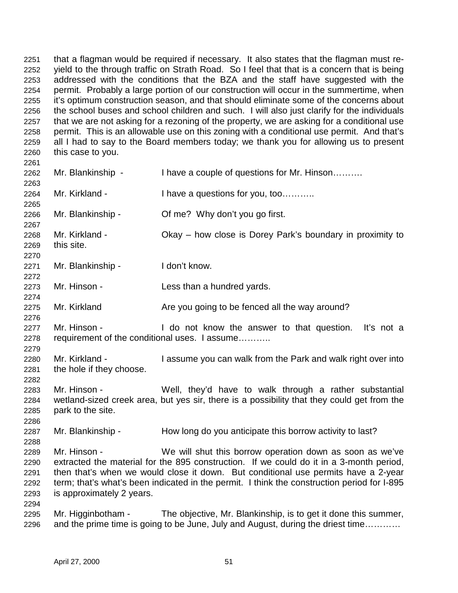2251 that a flagman would be required if necessary. It also states that the flagman must re-2252 yield to the through traffic on Strath Road. So I feel that that is a concern that is being 2253 addressed with the conditions that the BZA and the staff have suggested with the 2254 permit. Probably a large portion of our construction will occur in the summertime, when 2255 it's optimum construction season, and that should eliminate some of the concerns about 2256 the school buses and school children and such. I will also just clarify for the individuals 2257 that we are not asking for a rezoning of the property, we are asking for a conditional use 2258 permit. This is an allowable use on this zoning with a conditional use permit. And that's 2259 all I had to say to the Board members today; we thank you for allowing us to present 2260 this case to you.

- 2262 Mr. Blankinship I have a couple of questions for Mr. Hinson………. 2263 2264 Mr. Kirkland - I have a questions for you, too........... 2265 2266 Mr. Blankinship - Of me? Why don't you go first. 2267
- 2268 Mr. Kirkland Okay how close is Dorey Park's boundary in proximity to 2269 this site.
- 2271 Mr. Blankinship I don't know. 2272

2261

2270

2274

2276

2279

2282

2286

2288

- 2273 Mr. Hinson Less than a hundred yards.
- 2275 Mr. Kirkland **Are you going to be fenced all the way around?**
- 2277 Mr. Hinson I do not know the answer to that question. It's not a 2278 requirement of the conditional uses. I assume………..
- 2280 Mr. Kirkland I assume you can walk from the Park and walk right over into 2281 the hole if they choose.
- 2283 Mr. Hinson Well, they'd have to walk through a rather substantial 2284 wetland-sized creek area, but yes sir, there is a possibility that they could get from the 2285 park to the site.
- 2287 Mr. Blankinship How long do you anticipate this borrow activity to last?
- 2289 Mr. Hinson We will shut this borrow operation down as soon as we've 2290 extracted the material for the 895 construction. If we could do it in a 3-month period, 2291 then that's when we would close it down. But conditional use permits have a 2-year 2292 term; that's what's been indicated in the permit. I think the construction period for I-895 2293 is approximately 2 years.
- 2295 Mr. Higginbotham The objective, Mr. Blankinship, is to get it done this summer, 2296 and the prime time is going to be June, July and August, during the driest time…………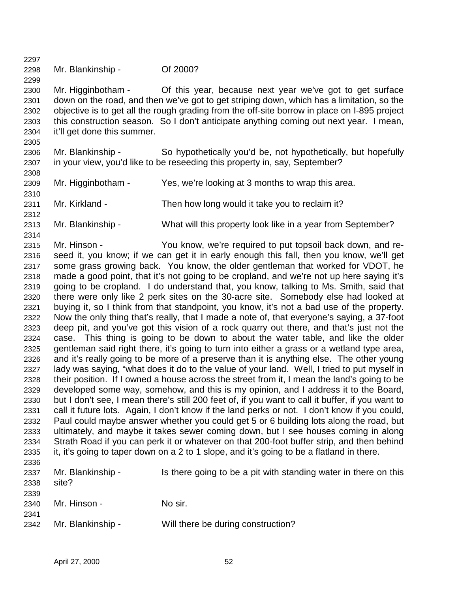2298 Mr. Blankinship - Of 2000?

2300 Mr. Higginbotham - Of this year, because next year we've got to get surface 2301 down on the road, and then we've got to get striping down, which has a limitation, so the 2302 objective is to get all the rough grading from the off-site borrow in place on I-895 project 2303 this construction season. So I don't anticipate anything coming out next year. I mean, 2304 it'll get done this summer.

- 2306 Mr. Blankinship So hypothetically you'd be, not hypothetically, but hopefully 2307 in your view, you'd like to be reseeding this property in, say, September?
- 2309 Mr. Higginbotham Yes, we're looking at 3 months to wrap this area.
- 2310

2308

2305

2297

2299

- 2311 Mr. Kirkland Then how long would it take you to reclaim it?
- 2313 Mr. Blankinship What will this property look like in a year from September?
- 2314

2312

2315 Mr. Hinson - You know, we're required to put topsoil back down, and re-2316 seed it, you know; if we can get it in early enough this fall, then you know, we'll get 2317 some grass growing back. You know, the older gentleman that worked for VDOT, he 2318 made a good point, that it's not going to be cropland, and we're not up here saying it's 2319 going to be cropland. I do understand that, you know, talking to Ms. Smith, said that 2320 there were only like 2 perk sites on the 30-acre site. Somebody else had looked at 2321 buying it, so I think from that standpoint, you know, it's not a bad use of the property. 2322 Now the only thing that's really, that I made a note of, that everyone's saying, a 37-foot 2323 deep pit, and you've got this vision of a rock quarry out there, and that's just not the 2324 case. This thing is going to be down to about the water table, and like the older 2325 gentleman said right there, it's going to turn into either a grass or a wetland type area, 2326 and it's really going to be more of a preserve than it is anything else. The other young 2327 lady was saying, "what does it do to the value of your land. Well, I tried to put myself in 2328 their position. If I owned a house across the street from it, I mean the land's going to be 2329 developed some way, somehow, and this is my opinion, and I address it to the Board, 2330 but I don't see, I mean there's still 200 feet of, if you want to call it buffer, if you want to 2331 call it future lots. Again, I don't know if the land perks or not. I don't know if you could, 2332 Paul could maybe answer whether you could get 5 or 6 building lots along the road, but 2333 ultimately, and maybe it takes sewer coming down, but I see houses coming in along 2334 Strath Road if you can perk it or whatever on that 200-foot buffer strip, and then behind 2335 it, it's going to taper down on a 2 to 1 slope, and it's going to be a flatland in there. 2336

| 2337<br>2338 | Mr. Blankinship -<br>site? | Is there going to be a pit with standing water in there on this |
|--------------|----------------------------|-----------------------------------------------------------------|
| 2339<br>2340 | Mr. Hinson -               | No sir.                                                         |
| 2341<br>2342 | Mr. Blankinship -          | Will there be during construction?                              |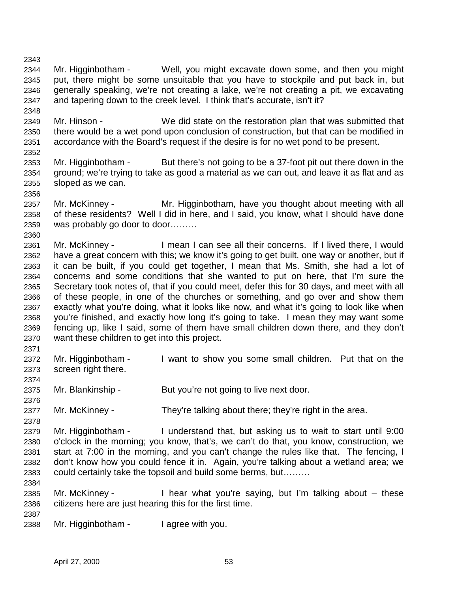2344 Mr. Higginbotham - Well, you might excavate down some, and then you might 2345 put, there might be some unsuitable that you have to stockpile and put back in, but 2346 generally speaking, we're not creating a lake, we're not creating a pit, we excavating 2347 and tapering down to the creek level. I think that's accurate, isn't it?

2349 Mr. Hinson - We did state on the restoration plan that was submitted that 2350 there would be a wet pond upon conclusion of construction, but that can be modified in 2351 accordance with the Board's request if the desire is for no wet pond to be present.

- 2353 Mr. Higginbotham But there's not going to be a 37-foot pit out there down in the 2354 ground; we're trying to take as good a material as we can out, and leave it as flat and as 2355 sloped as we can.
- 2357 Mr. McKinney Mr. Higginbotham, have you thought about meeting with all 2358 of these residents? Well I did in here, and I said, you know, what I should have done 2359 was probably go door to door………
- 2361 Mr. McKinney I mean I can see all their concerns. If I lived there, I would 2362 have a great concern with this; we know it's going to get built, one way or another, but if 2363 it can be built, if you could get together, I mean that Ms. Smith, she had a lot of 2364 concerns and some conditions that she wanted to put on here, that I'm sure the 2365 Secretary took notes of, that if you could meet, defer this for 30 days, and meet with all 2366 of these people, in one of the churches or something, and go over and show them 2367 exactly what you're doing, what it looks like now, and what it's going to look like when 2368 you're finished, and exactly how long it's going to take. I mean they may want some 2369 fencing up, like I said, some of them have small children down there, and they don't 2370 want these children to get into this project.
- 2371

2374

2376

2378

2343

2348

2352

2356

2360

- 2372 Mr. Higginbotham I want to show you some small children. Put that on the 2373 screen right there.
- 2375 Mr. Blankinship But you're not going to live next door.
- 2377 Mr. McKinney They're talking about there; they're right in the area.
- 2379 Mr. Higginbotham I understand that, but asking us to wait to start until 9:00 2380 o'clock in the morning; you know, that's, we can't do that, you know, construction, we 2381 start at 7:00 in the morning, and you can't change the rules like that. The fencing, I 2382 don't know how you could fence it in. Again, you're talking about a wetland area; we 2383 could certainly take the topsoil and build some berms, but……… 2384
- 2385 Mr. McKinney I hear what you're saying, but I'm talking about these 2386 citizens here are just hearing this for the first time.
- 2387

2388 Mr. Higginbotham - I agree with you.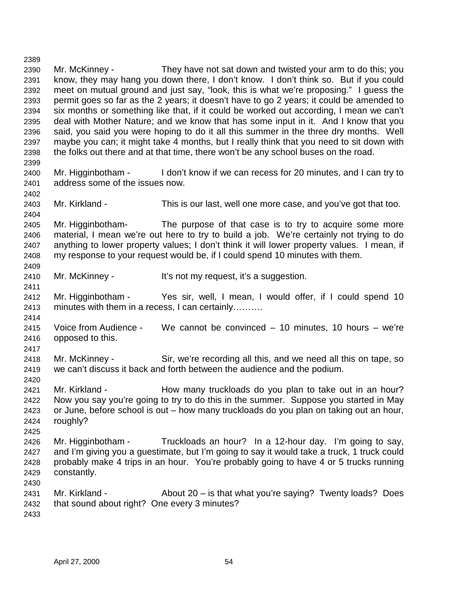2390 Mr. McKinney - They have not sat down and twisted your arm to do this; you 2391 know, they may hang you down there, I don't know. I don't think so. But if you could 2392 meet on mutual ground and just say, "look, this is what we're proposing." I guess the 2393 permit goes so far as the 2 years; it doesn't have to go 2 years; it could be amended to 2394 six months or something like that, if it could be worked out according, I mean we can't 2395 deal with Mother Nature; and we know that has some input in it. And I know that you 2396 said, you said you were hoping to do it all this summer in the three dry months. Well 2397 maybe you can; it might take 4 months, but I really think that you need to sit down with 2398 the folks out there and at that time, there won't be any school buses on the road. 2399 2400 Mr. Higginbotham - I don't know if we can recess for 20 minutes, and I can try to 2401 address some of the issues now. 2402 2403 Mr. Kirkland - This is our last, well one more case, and you've got that too. 2404 2405 Mr. Higginbotham- The purpose of that case is to try to acquire some more 2406 material, I mean we're out here to try to build a job. We're certainly not trying to do 2407 anything to lower property values; I don't think it will lower property values. I mean, if 2408 my response to your request would be, if I could spend 10 minutes with them. 2409 2410 Mr. McKinney - It's not my request, it's a suggestion. 2411 2412 Mr. Higginbotham - Yes sir, well, I mean, I would offer, if I could spend 10 2413 minutes with them in a recess, I can certainly………. 2414 2415 Voice from Audience - We cannot be convinced – 10 minutes, 10 hours – we're 2416 opposed to this. 2417 2418 Mr. McKinney - Sir, we're recording all this, and we need all this on tape, so 2419 we can't discuss it back and forth between the audience and the podium. 2420 2421 Mr. Kirkland - How many truckloads do you plan to take out in an hour? 2422 Now you say you're going to try to do this in the summer. Suppose you started in May 2423 or June, before school is out – how many truckloads do you plan on taking out an hour, 2424 roughly? 2425 2426 Mr. Higginbotham - Truckloads an hour? In a 12-hour day. I'm going to say, 2427 and I'm giving you a guestimate, but I'm going to say it would take a truck, 1 truck could 2428 probably make 4 trips in an hour. You're probably going to have 4 or 5 trucks running 2429 constantly. 2430 2431 Mr. Kirkland - About 20 – is that what you're saying? Twenty loads? Does 2432 that sound about right? One every 3 minutes? 2433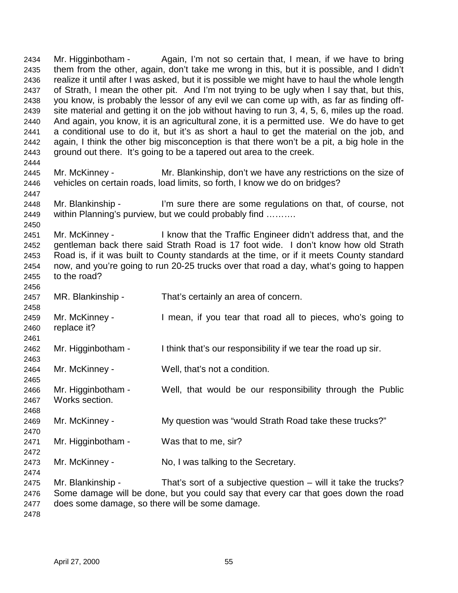2434 Mr. Higginbotham - Again, I'm not so certain that, I mean, if we have to bring 2435 them from the other, again, don't take me wrong in this, but it is possible, and I didn't 2436 realize it until after I was asked, but it is possible we might have to haul the whole length 2437 of Strath, I mean the other pit. And I'm not trying to be ugly when I say that, but this, 2438 you know, is probably the lessor of any evil we can come up with, as far as finding off-2439 site material and getting it on the job without having to run 3, 4, 5, 6, miles up the road. 2440 And again, you know, it is an agricultural zone, it is a permitted use. We do have to get 2441 a conditional use to do it, but it's as short a haul to get the material on the job, and 2442 again, I think the other big misconception is that there won't be a pit, a big hole in the 2443 ground out there. It's going to be a tapered out area to the creek. 2444 2445 Mr. McKinney - Mr. Blankinship, don't we have any restrictions on the size of 2446 vehicles on certain roads, load limits, so forth, I know we do on bridges? 2447 2448 Mr. Blankinship - I'm sure there are some regulations on that, of course, not 2449 within Planning's purview, but we could probably find ………. 2450 2451 Mr. McKinney - I know that the Traffic Engineer didn't address that, and the 2452 gentleman back there said Strath Road is 17 foot wide. I don't know how old Strath 2453 Road is, if it was built to County standards at the time, or if it meets County standard 2454 now, and you're going to run 20-25 trucks over that road a day, what's going to happen 2455 to the road? 2456 2457 MR. Blankinship - That's certainly an area of concern. 2458 2459 Mr. McKinney - I mean, if you tear that road all to pieces, who's going to 2460 replace it? 2461 2462 Mr. Higginbotham - I think that's our responsibility if we tear the road up sir. 2463 2464 Mr. McKinney - Well, that's not a condition. 2465 2466 Mr. Higginbotham - Well, that would be our responsibility through the Public 2467 Works section. 2468 2469 Mr. McKinney - My question was "would Strath Road take these trucks?" 2470 2471 Mr. Higginbotham - Was that to me, sir? 2472 2473 Mr. McKinney - No, I was talking to the Secretary. 2474 2475 Mr. Blankinship - That's sort of a subjective question – will it take the trucks? 2476 Some damage will be done, but you could say that every car that goes down the road 2477 does some damage, so there will be some damage. 2478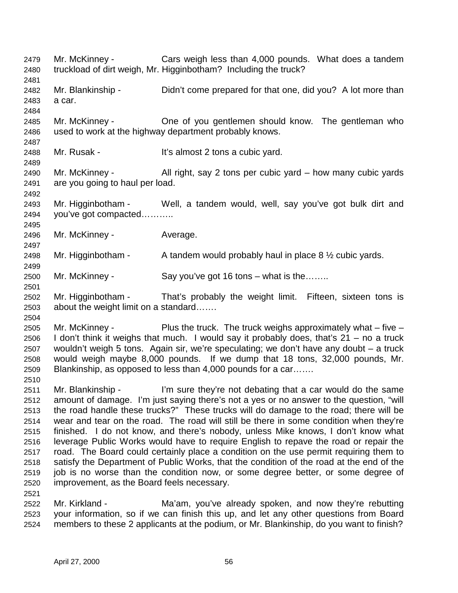2479 Mr. McKinney - Cars weigh less than 4,000 pounds. What does a tandem 2480 truckload of dirt weigh, Mr. Higginbotham? Including the truck? 2481 2482 Mr. Blankinship - Didn't come prepared for that one, did you? A lot more than 2483 a car. 2484 2485 Mr. McKinney - One of you gentlemen should know. The gentleman who 2486 used to work at the highway department probably knows. 2487 2488 Mr. Rusak - It's almost 2 tons a cubic yard. 2489 2490 Mr. McKinney - All right, say 2 tons per cubic yard – how many cubic yards 2491 are you going to haul per load. 2492 2493 Mr. Higginbotham - Well, a tandem would, well, say you've got bulk dirt and 2494 you've got compacted……….. 2495 2496 Mr. McKinney - Average. 2497 2498 Mr. Higginbotham - A tandem would probably haul in place  $8\frac{1}{2}$  cubic yards. 2499 2500 Mr. McKinney - Say you've got 16 tons – what is the…….. 2501 2502 Mr. Higginbotham - That's probably the weight limit. Fifteen, sixteen tons is 2503 about the weight limit on a standard……. 2504 2505 Mr. McKinney - Plus the truck. The truck weighs approximately what – five – 2506 I don't think it weighs that much. I would say it probably does, that's 21 – no a truck 2507 wouldn't weigh 5 tons. Again sir, we're speculating; we don't have any doubt – a truck 2508 would weigh maybe 8,000 pounds. If we dump that 18 tons, 32,000 pounds, Mr. 2509 Blankinship, as opposed to less than 4,000 pounds for a car……. 2510 2511 Mr. Blankinship - I'm sure they're not debating that a car would do the same 2512 amount of damage. I'm just saying there's not a yes or no answer to the question, "will 2513 the road handle these trucks?" These trucks will do damage to the road; there will be 2514 wear and tear on the road. The road will still be there in some condition when they're 2515 finished. I do not know, and there's nobody, unless Mike knows, I don't know what 2516 leverage Public Works would have to require English to repave the road or repair the 2517 road. The Board could certainly place a condition on the use permit requiring them to 2518 satisfy the Department of Public Works, that the condition of the road at the end of the 2519 job is no worse than the condition now, or some degree better, or some degree of 2520 improvement, as the Board feels necessary. 2521 2522 Mr. Kirkland - Ma'am, you've already spoken, and now they're rebutting 2523 your information, so if we can finish this up, and let any other questions from Board

2524 members to these 2 applicants at the podium, or Mr. Blankinship, do you want to finish?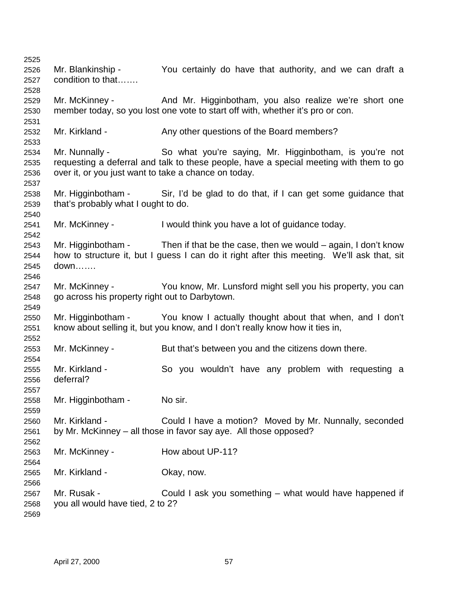2525 2526 Mr. Blankinship - You certainly do have that authority, and we can draft a 2527 condition to that……. 2528 2529 Mr. McKinney - And Mr. Higginbotham, you also realize we're short one 2530 member today, so you lost one vote to start off with, whether it's pro or con. 2531 2532 Mr. Kirkland - Any other questions of the Board members? 2533 2534 Mr. Nunnally - So what you're saying, Mr. Higginbotham, is you're not 2535 requesting a deferral and talk to these people, have a special meeting with them to go 2536 over it, or you just want to take a chance on today. 2537 2538 Mr. Higginbotham - Sir, I'd be glad to do that, if I can get some guidance that 2539 that's probably what I ought to do. 2540 2541 Mr. McKinney - I would think you have a lot of guidance today. 2542 2543 Mr. Higginbotham - Then if that be the case, then we would – again, I don't know 2544 how to structure it, but I guess I can do it right after this meeting. We'll ask that, sit 2545 down……. 2546 2547 Mr. McKinney - You know, Mr. Lunsford might sell you his property, you can 2548 go across his property right out to Darbytown. 2549 2550 Mr. Higginbotham - You know I actually thought about that when, and I don't 2551 know about selling it, but you know, and I don't really know how it ties in, 2552 2553 Mr. McKinney - But that's between you and the citizens down there. 2554 2555 Mr. Kirkland - So you wouldn't have any problem with requesting a 2556 deferral? 2557 2558 Mr. Higginbotham - No sir. 2559 2560 Mr. Kirkland - Could I have a motion? Moved by Mr. Nunnally, seconded 2561 by Mr. McKinney – all those in favor say aye. All those opposed? 2562 2563 Mr. McKinney - How about UP-11? 2564 2565 Mr. Kirkland - Okay, now. 2566 2567 Mr. Rusak - Could I ask you something – what would have happened if 2568 you all would have tied, 2 to 2? 2569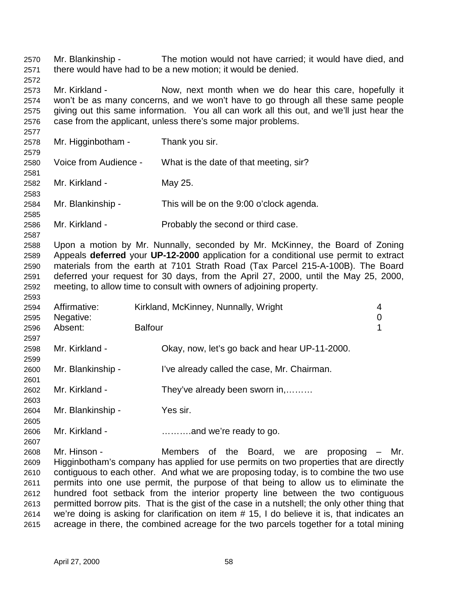2570 Mr. Blankinship - The motion would not have carried; it would have died, and 2571 there would have had to be a new motion; it would be denied.

2573 Mr. Kirkland - Now, next month when we do hear this care, hopefully it 2574 won't be as many concerns, and we won't have to go through all these same people 2575 giving out this same information. You all can work all this out, and we'll just hear the 2576 case from the applicant, unless there's some major problems.

2577 2578 Mr. Higginbotham - Thank you sir. 2579 2580 Voice from Audience - What is the date of that meeting, sir? 2581 2582 Mr. Kirkland - May 25. 2583 2584 Mr. Blankinship - This will be on the 9:00 o'clock agenda. 2585 2586 Mr. Kirkland - Probably the second or third case.

2588 Upon a motion by Mr. Nunnally, seconded by Mr. McKinney, the Board of Zoning 2589 Appeals **deferred** your **UP-12-2000** application for a conditional use permit to extract 2590 materials from the earth at 7101 Strath Road (Tax Parcel 215-A-100B). The Board 2591 deferred your request for 30 days, from the April 27, 2000, until the May 25, 2000, 2592 meeting, to allow time to consult with owners of adjoining property.

| 2594 | Affirmative:      | Kirkland, McKinney, Nunnally, Wright          | 4           |
|------|-------------------|-----------------------------------------------|-------------|
| 2595 | Negative:         |                                               | $\mathbf 0$ |
| 2596 | Absent:           | <b>Balfour</b>                                | 1           |
| 2597 |                   |                                               |             |
| 2598 | Mr. Kirkland -    | Okay, now, let's go back and hear UP-11-2000. |             |
| 2599 |                   |                                               |             |
| 2600 | Mr. Blankinship - | I've already called the case, Mr. Chairman.   |             |
| 2601 |                   |                                               |             |
| 2602 | Mr. Kirkland -    | They've already been sworn in,                |             |
| 2603 |                   |                                               |             |
| 2604 | Mr. Blankinship - | Yes sir.                                      |             |
| 2605 |                   |                                               |             |
| 2606 | Mr. Kirkland -    | $\ldots$ and we're ready to go.               |             |
| 2607 |                   |                                               |             |

2608 Mr. Hinson - Members of the Board, we are proposing – Mr. 2609 Higginbotham's company has applied for use permits on two properties that are directly 2610 contiguous to each other. And what we are proposing today, is to combine the two use 2611 permits into one use permit, the purpose of that being to allow us to eliminate the 2612 hundred foot setback from the interior property line between the two contiguous 2613 permitted borrow pits. That is the gist of the case in a nutshell; the only other thing that 2614 we're doing is asking for clarification on item # 15, I do believe it is, that indicates an 2615 acreage in there, the combined acreage for the two parcels together for a total mining

2572

2587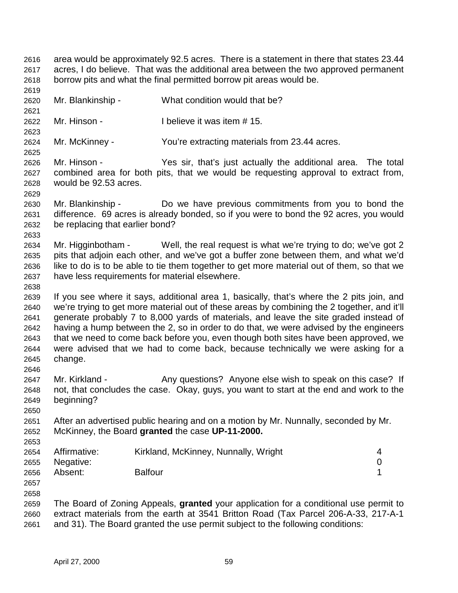2619 2620 Mr. Blankinship - What condition would that be? 2621 2622 Mr. Hinson - I believe it was item # 15. 2623 2624 Mr. McKinney - You're extracting materials from 23.44 acres. 2625 2626 Mr. Hinson - Yes sir, that's just actually the additional area. The total 2627 combined area for both pits, that we would be requesting approval to extract from, 2628 would be 92.53 acres. 2629 2630 Mr. Blankinship - Do we have previous commitments from you to bond the 2631 difference. 69 acres is already bonded, so if you were to bond the 92 acres, you would 2632 be replacing that earlier bond? 2633 2634 Mr. Higginbotham - Well, the real request is what we're trying to do; we've got 2 2635 pits that adjoin each other, and we've got a buffer zone between them, and what we'd 2636 like to do is to be able to tie them together to get more material out of them, so that we 2637 have less requirements for material elsewhere. 2638 2639 If you see where it says, additional area 1, basically, that's where the 2 pits join, and 2640 we're trying to get more material out of these areas by combining the 2 together, and it'll 2641 generate probably 7 to 8,000 yards of materials, and leave the site graded instead of 2642 having a hump between the 2, so in order to do that, we were advised by the engineers 2643 that we need to come back before you, even though both sites have been approved, we 2644 were advised that we had to come back, because technically we were asking for a 2645 change. 2646 2647 Mr. Kirkland - Any questions? Anyone else wish to speak on this case? If 2648 not, that concludes the case. Okay, guys, you want to start at the end and work to the 2649 beginning? 2650 2651 After an advertised public hearing and on a motion by Mr. Nunnally, seconded by Mr. 2652 McKinney, the Board **granted** the case **UP-11-2000.** 2653 2654 Affirmative: Kirkland, McKinney, Nunnally, Wright 4 2655 Negative: 0 2656 Absent: Balfour 1 2657 2658 2659 The Board of Zoning Appeals, **granted** your application for a conditional use permit to 2660 extract materials from the earth at 3541 Britton Road (Tax Parcel 206-A-33, 217-A-1 2661 and 31). The Board granted the use permit subject to the following conditions:

2616 area would be approximately 92.5 acres. There is a statement in there that states 23.44 2617 acres, I do believe. That was the additional area between the two approved permanent

2618 borrow pits and what the final permitted borrow pit areas would be.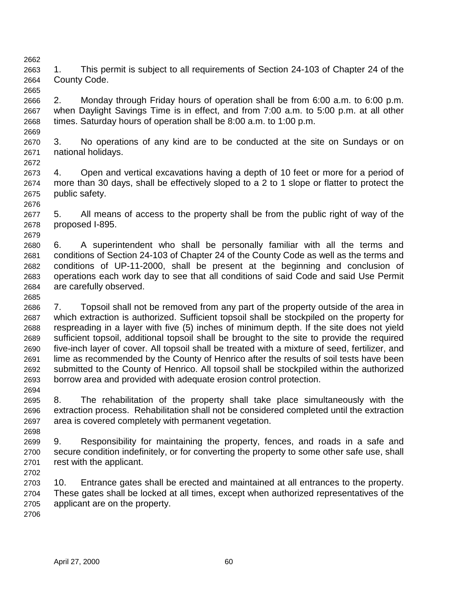2662 2663 1. This permit is subject to all requirements of Section 24-103 of Chapter 24 of the 2664 County Code.

2665 2666 2. Monday through Friday hours of operation shall be from 6:00 a.m. to 6:00 p.m. 2667 when Daylight Savings Time is in effect, and from 7:00 a.m. to 5:00 p.m. at all other 2668 times. Saturday hours of operation shall be 8:00 a.m. to 1:00 p.m.

2670 3. No operations of any kind are to be conducted at the site on Sundays or on 2671 national holidays.

2673 4. Open and vertical excavations having a depth of 10 feet or more for a period of 2674 more than 30 days, shall be effectively sloped to a 2 to 1 slope or flatter to protect the 2675 public safety.

2677 5. All means of access to the property shall be from the public right of way of the 2678 proposed I-895.

2679 2680 6. A superintendent who shall be personally familiar with all the terms and 2681 conditions of Section 24-103 of Chapter 24 of the County Code as well as the terms and 2682 conditions of UP-11-2000, shall be present at the beginning and conclusion of 2683 operations each work day to see that all conditions of said Code and said Use Permit 2684 are carefully observed.

2686 7. Topsoil shall not be removed from any part of the property outside of the area in 2687 which extraction is authorized. Sufficient topsoil shall be stockpiled on the property for 2688 respreading in a layer with five (5) inches of minimum depth. If the site does not yield 2689 sufficient topsoil, additional topsoil shall be brought to the site to provide the required 2690 five-inch layer of cover. All topsoil shall be treated with a mixture of seed, fertilizer, and 2691 lime as recommended by the County of Henrico after the results of soil tests have been 2692 submitted to the County of Henrico. All topsoil shall be stockpiled within the authorized 2693 borrow area and provided with adequate erosion control protection.

2695 8. The rehabilitation of the property shall take place simultaneously with the 2696 extraction process. Rehabilitation shall not be considered completed until the extraction 2697 area is covered completely with permanent vegetation.

2699 9. Responsibility for maintaining the property, fences, and roads in a safe and 2700 secure condition indefinitely, or for converting the property to some other safe use, shall 2701 rest with the applicant.

2703 10. Entrance gates shall be erected and maintained at all entrances to the property. 2704 These gates shall be locked at all times, except when authorized representatives of the 2705 applicant are on the property.

2706

2669

2672

2676

2685

2694

2698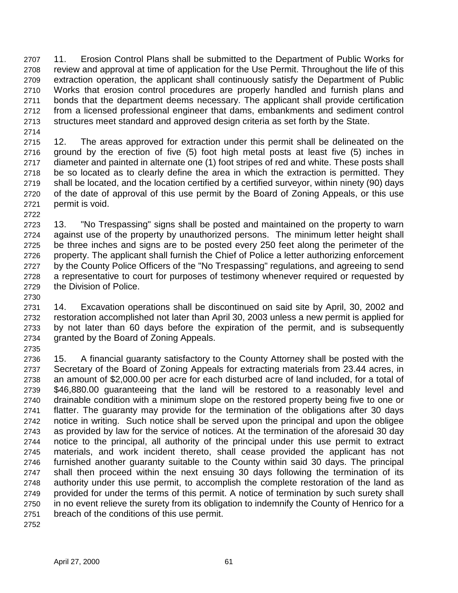2707 11. Erosion Control Plans shall be submitted to the Department of Public Works for 2708 review and approval at time of application for the Use Permit. Throughout the life of this 2709 extraction operation, the applicant shall continuously satisfy the Department of Public 2710 Works that erosion control procedures are properly handled and furnish plans and 2711 bonds that the department deems necessary. The applicant shall provide certification 2712 from a licensed professional engineer that dams, embankments and sediment control 2713 structures meet standard and approved design criteria as set forth by the State. 2714

2715 12. The areas approved for extraction under this permit shall be delineated on the 2716 ground by the erection of five (5) foot high metal posts at least five (5) inches in 2717 diameter and painted in alternate one (1) foot stripes of red and white. These posts shall 2718 be so located as to clearly define the area in which the extraction is permitted. They 2719 shall be located, and the location certified by a certified surveyor, within ninety (90) days 2720 of the date of approval of this use permit by the Board of Zoning Appeals, or this use 2721 permit is void.

- 2723 13. "No Trespassing" signs shall be posted and maintained on the property to warn 2724 against use of the property by unauthorized persons. The minimum letter height shall 2725 be three inches and signs are to be posted every 250 feet along the perimeter of the 2726 property. The applicant shall furnish the Chief of Police a letter authorizing enforcement 2727 by the County Police Officers of the "No Trespassing" regulations, and agreeing to send 2728 a representative to court for purposes of testimony whenever required or requested by 2729 the Division of Police.
- 2731 14. Excavation operations shall be discontinued on said site by April, 30, 2002 and 2732 restoration accomplished not later than April 30, 2003 unless a new permit is applied for 2733 by not later than 60 days before the expiration of the permit, and is subsequently 2734 granted by the Board of Zoning Appeals.
- 2735 2736 15. A financial guaranty satisfactory to the County Attorney shall be posted with the 2737 Secretary of the Board of Zoning Appeals for extracting materials from 23.44 acres, in 2738 an amount of \$2,000.00 per acre for each disturbed acre of land included, for a total of 2739 \$46,880.00 guaranteeing that the land will be restored to a reasonably level and 2740 drainable condition with a minimum slope on the restored property being five to one or 2741 flatter. The guaranty may provide for the termination of the obligations after 30 days 2742 notice in writing. Such notice shall be served upon the principal and upon the obligee 2743 as provided by law for the service of notices. At the termination of the aforesaid 30 day 2744 notice to the principal, all authority of the principal under this use permit to extract 2745 materials, and work incident thereto, shall cease provided the applicant has not 2746 furnished another guaranty suitable to the County within said 30 days. The principal 2747 shall then proceed within the next ensuing 30 days following the termination of its 2748 authority under this use permit, to accomplish the complete restoration of the land as 2749 provided for under the terms of this permit. A notice of termination by such surety shall 2750 in no event relieve the surety from its obligation to indemnify the County of Henrico for a 2751 breach of the conditions of this use permit.
- 2752

2722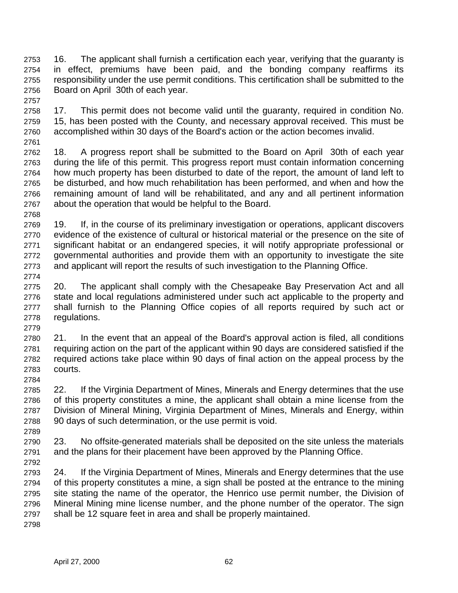2753 16. The applicant shall furnish a certification each year, verifying that the guaranty is 2754 in effect, premiums have been paid, and the bonding company reaffirms its 2755 responsibility under the use permit conditions. This certification shall be submitted to the 2756 Board on April 30th of each year.

2758 17. This permit does not become valid until the guaranty, required in condition No. 2759 15, has been posted with the County, and necessary approval received. This must be 2760 accomplished within 30 days of the Board's action or the action becomes invalid.

2761

2768

2774

2779

2784

2789

2757

2762 18. A progress report shall be submitted to the Board on April 30th of each year 2763 during the life of this permit. This progress report must contain information concerning 2764 how much property has been disturbed to date of the report, the amount of land left to 2765 be disturbed, and how much rehabilitation has been performed, and when and how the 2766 remaining amount of land will be rehabilitated, and any and all pertinent information 2767 about the operation that would be helpful to the Board.

- 2769 19. If, in the course of its preliminary investigation or operations, applicant discovers 2770 evidence of the existence of cultural or historical material or the presence on the site of 2771 significant habitat or an endangered species, it will notify appropriate professional or 2772 governmental authorities and provide them with an opportunity to investigate the site 2773 and applicant will report the results of such investigation to the Planning Office.
- 2775 20. The applicant shall comply with the Chesapeake Bay Preservation Act and all 2776 state and local regulations administered under such act applicable to the property and 2777 shall furnish to the Planning Office copies of all reports required by such act or 2778 regulations.

2780 21. In the event that an appeal of the Board's approval action is filed, all conditions 2781 requiring action on the part of the applicant within 90 days are considered satisfied if the 2782 required actions take place within 90 days of final action on the appeal process by the 2783 courts.

2785 22. If the Virginia Department of Mines, Minerals and Energy determines that the use 2786 of this property constitutes a mine, the applicant shall obtain a mine license from the 2787 Division of Mineral Mining, Virginia Department of Mines, Minerals and Energy, within 2788 90 days of such determination, or the use permit is void.

2790 23. No offsite-generated materials shall be deposited on the site unless the materials 2791 and the plans for their placement have been approved by the Planning Office. 2792

2793 24. If the Virginia Department of Mines, Minerals and Energy determines that the use 2794 of this property constitutes a mine, a sign shall be posted at the entrance to the mining 2795 site stating the name of the operator, the Henrico use permit number, the Division of 2796 Mineral Mining mine license number, and the phone number of the operator. The sign 2797 shall be 12 square feet in area and shall be properly maintained.